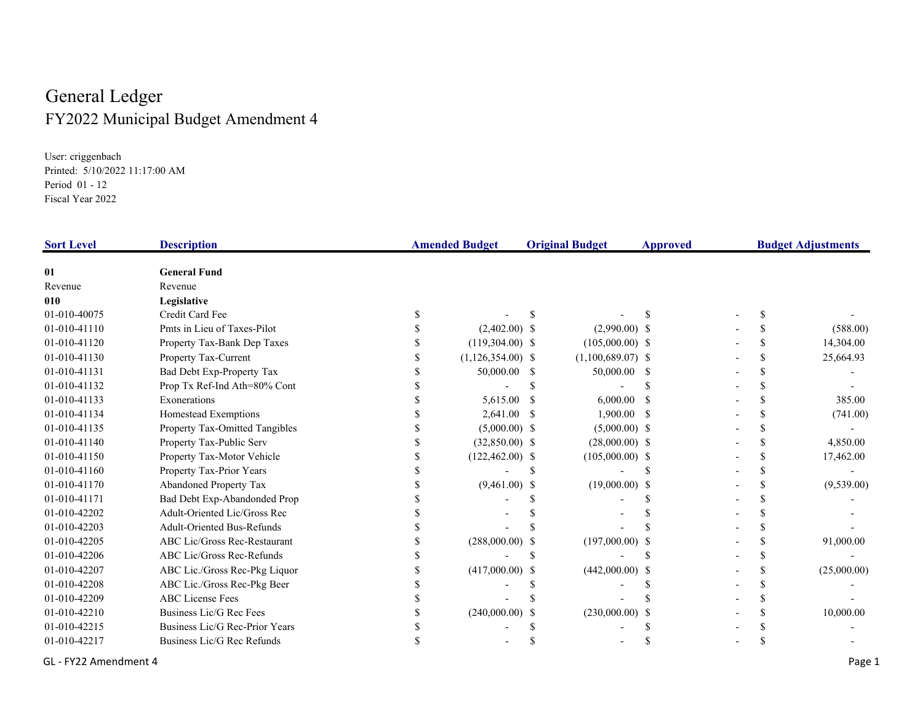## General Ledger FY2022 Municipal Budget Amendment 4

User: criggenbach Printed: 5/10/2022 11:17:00 AM Period 01 - 12 Fiscal Year 2022

| <b>Sort Level</b> | <b>Description</b>                    | <b>Amended Budget</b><br><b>Original Budget</b> |    | Approved            |     | <b>Budget Adjustments</b> |             |
|-------------------|---------------------------------------|-------------------------------------------------|----|---------------------|-----|---------------------------|-------------|
| 01                | <b>General Fund</b>                   |                                                 |    |                     |     |                           |             |
| Revenue           | Revenue                               |                                                 |    |                     |     |                           |             |
| 010               | Legislative                           |                                                 |    |                     |     |                           |             |
| 01-010-40075      | Credit Card Fee                       |                                                 |    |                     |     |                           |             |
| 01-010-41110      | Pmts in Lieu of Taxes-Pilot           | $(2,402.00)$ \$                                 |    | $(2,990.00)$ \$     |     |                           | (588.00)    |
| 01-010-41120      | Property Tax-Bank Dep Taxes           | $(119,304.00)$ \$                               |    | $(105,000.00)$ \$   |     |                           | 14,304.00   |
| 01-010-41130      | Property Tax-Current                  | $(1,126,354.00)$ \$                             |    | $(1,100,689.07)$ \$ |     |                           | 25,664.93   |
| 01-010-41131      | Bad Debt Exp-Property Tax             | 50,000.00                                       | -S | 50,000.00 \$        |     |                           |             |
| 01-010-41132      | Prop Tx Ref-Ind Ath=80% Cont          |                                                 |    |                     |     |                           |             |
| 01-010-41133      | Exonerations                          | 5,615.00                                        |    | 6,000.00            |     |                           | 385.00      |
| 01-010-41134      | Homestead Exemptions                  | 2,641.00                                        |    | 1,900.00            | - S |                           | (741.00)    |
| 01-010-41135      | <b>Property Tax-Omitted Tangibles</b> | $(5,000.00)$ \$                                 |    | $(5,000.00)$ \$     |     |                           |             |
| 01-010-41140      | Property Tax-Public Serv              | $(32,850.00)$ \$                                |    | $(28,000.00)$ \$    |     |                           | 4,850.00    |
| 01-010-41150      | Property Tax-Motor Vehicle            | $(122,462.00)$ \$                               |    | $(105,000.00)$ \$   |     |                           | 17,462.00   |
| 01-010-41160      | Property Tax-Prior Years              |                                                 |    |                     |     |                           |             |
| 01-010-41170      | <b>Abandoned Property Tax</b>         | $(9,461.00)$ \$                                 |    | $(19,000.00)$ \$    |     |                           | (9,539.00)  |
| 01-010-41171      | Bad Debt Exp-Abandonded Prop          |                                                 |    |                     |     |                           |             |
| 01-010-42202      | Adult-Oriented Lic/Gross Rec          |                                                 |    |                     |     |                           |             |
| 01-010-42203      | <b>Adult-Oriented Bus-Refunds</b>     |                                                 |    |                     |     |                           |             |
| 01-010-42205      | ABC Lic/Gross Rec-Restaurant          | (288,000.00)                                    |    | $(197,000.00)$ \$   |     |                           | 91,000.00   |
| 01-010-42206      | ABC Lic/Gross Rec-Refunds             |                                                 |    |                     |     |                           |             |
| 01-010-42207      | ABC Lic./Gross Rec-Pkg Liquor         | $(417,000.00)$ \$                               |    | $(442,000.00)$ \$   |     |                           | (25,000.00) |
| 01-010-42208      | ABC Lic./Gross Rec-Pkg Beer           |                                                 |    |                     |     |                           |             |
| 01-010-42209      | <b>ABC</b> License Fees               |                                                 |    |                     |     |                           |             |
| 01-010-42210      | Business Lic/G Rec Fees               | (240,000.00)                                    |    | (230,000.00)        |     |                           | 10,000.00   |
| 01-010-42215      | Business Lic/G Rec-Prior Years        |                                                 |    |                     |     |                           |             |
| 01-010-42217      | Business Lic/G Rec Refunds            |                                                 |    |                     |     |                           |             |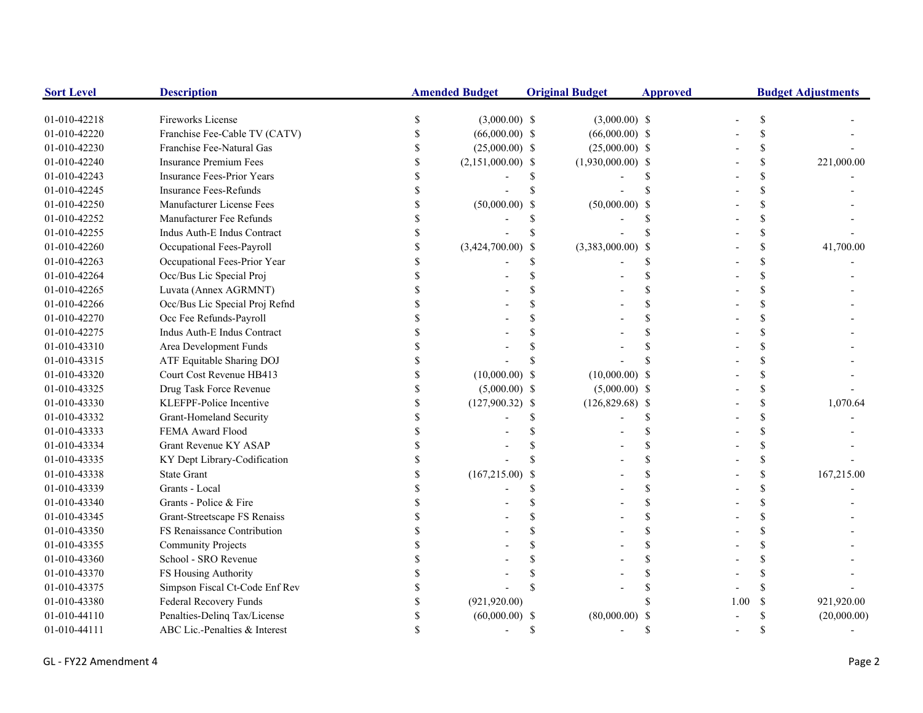| <b>Sort Level</b> | <b>Description</b>                |               | <b>Amended Budget</b> |                    | <b>Original Budget</b> | <b>Approved</b> | <b>Budget Adjustments</b> |               |             |
|-------------------|-----------------------------------|---------------|-----------------------|--------------------|------------------------|-----------------|---------------------------|---------------|-------------|
| 01-010-42218      | Fireworks License                 | <sup>\$</sup> | $(3,000.00)$ \$       |                    | $(3,000.00)$ \$        |                 |                           |               |             |
| 01-010-42220      | Franchise Fee-Cable TV (CATV)     |               | $(66,000.00)$ \$      |                    | $(66,000.00)$ \$       |                 |                           |               |             |
| 01-010-42230      | Franchise Fee-Natural Gas         |               | $(25,000.00)$ \$      |                    | $(25,000.00)$ \$       |                 |                           | S             |             |
| 01-010-42240      | <b>Insurance Premium Fees</b>     |               | $(2,151,000.00)$ \$   |                    | $(1,930,000.00)$ \$    |                 |                           |               | 221,000.00  |
| 01-010-42243      | <b>Insurance Fees-Prior Years</b> |               |                       | S                  |                        |                 |                           |               |             |
| 01-010-42245      | <b>Insurance Fees-Refunds</b>     |               |                       |                    |                        |                 |                           |               |             |
| 01-010-42250      | Manufacturer License Fees         |               | $(50,000.00)$ \$      |                    | $(50,000.00)$ \$       |                 |                           |               |             |
| 01-010-42252      | Manufacturer Fee Refunds          |               |                       | S                  |                        |                 |                           |               |             |
| 01-010-42255      | Indus Auth-E Indus Contract       |               |                       | $\mathbf{\hat{S}}$ |                        |                 |                           |               |             |
| 01-010-42260      | Occupational Fees-Payroll         |               | $(3,424,700.00)$ \$   |                    | $(3,383,000.00)$ \$    |                 |                           | \$            | 41,700.00   |
| 01-010-42263      | Occupational Fees-Prior Year      |               |                       | \$                 |                        |                 |                           |               |             |
| 01-010-42264      | Occ/Bus Lic Special Proj          |               |                       | \$                 |                        |                 |                           |               |             |
| 01-010-42265      | Luvata (Annex AGRMNT)             |               |                       |                    |                        |                 |                           |               |             |
| 01-010-42266      | Occ/Bus Lic Special Proj Refnd    |               |                       |                    |                        |                 |                           |               |             |
| 01-010-42270      | Occ Fee Refunds-Payroll           |               |                       |                    |                        |                 |                           |               |             |
| 01-010-42275      | Indus Auth-E Indus Contract       |               |                       |                    |                        |                 |                           |               |             |
| 01-010-43310      | Area Development Funds            |               |                       |                    |                        |                 |                           |               |             |
| 01-010-43315      | ATF Equitable Sharing DOJ         |               |                       |                    |                        |                 |                           |               |             |
| 01-010-43320      | Court Cost Revenue HB413          |               | $(10,000.00)$ \$      |                    | $(10,000.00)$ \$       |                 |                           |               |             |
| 01-010-43325      | Drug Task Force Revenue           |               | $(5,000.00)$ \$       |                    | $(5,000.00)$ \$        |                 |                           | \$            |             |
| 01-010-43330      | KLEFPF-Police Incentive           |               | $(127,900.32)$ \$     |                    | $(126,829.68)$ \$      |                 |                           | \$            | 1,070.64    |
| 01-010-43332      | Grant-Homeland Security           |               |                       |                    |                        |                 |                           |               |             |
| 01-010-43333      | FEMA Award Flood                  |               |                       |                    |                        |                 |                           |               |             |
| 01-010-43334      | <b>Grant Revenue KY ASAP</b>      |               |                       |                    |                        |                 |                           |               |             |
| 01-010-43335      | KY Dept Library-Codification      |               |                       |                    |                        |                 |                           |               |             |
| 01-010-43338      | <b>State Grant</b>                |               | $(167,215.00)$ \$     |                    |                        |                 |                           |               | 167,215.00  |
| 01-010-43339      | Grants - Local                    |               |                       |                    |                        |                 |                           |               |             |
| 01-010-43340      | Grants - Police & Fire            |               |                       |                    |                        |                 |                           |               |             |
| 01-010-43345      | Grant-Streetscape FS Renaiss      |               |                       |                    |                        |                 |                           |               |             |
| 01-010-43350      | FS Renaissance Contribution       |               |                       | \$                 |                        |                 |                           |               |             |
| 01-010-43355      | <b>Community Projects</b>         |               |                       | S                  |                        |                 |                           |               |             |
| 01-010-43360      | School - SRO Revenue              |               |                       |                    |                        |                 |                           |               |             |
| 01-010-43370      | FS Housing Authority              |               |                       |                    |                        |                 |                           |               |             |
| 01-010-43375      | Simpson Fiscal Ct-Code Enf Rev    |               |                       |                    |                        |                 |                           |               |             |
| 01-010-43380      | Federal Recovery Funds            |               | (921, 920.00)         |                    |                        |                 | 1.00                      | <sup>\$</sup> | 921,920.00  |
| 01-010-44110      | Penalties-Delinq Tax/License      |               | $(60,000.00)$ \$      |                    | (80,000.00)            |                 |                           |               | (20,000.00) |
| 01-010-44111      | ABC Lic.-Penalties & Interest     |               |                       | S                  |                        |                 |                           |               |             |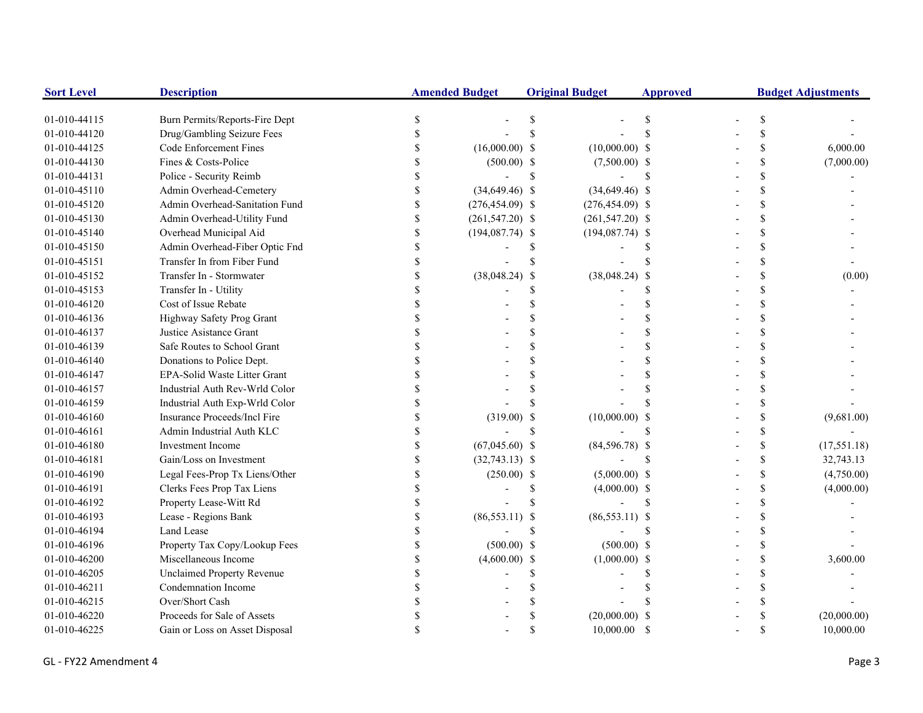| <b>Sort Level</b> | <b>Description</b>                  | <b>Amended Budget</b> |                    | <b>Original Budget</b> |                    | <b>Approved</b> | <b>Budget Adjustments</b> |                    |              |
|-------------------|-------------------------------------|-----------------------|--------------------|------------------------|--------------------|-----------------|---------------------------|--------------------|--------------|
| 01-010-44115      | Burn Permits/Reports-Fire Dept      |                       |                    | S                      |                    | S               |                           | \$                 |              |
| 01-010-44120      | Drug/Gambling Seizure Fees          |                       |                    |                        |                    |                 |                           | \$                 |              |
| 01-010-44125      | Code Enforcement Fines              |                       | $(16,000.00)$ \$   |                        | $(10,000.00)$ \$   |                 |                           | \$                 | 6,000.00     |
| 01-010-44130      | Fines & Costs-Police                |                       | $(500.00)$ \$      |                        | $(7,500.00)$ \$    |                 |                           | \$                 | (7,000.00)   |
| 01-010-44131      | Police - Security Reimb             |                       |                    | <sup>\$</sup>          |                    | -S              |                           | \$                 |              |
| 01-010-45110      | Admin Overhead-Cemetery             |                       | $(34,649.46)$ \$   |                        | $(34,649.46)$ \$   |                 |                           | \$                 |              |
| 01-010-45120      | Admin Overhead-Sanitation Fund      | \$                    | $(276, 454.09)$ \$ |                        | $(276, 454.09)$ \$ |                 |                           | \$                 |              |
| 01-010-45130      | Admin Overhead-Utility Fund         | \$                    | $(261, 547.20)$ \$ |                        | $(261, 547.20)$ \$ |                 |                           | \$                 |              |
| 01-010-45140      | Overhead Municipal Aid              | \$                    | $(194,087.74)$ \$  |                        | $(194,087.74)$ \$  |                 |                           | \$                 |              |
| 01-010-45150      | Admin Overhead-Fiber Optic Fnd      | \$                    |                    | \$.                    |                    |                 |                           | \$                 |              |
| 01-010-45151      | Transfer In from Fiber Fund         |                       |                    |                        |                    |                 |                           | \$                 |              |
| 01-010-45152      | Transfer In - Stormwater            |                       | $(38,048.24)$ \$   |                        | $(38,048.24)$ \$   |                 |                           | \$                 | (0.00)       |
| 01-010-45153      | Transfer In - Utility               |                       |                    | \$                     |                    | \$.             |                           | \$                 |              |
| 01-010-46120      | Cost of Issue Rebate                |                       |                    |                        |                    | $\mathcal{S}$   |                           | \$                 |              |
| 01-010-46136      | Highway Safety Prog Grant           |                       |                    |                        |                    | $\mathcal{S}$   |                           | \$                 |              |
| 01-010-46137      | Justice Asistance Grant             |                       |                    |                        |                    | <b>S</b>        |                           | \$                 |              |
| 01-010-46139      | Safe Routes to School Grant         |                       |                    |                        |                    | <b>S</b>        |                           | \$                 |              |
| 01-010-46140      | Donations to Police Dept.           |                       |                    |                        |                    | $\mathcal{S}$   |                           | \$                 |              |
| 01-010-46147      | <b>EPA-Solid Waste Litter Grant</b> |                       |                    |                        |                    |                 |                           | $\mathbf{\hat{S}}$ |              |
| 01-010-46157      | Industrial Auth Rev-Wrld Color      |                       |                    |                        |                    | S               |                           | \$                 |              |
| 01-010-46159      | Industrial Auth Exp-Wrld Color      |                       |                    |                        |                    |                 |                           | \$                 |              |
| 01-010-46160      | Insurance Proceeds/Incl Fire        |                       | $(319.00)$ \$      |                        | $(10,000.00)$ \$   |                 |                           | \$                 | (9,681.00)   |
| 01-010-46161      | Admin Industrial Auth KLC           |                       |                    | $\mathcal{S}$          |                    |                 |                           | \$                 |              |
| 01-010-46180      | <b>Investment Income</b>            |                       | $(67,045.60)$ \$   |                        | $(84,596.78)$ \$   |                 |                           | \$                 | (17, 551.18) |
| 01-010-46181      | Gain/Loss on Investment             |                       | $(32,743.13)$ \$   |                        |                    | $\mathbf S$     |                           | \$                 | 32,743.13    |
| 01-010-46190      | Legal Fees-Prop Tx Liens/Other      |                       | $(250.00)$ \$      |                        | $(5,000.00)$ \$    |                 |                           | \$                 | (4,750.00)   |
| 01-010-46191      | Clerks Fees Prop Tax Liens          |                       |                    | <sup>\$</sup>          | $(4,000.00)$ \$    |                 |                           | \$                 | (4,000.00)   |
| 01-010-46192      | Property Lease-Witt Rd              |                       |                    | \$.                    |                    | <sup>\$</sup>   |                           | \$                 |              |
| 01-010-46193      | Lease - Regions Bank                |                       | $(86,553.11)$ \$   |                        | $(86,553.11)$ \$   |                 |                           | \$                 |              |
| 01-010-46194      | Land Lease                          |                       |                    | \$                     |                    | $\mathcal{S}$   |                           | \$                 |              |
| 01-010-46196      | Property Tax Copy/Lookup Fees       |                       | $(500.00)$ \$      |                        | $(500.00)$ \$      |                 |                           | \$                 |              |
| 01-010-46200      | Miscellaneous Income                | $\mathbf S$           | $(4,600.00)$ \$    |                        | $(1,000.00)$ \$    |                 |                           | \$                 | 3,600.00     |
| 01-010-46205      | <b>Unclaimed Property Revenue</b>   |                       |                    | \$                     |                    | S               |                           | \$                 |              |
| 01-010-46211      | Condemnation Income                 |                       |                    |                        |                    |                 |                           | \$                 |              |
| 01-010-46215      | Over/Short Cash                     |                       |                    |                        |                    |                 |                           | \$                 |              |
| 01-010-46220      | Proceeds for Sale of Assets         |                       |                    |                        | $(20,000.00)$ \$   |                 |                           | \$                 | (20,000.00)  |
| 01-010-46225      | Gain or Loss on Asset Disposal      |                       |                    | \$                     | 10,000.00          | -S              |                           | \$                 | 10,000.00    |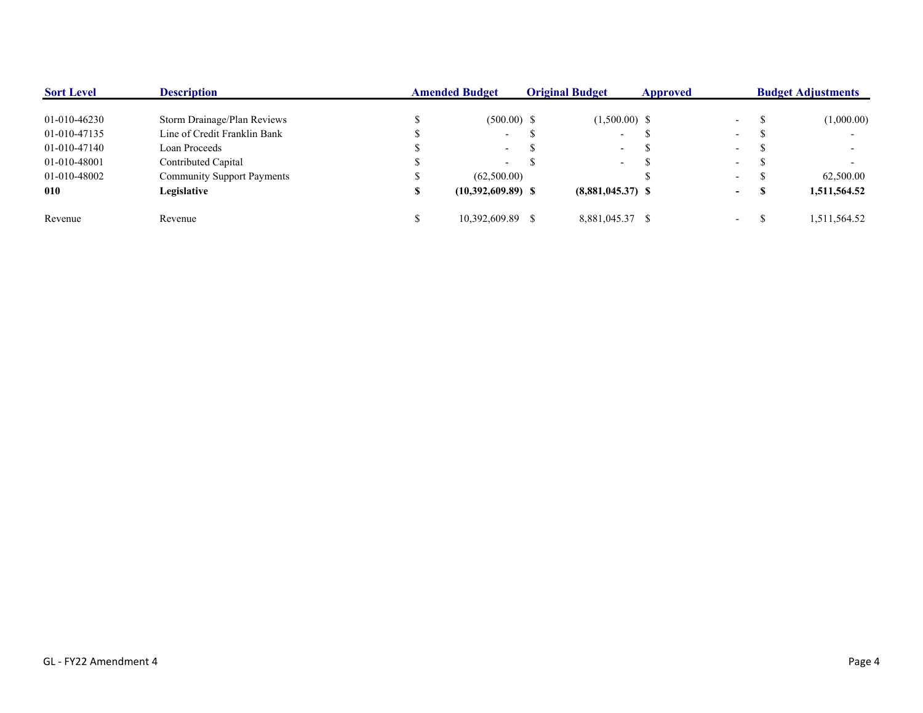| <b>Sort Level</b> | <b>Description</b>                | <b>Amended Budget</b> |                          | <b>Original Budget</b> |                          | Approved | <b>Budget Adjustments</b> |  |              |
|-------------------|-----------------------------------|-----------------------|--------------------------|------------------------|--------------------------|----------|---------------------------|--|--------------|
| 01-010-46230      | Storm Drainage/Plan Reviews       |                       | $(500.00)$ \$            |                        | $(1,500.00)$ \$          |          | $\sim$                    |  | (1,000.00)   |
| 01-010-47135      | Line of Credit Franklin Bank      |                       | $\overline{\phantom{0}}$ |                        | $\overline{\phantom{a}}$ |          | $\overline{\phantom{0}}$  |  |              |
| 01-010-47140      | Loan Proceeds                     |                       | $\overline{\phantom{0}}$ |                        | $\sim$                   |          | $\sim$                    |  |              |
| 01-010-48001      | Contributed Capital               |                       | $\overline{\phantom{0}}$ |                        | $\sim$                   |          | $\overline{\phantom{a}}$  |  |              |
| 01-010-48002      | <b>Community Support Payments</b> |                       | (62,500.00)              |                        |                          |          | $\sim$                    |  | 62,500.00    |
| 010               | Legislative                       |                       | $(10,392,609.89)$ \$     |                        | $(8,881,045,37)$ \$      |          | $\sim$                    |  | 1,511,564.52 |
| Revenue           | Revenue                           |                       | 10.392.609.89            |                        | 8,881,045.37 \$          |          | $\overline{\phantom{a}}$  |  | 1,511,564.52 |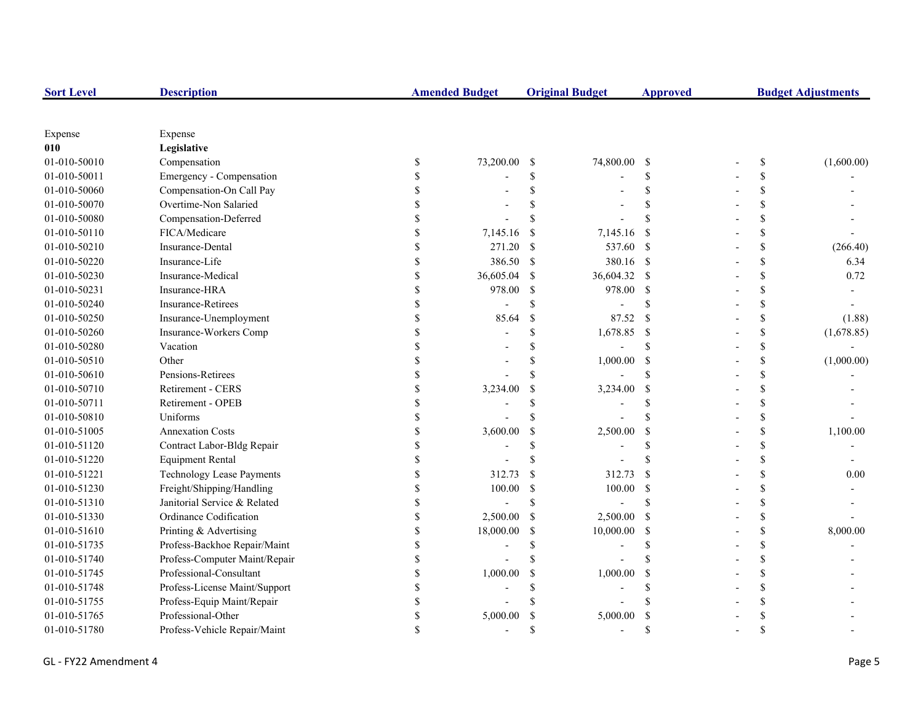| <b>Sort Level</b> | <b>Description</b>               |               | <b>Amended Budget</b> |               | <b>Original Budget</b> | <b>Approved</b>    | <b>Budget Adjustments</b> |            |  |
|-------------------|----------------------------------|---------------|-----------------------|---------------|------------------------|--------------------|---------------------------|------------|--|
|                   |                                  |               |                       |               |                        |                    |                           |            |  |
| Expense           | Expense                          |               |                       |               |                        |                    |                           |            |  |
| 010               | Legislative                      |               |                       |               |                        |                    |                           |            |  |
| 01-010-50010      | Compensation                     | \$            | 73,200.00             | -\$           | 74,800.00              | - \$               | \$                        | (1,600.00) |  |
| 01-010-50011      | Emergency - Compensation         | \$            |                       | \$            |                        | <sup>\$</sup>      | \$                        |            |  |
| 01-010-50060      | Compensation-On Call Pay         |               |                       |               |                        | \$                 | \$                        |            |  |
| 01-010-50070      | Overtime-Non Salaried            |               |                       |               |                        | $\mathcal{S}$      | \$                        |            |  |
| 01-010-50080      | Compensation-Deferred            |               |                       | \$            |                        | $\mathbf{\hat{S}}$ | \$                        |            |  |
| 01-010-50110      | FICA/Medicare                    |               | 7,145.16              | <sup>\$</sup> | 7,145.16               | <sup>\$</sup>      | \$                        |            |  |
| 01-010-50210      | Insurance-Dental                 |               | 271.20                | -\$           | 537.60 \$              |                    | \$                        | (266.40)   |  |
| 01-010-50220      | Insurance-Life                   |               | 386.50                | $\mathcal{S}$ | 380.16 \$              |                    | \$                        | 6.34       |  |
| 01-010-50230      | Insurance-Medical                | \$            | 36,605.04             | <sup>\$</sup> | 36,604.32 \$           |                    | \$                        | 0.72       |  |
| 01-010-50231      | Insurance-HRA                    | \$            | 978.00                | <sup>\$</sup> | 978.00                 | - \$               | \$                        |            |  |
| 01-010-50240      | <b>Insurance-Retirees</b>        | <sup>\$</sup> |                       | \$.           |                        | <sup>\$</sup>      | \$                        |            |  |
| 01-010-50250      | Insurance-Unemployment           | <sup>\$</sup> | 85.64                 | $\mathcal{S}$ | 87.52                  | <sup>\$</sup>      | \$                        | (1.88)     |  |
| 01-010-50260      | Insurance-Workers Comp           |               |                       | \$            | 1,678.85               | $\mathcal{S}$      | \$                        | (1,678.85) |  |
| 01-010-50280      | Vacation                         |               |                       | $\mathcal{S}$ |                        | $\mathcal{S}$      | \$                        |            |  |
| 01-010-50510      | Other                            |               |                       | \$            | 1,000.00               | <sup>\$</sup>      | \$                        | (1,000.00) |  |
| 01-010-50610      | Pensions-Retirees                |               |                       | \$.           |                        | \$.                | \$                        |            |  |
| 01-010-50710      | Retirement - CERS                |               | 3,234.00              | \$            | 3,234.00               | \$                 | \$                        |            |  |
| 01-010-50711      | Retirement - OPEB                |               |                       | \$.           |                        | <sup>\$</sup>      | \$                        |            |  |
| 01-010-50810      | Uniforms                         |               |                       | \$.           |                        | $\mathcal{S}$      | \$                        |            |  |
| 01-010-51005      | <b>Annexation Costs</b>          |               | 3,600.00              | S             | 2,500.00               | <sup>\$</sup>      | \$                        | 1,100.00   |  |
| 01-010-51120      | Contract Labor-Bldg Repair       | $\mathcal{S}$ |                       | \$            |                        | $\mathcal{S}$      | \$                        |            |  |
| 01-010-51220      | <b>Equipment Rental</b>          | <sup>\$</sup> |                       | \$.           |                        | $\mathbf{\hat{S}}$ | \$                        |            |  |
| 01-010-51221      | <b>Technology Lease Payments</b> | <sup>\$</sup> | 312.73                | <sup>\$</sup> | 312.73                 | <sup>\$</sup>      | \$                        | 0.00       |  |
| 01-010-51230      | Freight/Shipping/Handling        | <sup>\$</sup> | 100.00                | <sup>\$</sup> | 100.00                 | - \$               | \$                        |            |  |
| 01-010-51310      | Janitorial Service & Related     | \$            |                       | <sup>\$</sup> |                        | $\mathcal{S}$      | \$                        |            |  |
| 01-010-51330      | Ordinance Codification           |               | 2,500.00              | -\$           | 2,500.00               | -S                 | \$                        |            |  |
| 01-010-51610      | Printing & Advertising           | $\mathcal{S}$ | 18,000.00             | <sup>\$</sup> | 10,000.00              | <sup>\$</sup>      | \$                        | 8,000.00   |  |
| 01-010-51735      | Profess-Backhoe Repair/Maint     |               |                       | \$.           |                        | $\mathcal{S}$      | \$                        |            |  |
| 01-010-51740      | Profess-Computer Maint/Repair    |               |                       | S             |                        |                    | \$                        |            |  |
| 01-010-51745      | Professional-Consultant          |               | 1,000.00              | <sup>\$</sup> | 1,000.00               | <sup>\$</sup>      | \$                        |            |  |
| 01-010-51748      | Profess-License Maint/Support    |               |                       | \$            |                        | $\mathcal{S}$      | \$                        |            |  |
| 01-010-51755      | Profess-Equip Maint/Repair       |               |                       |               |                        |                    | \$                        |            |  |
| 01-010-51765      | Professional-Other               | S             | 5,000.00              |               | 5,000.00               | -S                 | \$                        |            |  |
| 01-010-51780      | Profess-Vehicle Repair/Maint     |               |                       | \$.           |                        | $\mathbf{\hat{S}}$ | \$                        |            |  |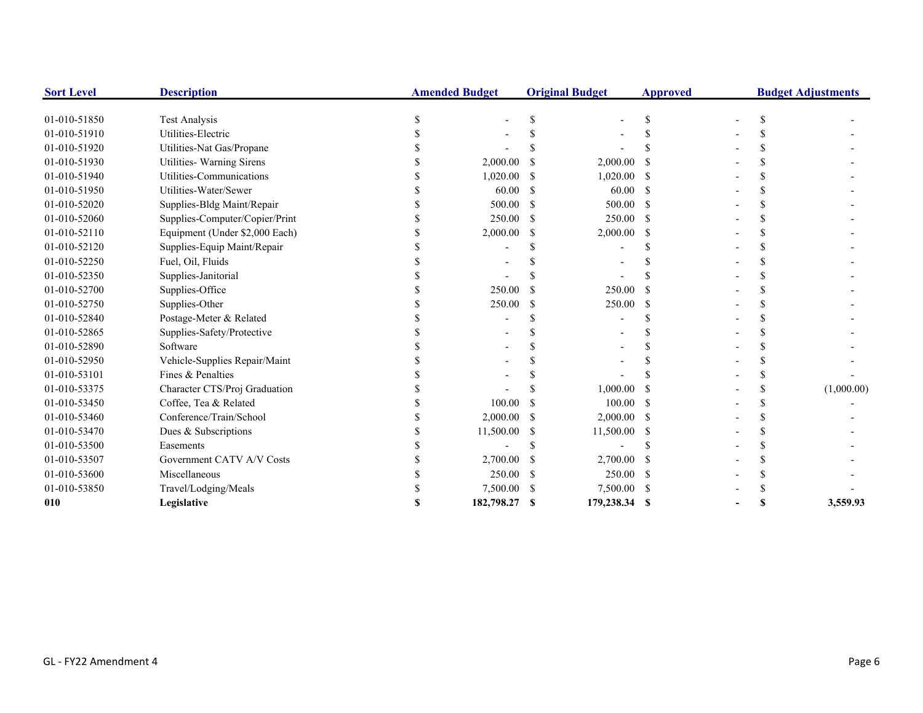| <b>Sort Level</b> | <b>Description</b>             | <b>Amended Budget</b> |               | <b>Original Budget</b> | <b>Approved</b> |  | <b>Budget Adjustments</b> |
|-------------------|--------------------------------|-----------------------|---------------|------------------------|-----------------|--|---------------------------|
| 01-010-51850      | <b>Test Analysis</b>           |                       |               |                        |                 |  |                           |
| 01-010-51910      | Utilities-Electric             |                       |               |                        |                 |  |                           |
| 01-010-51920      | Utilities-Nat Gas/Propane      |                       |               |                        |                 |  |                           |
| 01-010-51930      | Utilities- Warning Sirens      | 2,000.00              |               | 2,000.00               |                 |  |                           |
| 01-010-51940      | Utilities-Communications       | 1,020.00              |               | 1,020.00               |                 |  |                           |
| 01-010-51950      | Utilities-Water/Sewer          | 60.00                 | <sup>\$</sup> | 60.00                  | -S              |  |                           |
| 01-010-52020      | Supplies-Bldg Maint/Repair     | 500.00                | -S            | 500.00                 | - S             |  |                           |
| 01-010-52060      | Supplies-Computer/Copier/Print | 250.00                | -S            | $250.00$ \$            |                 |  |                           |
| 01-010-52110      | Equipment (Under \$2,000 Each) | 2,000.00              | -S            | 2,000.00               | -S              |  |                           |
| 01-010-52120      | Supplies-Equip Maint/Repair    |                       |               |                        |                 |  |                           |
| 01-010-52250      | Fuel, Oil, Fluids              |                       |               |                        |                 |  |                           |
| 01-010-52350      | Supplies-Janitorial            |                       |               |                        |                 |  |                           |
| 01-010-52700      | Supplies-Office                | 250.00                |               | 250.00                 |                 |  |                           |
| 01-010-52750      | Supplies-Other                 | 250.00                |               | 250.00                 |                 |  |                           |
| 01-010-52840      | Postage-Meter & Related        |                       |               |                        |                 |  |                           |
| 01-010-52865      | Supplies-Safety/Protective     |                       |               |                        |                 |  |                           |
| 01-010-52890      | Software                       |                       |               |                        |                 |  |                           |
| 01-010-52950      | Vehicle-Supplies Repair/Maint  |                       |               |                        |                 |  |                           |
| 01-010-53101      | Fines & Penalties              |                       |               |                        |                 |  |                           |
| 01-010-53375      | Character CTS/Proj Graduation  |                       |               | 1,000.00               |                 |  | (1,000.00)                |
| 01-010-53450      | Coffee, Tea & Related          | 100.00                |               | 100.00                 | - S             |  |                           |
| 01-010-53460      | Conference/Train/School        | 2,000.00              |               | $2,000.00$ \$          |                 |  |                           |
| 01-010-53470      | Dues & Subscriptions           | 11,500.00             |               | 11,500.00 \$           |                 |  |                           |
| 01-010-53500      | Easements                      |                       |               |                        |                 |  |                           |
| 01-010-53507      | Government CATV A/V Costs      | 2,700.00              |               | 2,700.00               |                 |  |                           |
| 01-010-53600      | Miscellaneous                  | 250.00                |               | 250.00                 |                 |  |                           |
| 01-010-53850      | Travel/Lodging/Meals           | 7,500.00              |               | 7,500.00 \$            |                 |  |                           |
| 010               | Legislative                    | 182,798.27            | S             | 179,238.34 \$          |                 |  | 3,559.93                  |
|                   |                                |                       |               |                        |                 |  |                           |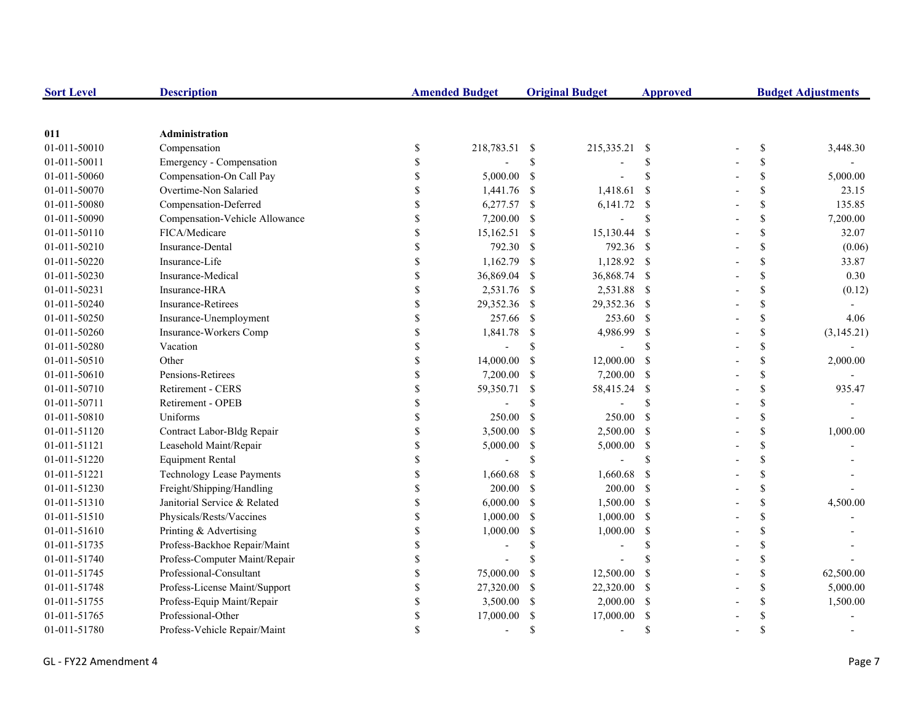| <b>Sort Level</b> | <b>Description</b>               |               | <b>Amended Budget</b> |               | <b>Original Budget</b>   | <b>Approved</b> | <b>Budget Adjustments</b> |              |            |
|-------------------|----------------------------------|---------------|-----------------------|---------------|--------------------------|-----------------|---------------------------|--------------|------------|
|                   |                                  |               |                       |               |                          |                 |                           |              |            |
| 011               | Administration                   |               |                       |               |                          |                 |                           |              |            |
| 01-011-50010      | Compensation                     | $\mathbb{S}$  | 218,783.51 \$         |               | 215,335.21               | - \$            |                           | \$           | 3,448.30   |
| 01-011-50011      | Emergency - Compensation         | \$            |                       | \$            |                          | \$              |                           | \$           |            |
| 01-011-50060      | Compensation-On Call Pay         | \$            | 5,000.00              | <sup>\$</sup> |                          | $\mathbf S$     |                           | \$           | 5,000.00   |
| 01-011-50070      | Overtime-Non Salaried            | \$            | 1,441.76              | -S            | 1,418.61                 | <sup>\$</sup>   |                           | \$           | 23.15      |
| 01-011-50080      | Compensation-Deferred            | \$            | 6,277.57 \$           |               | $6,141.72$ \$            |                 |                           | \$           | 135.85     |
| 01-011-50090      | Compensation-Vehicle Allowance   | \$            | 7,200.00              | - \$          |                          | \$              |                           | \$           | 7,200.00   |
| 01-011-50110      | FICA/Medicare                    | \$            | $15,162.51$ \$        |               | 15,130.44                | $\mathcal{S}$   |                           | $\mathbb{S}$ | 32.07      |
| 01-011-50210      | <b>Insurance-Dental</b>          | \$            | 792.30                | <sup>\$</sup> | 792.36 \$                |                 |                           | $\mathbb{S}$ | (0.06)     |
| 01-011-50220      | Insurance-Life                   | \$            | 1,162.79              | -S            | 1,128.92 \$              |                 |                           | \$           | 33.87      |
| 01-011-50230      | Insurance-Medical                | $\mathbb S$   | 36,869.04             | -S            | 36,868.74 \$             |                 |                           | \$           | 0.30       |
| 01-011-50231      | Insurance-HRA                    | $\mathbb S$   | 2,531.76              | -S            | 2,531.88 \$              |                 |                           | \$           | (0.12)     |
| 01-011-50240      | <b>Insurance-Retirees</b>        | \$            | 29,352.36             | -S            | 29,352.36 \$             |                 |                           | \$           |            |
| 01-011-50250      | Insurance-Unemployment           | \$            | 257.66                | - \$          | 253.60 \$                |                 |                           | \$           | 4.06       |
| 01-011-50260      | Insurance-Workers Comp           | \$            | 1,841.78              | -S            | 4,986.99                 | $\mathcal{S}$   |                           | \$           | (3,145.21) |
| 01-011-50280      | Vacation                         | \$            | $\overline{a}$        | \$            |                          | <sup>\$</sup>   |                           | \$           |            |
| 01-011-50510      | Other                            | \$            | 14,000.00             | -S            | 12,000.00                | <sup>\$</sup>   |                           | \$           | 2,000.00   |
| 01-011-50610      | Pensions-Retirees                | \$            | 7,200.00              | -S            | 7,200.00 \$              |                 |                           | \$           |            |
| 01-011-50710      | <b>Retirement - CERS</b>         | \$            | 59,350.71             | -S            | 58,415.24                | $\mathcal{S}$   |                           | \$           | 935.47     |
| 01-011-50711      | Retirement - OPEB                | \$            |                       | \$            |                          | <sup>\$</sup>   |                           | \$           |            |
| 01-011-50810      | Uniforms                         | \$            | 250.00                | <sup>\$</sup> | 250.00                   | $\mathcal{S}$   |                           | $\mathbb{S}$ |            |
| 01-011-51120      | Contract Labor-Bldg Repair       | \$            | 3,500.00              | <sup>\$</sup> | 2,500.00 \$              |                 |                           | \$           | 1,000.00   |
| 01-011-51121      | Leasehold Maint/Repair           | \$            | 5,000.00              | \$            | 5,000.00 \$              |                 |                           | \$           |            |
| 01-011-51220      | <b>Equipment Rental</b>          | \$            |                       | \$            |                          | <sup>\$</sup>   |                           | \$           |            |
| 01-011-51221      | <b>Technology Lease Payments</b> | \$            | 1,660.68              | -S            | 1,660.68                 | - \$            |                           | \$           |            |
| 01-011-51230      | Freight/Shipping/Handling        | \$            | 200.00                | <sup>\$</sup> | $200.00$ \$              |                 |                           | \$           |            |
| 01-011-51310      | Janitorial Service & Related     | \$            | 6,000.00              | -S            | $1,500.00$ \$            |                 |                           | \$           | 4,500.00   |
| 01-011-51510      | Physicals/Rests/Vaccines         | \$            | 1,000.00              | <sup>\$</sup> | 1,000.00                 | -\$             |                           | \$           |            |
| 01-011-51610      | Printing & Advertising           | \$            | 1,000.00              | \$            | 1,000.00                 | $\mathbb{S}$    |                           | \$           |            |
| 01-011-51735      | Profess-Backhoe Repair/Maint     |               |                       | \$            |                          | <sup>\$</sup>   |                           | \$           |            |
| 01-011-51740      | Profess-Computer Maint/Repair    | \$            |                       |               |                          |                 |                           | \$           |            |
| 01-011-51745      | Professional-Consultant          | \$            | 75,000.00             | -S            | 12,500.00                | <sup>\$</sup>   |                           | \$           | 62,500.00  |
| 01-011-51748      | Profess-License Maint/Support    | \$            | 27,320.00             | -S            | 22,320.00                | -S              |                           | \$           | 5,000.00   |
| 01-011-51755      | Profess-Equip Maint/Repair       | \$            | 3,500.00              | -S            | 2,000.00                 | -\$             |                           | \$           | 1,500.00   |
| 01-011-51765      | Professional-Other               | \$            | 17,000.00             | <sup>\$</sup> | 17,000.00                | <sup>\$</sup>   |                           | \$           |            |
| 01-011-51780      | Profess-Vehicle Repair/Maint     | $\mathcal{S}$ | $\overline{a}$        | <sup>\$</sup> | $\overline{\phantom{a}}$ | $\mathcal{S}$   |                           | \$           |            |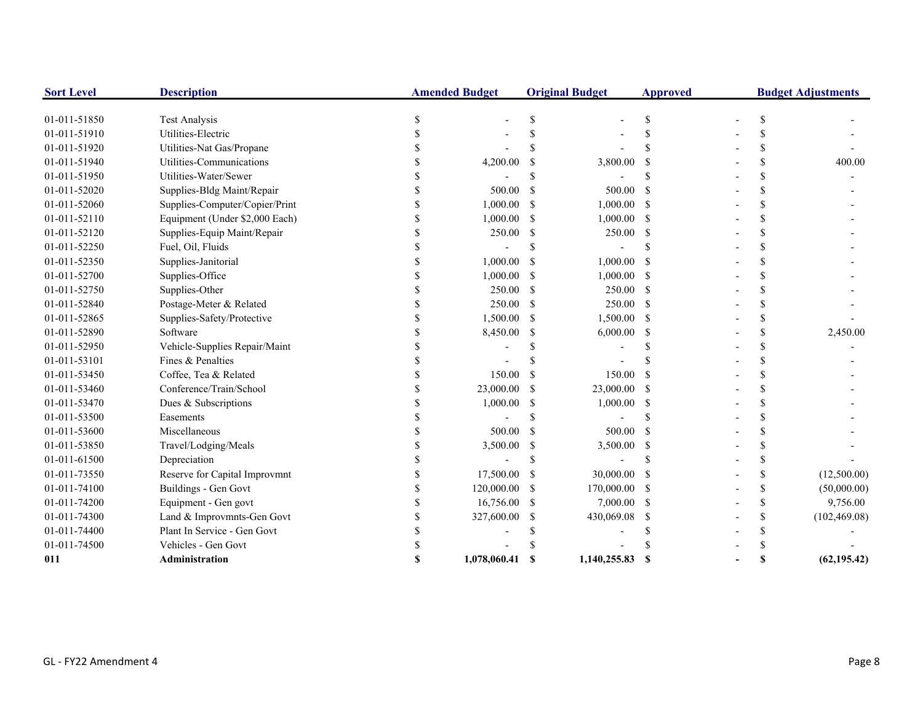| <b>Sort Level</b> | <b>Description</b>             | <b>Amended Budget</b> |              |               | <b>Original Budget</b> | <b>Approved</b> | <b>Budget Adjustments</b> |               |               |
|-------------------|--------------------------------|-----------------------|--------------|---------------|------------------------|-----------------|---------------------------|---------------|---------------|
| 01-011-51850      | <b>Test Analysis</b>           |                       |              |               |                        |                 |                           |               |               |
| 01-011-51910      | Utilities-Electric             |                       |              |               |                        |                 |                           |               |               |
| 01-011-51920      | Utilities-Nat Gas/Propane      |                       |              |               |                        |                 |                           |               |               |
| 01-011-51940      | Utilities-Communications       |                       | 4,200.00     |               | 3,800.00               |                 |                           | \$.           | 400.00        |
| 01-011-51950      | Utilities-Water/Sewer          |                       |              |               |                        |                 |                           | \$.           |               |
| 01-011-52020      | Supplies-Bldg Maint/Repair     |                       | 500.00       |               | 500.00                 |                 |                           | \$.           |               |
| 01-011-52060      | Supplies-Computer/Copier/Print |                       | 1,000.00     | S             | 1,000.00               | -S              |                           | \$.           |               |
| 01-011-52110      | Equipment (Under \$2,000 Each) |                       | 1,000.00     | -S            | $1,000.00$ \$          |                 |                           | \$.           |               |
| 01-011-52120      | Supplies-Equip Maint/Repair    |                       | 250.00       | -S            | 250.00                 | -S              |                           | \$.           |               |
| 01-011-52250      | Fuel, Oil, Fluids              |                       |              |               |                        |                 |                           | \$.           |               |
| 01-011-52350      | Supplies-Janitorial            |                       | 1,000.00     |               | 1,000.00               | - \$            |                           |               |               |
| 01-011-52700      | Supplies-Office                |                       | 1,000.00     | -S            | $1,000.00$ \$          |                 |                           | \$.           |               |
| 01-011-52750      | Supplies-Other                 |                       | 250.00       | -S            | $250.00$ \$            |                 |                           | \$.           |               |
| 01-011-52840      | Postage-Meter & Related        |                       | 250.00       | <sup>\$</sup> | 250.00 \$              |                 |                           |               |               |
| 01-011-52865      | Supplies-Safety/Protective     |                       | 1,500.00     | -S            | 1,500.00 \$            |                 |                           | \$.           |               |
| 01-011-52890      | Software                       |                       | 8,450.00     | S             | 6,000.00               | -S              |                           | \$.           | 2,450.00      |
| 01-011-52950      | Vehicle-Supplies Repair/Maint  |                       |              |               |                        |                 |                           | \$.           |               |
| 01-011-53101      | Fines & Penalties              |                       |              |               |                        |                 |                           | \$.           |               |
| 01-011-53450      | Coffee, Tea & Related          |                       | 150.00       |               | 150.00                 | -S              |                           | \$.           |               |
| 01-011-53460      | Conference/Train/School        |                       | 23,000.00    |               | 23,000.00              | -S              |                           | \$.           |               |
| 01-011-53470      | Dues & Subscriptions           |                       | 1,000.00     |               | 1,000.00               | - \$            |                           |               |               |
| 01-011-53500      | Easements                      |                       |              |               |                        |                 |                           |               |               |
| 01-011-53600      | Miscellaneous                  |                       | 500.00       |               | 500.00                 | - \$            |                           |               |               |
| 01-011-53850      | Travel/Lodging/Meals           |                       | 3,500.00     | \$            | 3,500.00               | - \$            |                           | \$            |               |
| 01-011-61500      | Depreciation                   |                       |              |               |                        |                 |                           | \$.           |               |
| 01-011-73550      | Reserve for Capital Improvmnt  |                       | 17,500.00    |               | 30,000.00              | -S              |                           | \$.           | (12,500.00)   |
| 01-011-74100      | <b>Buildings - Gen Govt</b>    |                       | 120,000.00   | -S            | 170,000.00 \$          |                 |                           | <sup>\$</sup> | (50,000.00)   |
| 01-011-74200      | Equipment - Gen govt           |                       | 16,756.00    | -S            | $7,000.00$ \$          |                 |                           | \$            | 9,756.00      |
| 01-011-74300      | Land & Improvmnts-Gen Govt     |                       | 327,600.00   | S             | 430,069.08             | -S              |                           | <sup>\$</sup> | (102, 469.08) |
| 01-011-74400      | Plant In Service - Gen Govt    |                       |              |               |                        |                 |                           | \$.           |               |
| 01-011-74500      | Vehicles - Gen Govt            |                       |              |               |                        |                 |                           |               |               |
| 011               | Administration                 |                       | 1,078,060.41 |               | 1,140,255.83           | -S              |                           | S             | (62, 195.42)  |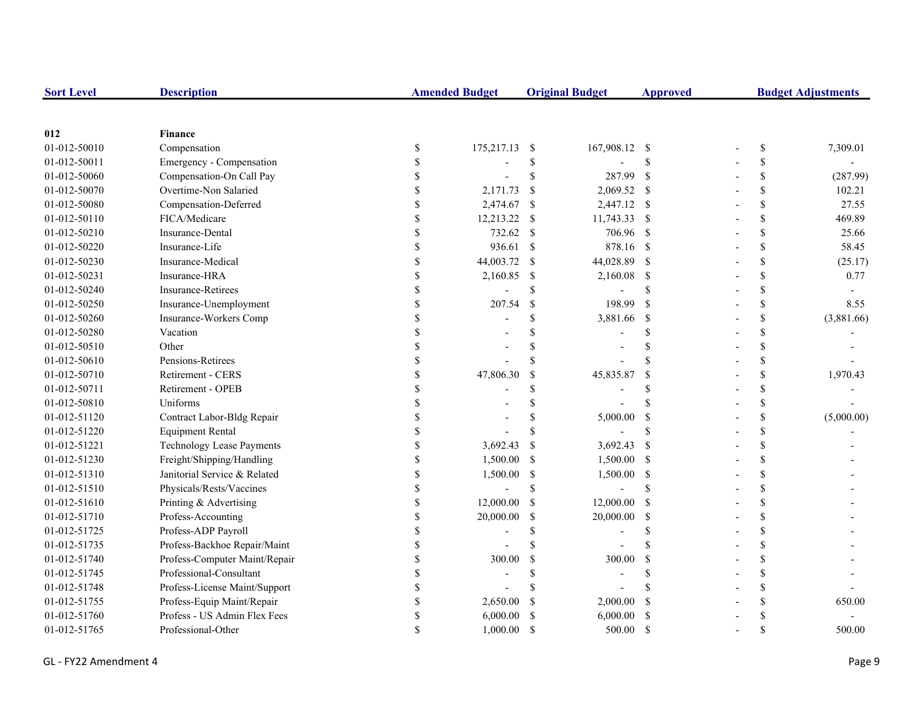| <b>Sort Level</b> | <b>Description</b>               |               | <b>Amended Budget</b> |               | <b>Original Budget</b> | <b>Approved</b>    | <b>Budget Adjustments</b> |              |            |
|-------------------|----------------------------------|---------------|-----------------------|---------------|------------------------|--------------------|---------------------------|--------------|------------|
|                   |                                  |               |                       |               |                        |                    |                           |              |            |
| 012               | <b>Finance</b>                   |               |                       |               |                        |                    |                           |              |            |
| 01-012-50010      | Compensation                     | \$            | 175,217.13            | -S            | 167,908.12 \$          |                    |                           | $\mathbb{S}$ | 7,309.01   |
| 01-012-50011      | Emergency - Compensation         | \$            |                       | $\mathbb{S}$  |                        | $\mathcal{S}$      |                           | \$           |            |
| 01-012-50060      | Compensation-On Call Pay         | \$            |                       | \$            | 287.99                 | $\mathbf{s}$       |                           | \$           | (287.99)   |
| 01-012-50070      | Overtime-Non Salaried            |               | 2,171.73              | $\mathcal{S}$ | $2,069.52$ \$          |                    |                           | \$           | 102.21     |
| 01-012-50080      | Compensation-Deferred            |               | 2,474.67              | -\$           | 2,447.12 \$            |                    |                           | \$           | 27.55      |
| 01-012-50110      | FICA/Medicare                    |               | 12,213.22             | -\$           | 11,743.33 \$           |                    |                           | \$           | 469.89     |
| 01-012-50210      | Insurance-Dental                 | \$            | 732.62                | -\$           | 706.96 \$              |                    |                           | \$           | 25.66      |
| 01-012-50220      | Insurance-Life                   | $\mathbf S$   | 936.61                | $\mathcal{S}$ | 878.16 \$              |                    |                           | \$           | 58.45      |
| 01-012-50230      | Insurance-Medical                | $\mathbf S$   | 44,003.72             | -S            | 44,028.89 \$           |                    |                           | \$           | (25.17)    |
| 01-012-50231      | Insurance-HRA                    | \$            | 2,160.85              | -\$           | 2,160.08 \$            |                    |                           | \$           | 0.77       |
| 01-012-50240      | <b>Insurance-Retirees</b>        | \$            |                       | \$            |                        | <sup>\$</sup>      |                           | \$           |            |
| 01-012-50250      | Insurance-Unemployment           | \$            | 207.54                | $\mathbb{S}$  | 198.99                 | <sup>S</sup>       |                           | \$           | 8.55       |
| 01-012-50260      | Insurance-Workers Comp           |               |                       | \$.           | 3,881.66               | $\mathcal{S}$      |                           | \$           | (3,881.66) |
| 01-012-50280      | Vacation                         |               |                       |               |                        | $\mathbf{\hat{S}}$ |                           | \$           |            |
| 01-012-50510      | Other                            |               |                       |               |                        | $\mathbf{\hat{S}}$ |                           | \$           |            |
| 01-012-50610      | Pensions-Retirees                |               |                       |               |                        | $\mathbf{\hat{S}}$ |                           | \$           |            |
| 01-012-50710      | Retirement - CERS                |               | 47,806.30             | <sup>\$</sup> | 45,835.87              | <sup>\$</sup>      |                           | \$           | 1,970.43   |
| 01-012-50711      | Retirement - OPEB                |               |                       | \$            |                        | <sup>\$</sup>      |                           | \$           |            |
| 01-012-50810      | Uniforms                         |               |                       | \$            |                        | $\mathbf{\hat{S}}$ |                           | \$           |            |
| 01-012-51120      | Contract Labor-Bldg Repair       |               |                       | \$            | 5,000.00               | <sup>\$</sup>      |                           | \$           | (5,000.00) |
| 01-012-51220      | <b>Equipment Rental</b>          | $\mathcal{S}$ |                       | \$.           |                        | $\mathbf S$        |                           | \$           |            |
| 01-012-51221      | <b>Technology Lease Payments</b> | \$            | 3,692.43              | <sup>\$</sup> | 3,692.43               | - \$               |                           | \$           |            |
| 01-012-51230      | Freight/Shipping/Handling        | \$            | 1,500.00              | <sup>\$</sup> | 1,500.00 \$            |                    |                           | \$           |            |
| 01-012-51310      | Janitorial Service & Related     | \$            | 1,500.00              | \$            | 1,500.00 \$            |                    |                           | \$           |            |
| 01-012-51510      | Physicals/Rests/Vaccines         | S             |                       | $\mathbb{S}$  |                        | $\mathbf{\hat{S}}$ |                           | \$           |            |
| 01-012-51610      | Printing & Advertising           | \$            | 12,000.00             | -\$           | 12,000.00              | - \$               |                           | \$           |            |
| 01-012-51710      | Profess-Accounting               | \$            | 20,000.00             | <sup>\$</sup> | 20,000.00              | -S                 |                           | \$           |            |
| 01-012-51725      | Profess-ADP Payroll              |               |                       | \$.           |                        | <sup>\$</sup>      |                           | \$           |            |
| 01-012-51735      | Profess-Backhoe Repair/Maint     |               |                       |               |                        | $\mathbf{\hat{S}}$ |                           | \$           |            |
| 01-012-51740      | Profess-Computer Maint/Repair    |               | 300.00                | <sup>\$</sup> | 300.00                 | <sup>\$</sup>      |                           | \$           |            |
| 01-012-51745      | Professional-Consultant          |               |                       | \$.           |                        | <sup>\$</sup>      |                           | \$           |            |
| 01-012-51748      | Profess-License Maint/Support    | \$            |                       |               |                        |                    |                           | \$           |            |
| 01-012-51755      | Profess-Equip Maint/Repair       | \$            | 2,650.00              | <sup>\$</sup> | 2,000.00               | <sup>\$</sup>      |                           | \$           | 650.00     |
| 01-012-51760      | Profess - US Admin Flex Fees     |               | 6,000.00              |               | 6,000.00               | <sup>\$</sup>      |                           | \$           |            |
| 01-012-51765      | Professional-Other               |               | 1,000.00              | <sup>\$</sup> | 500.00                 | -S                 |                           | \$           | 500.00     |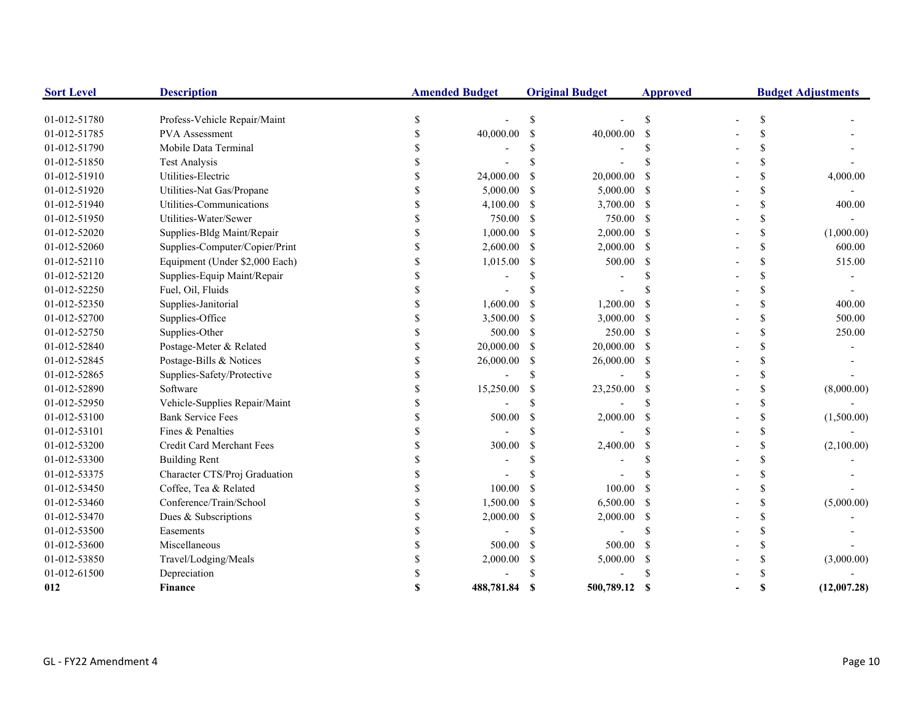| <b>Sort Level</b> | <b>Description</b>             |    | <b>Amended Budget</b> |               | <b>Original Budget</b> | <b>Approved</b> | <b>Budget Adjustments</b> |    |             |
|-------------------|--------------------------------|----|-----------------------|---------------|------------------------|-----------------|---------------------------|----|-------------|
| 01-012-51780      | Profess-Vehicle Repair/Maint   | \$ |                       | \$            |                        | \$              |                           | \$ |             |
| 01-012-51785      | PVA Assessment                 | S  | 40,000.00             | <sup>\$</sup> | 40,000.00              | - \$            |                           | \$ |             |
| 01-012-51790      | Mobile Data Terminal           |    |                       |               |                        |                 |                           | \$ |             |
| 01-012-51850      | <b>Test Analysis</b>           |    |                       |               |                        |                 |                           | \$ |             |
| 01-012-51910      | Utilities-Electric             |    | 24,000.00             | -S            | 20,000.00              | -\$             |                           | \$ | 4,000.00    |
| 01-012-51920      | Utilities-Nat Gas/Propane      |    | 5,000.00              | -S            | 5,000.00 \$            |                 |                           | \$ |             |
| 01-012-51940      | Utilities-Communications       |    | 4,100.00              | <sup>\$</sup> | 3,700.00 \$            |                 |                           | \$ | 400.00      |
| 01-012-51950      | Utilities-Water/Sewer          |    | 750.00                | <sup>\$</sup> | 750.00 \$              |                 |                           | \$ |             |
| 01-012-52020      | Supplies-Bldg Maint/Repair     |    | 1,000.00              | <sup>\$</sup> | $2,000.00$ \$          |                 |                           | \$ | (1,000.00)  |
| 01-012-52060      | Supplies-Computer/Copier/Print |    | 2,600.00              | \$            | $2,000.00$ \$          |                 |                           | \$ | 600.00      |
| 01-012-52110      | Equipment (Under \$2,000 Each) |    | 1,015.00              | <sup>\$</sup> | 500.00                 | $\mathcal{S}$   |                           | \$ | 515.00      |
| 01-012-52120      | Supplies-Equip Maint/Repair    |    |                       |               |                        |                 |                           | \$ |             |
| 01-012-52250      | Fuel, Oil, Fluids              |    |                       |               |                        |                 |                           | \$ |             |
| 01-012-52350      | Supplies-Janitorial            |    | 1,600.00              | S.            | 1,200.00               | <sup>\$</sup>   |                           | \$ | 400.00      |
| 01-012-52700      | Supplies-Office                |    | 3,500.00              | -S            | 3,000.00 \$            |                 |                           | \$ | 500.00      |
| 01-012-52750      | Supplies-Other                 |    | 500.00                | <sup>\$</sup> | 250.00 \$              |                 |                           | \$ | 250.00      |
| 01-012-52840      | Postage-Meter & Related        |    | 20,000.00             | -S            | 20,000.00 \$           |                 |                           | \$ |             |
| 01-012-52845      | Postage-Bills & Notices        |    | 26,000.00             | -S            | 26,000.00 \$           |                 |                           | \$ |             |
| 01-012-52865      | Supplies-Safety/Protective     |    |                       | <sup>\$</sup> |                        | <sup>\$</sup>   |                           | \$ |             |
| 01-012-52890      | Software                       |    | 15,250.00             | <sup>\$</sup> | 23,250.00              | <sup>\$</sup>   |                           | \$ | (8,000.00)  |
| 01-012-52950      | Vehicle-Supplies Repair/Maint  |    |                       | <sup>\$</sup> |                        | S               |                           | \$ |             |
| 01-012-53100      | <b>Bank Service Fees</b>       |    | 500.00                | <sup>\$</sup> | 2,000.00               | - \$            |                           | \$ | (1,500.00)  |
| 01-012-53101      | Fines & Penalties              |    |                       | <sup>\$</sup> |                        | $\mathcal{S}$   |                           | \$ |             |
| 01-012-53200      | Credit Card Merchant Fees      |    | 300.00                | <sup>\$</sup> | 2,400.00               | -\$             |                           | \$ | (2,100.00)  |
| 01-012-53300      | <b>Building Rent</b>           |    |                       | S             |                        |                 |                           | \$ |             |
| 01-012-53375      | Character CTS/Proj Graduation  |    |                       |               |                        |                 |                           | \$ |             |
| 01-012-53450      | Coffee, Tea & Related          |    | 100.00                | -S            | 100.00                 | -S              |                           | \$ |             |
| 01-012-53460      | Conference/Train/School        |    | 1,500.00              | -S            | 6,500.00 \$            |                 |                           | \$ | (5,000.00)  |
| 01-012-53470      | Dues & Subscriptions           |    | 2,000.00              | <sup>\$</sup> | $2,000.00$ \$          |                 |                           | \$ |             |
| 01-012-53500      | Easements                      |    |                       | <sup>\$</sup> |                        | \$.             |                           | \$ |             |
| 01-012-53600      | Miscellaneous                  |    | 500.00                | <sup>\$</sup> | 500.00                 | -S              |                           | \$ |             |
| 01-012-53850      | Travel/Lodging/Meals           |    | 2,000.00              | \$            | 5,000.00               | - \$            |                           | \$ | (3,000.00)  |
| 01-012-61500      | Depreciation                   |    |                       |               |                        | \$.             |                           | \$ |             |
| 012               | <b>Finance</b>                 |    | 488,781.84            | <b>S</b>      | 500,789.12             | - \$            |                           | \$ | (12,007.28) |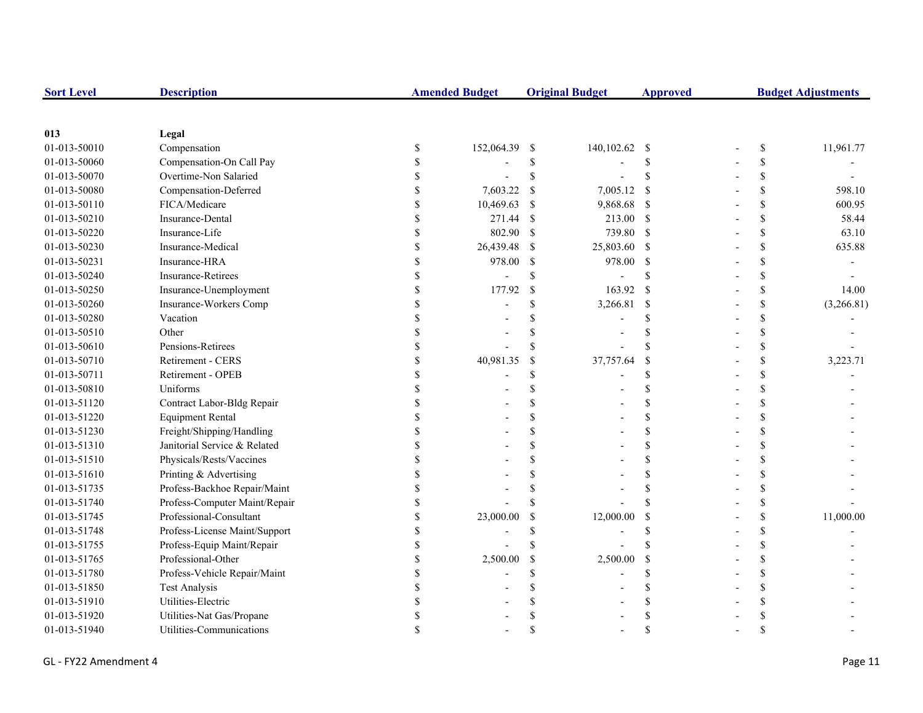| <b>Sort Level</b> | <b>Description</b>            | <b>Amended Budget</b> |               | <b>Original Budget</b> | <b>Approved</b>    | <b>Budget Adjustments</b> |                    |            |
|-------------------|-------------------------------|-----------------------|---------------|------------------------|--------------------|---------------------------|--------------------|------------|
|                   |                               |                       |               |                        |                    |                           |                    |            |
| 013               | Legal                         |                       |               |                        |                    |                           |                    |            |
| 01-013-50010      | Compensation                  | \$<br>152,064.39 \$   |               | 140,102.62 \$          |                    |                           | \$                 | 11,961.77  |
| 01-013-50060      | Compensation-On Call Pay      |                       | \$            |                        | <sup>S</sup>       |                           | \$                 |            |
| 01-013-50070      | Overtime-Non Salaried         |                       | \$            |                        | \$                 |                           | \$                 |            |
| 01-013-50080      | Compensation-Deferred         | 7,603.22              | <sup>\$</sup> | 7,005.12               | -S                 |                           | \$                 | 598.10     |
| 01-013-50110      | FICA/Medicare                 | 10,469.63             | <sup>\$</sup> | 9,868.68               | $\mathbf s$        |                           | \$                 | 600.95     |
| 01-013-50210      | Insurance-Dental              | 271.44                | -\$           | 213.00 \$              |                    |                           | \$                 | 58.44      |
| 01-013-50220      | Insurance-Life                | 802.90                | -S            | 739.80 \$              |                    |                           | \$                 | 63.10      |
| 01-013-50230      | Insurance-Medical             | 26,439.48             | -\$           | 25,803.60 \$           |                    |                           | \$                 | 635.88     |
| 01-013-50231      | Insurance-HRA                 | 978.00                | -S            | 978.00                 | <sup>\$</sup>      |                           | \$                 |            |
| 01-013-50240      | Insurance-Retirees            |                       | \$            |                        | <sup>\$</sup>      |                           | \$                 |            |
| 01-013-50250      | Insurance-Unemployment        | 177.92                | $\mathcal{S}$ | 163.92                 | <sup>S</sup>       |                           | \$                 | 14.00      |
| 01-013-50260      | Insurance-Workers Comp        |                       | \$.           | 3,266.81               | $\mathcal{S}$      |                           | \$                 | (3,266.81) |
| 01-013-50280      | Vacation                      |                       |               |                        | \$.                |                           | \$                 |            |
| 01-013-50510      | Other                         |                       |               |                        | S                  |                           | \$                 |            |
| 01-013-50610      | Pensions-Retirees             |                       |               |                        | <b>S</b>           |                           | \$                 |            |
| 01-013-50710      | Retirement - CERS             | 40,981.35             | $\mathcal{S}$ | 37,757.64              | <sup>\$</sup>      |                           | \$                 | 3,223.71   |
| 01-013-50711      | Retirement - OPEB             |                       | S             |                        | \$                 |                           | \$                 |            |
| 01-013-50810      | Uniforms                      |                       |               |                        | <sup>\$</sup>      |                           | \$                 |            |
| 01-013-51120      | Contract Labor-Bldg Repair    |                       |               |                        | <sup>\$</sup>      |                           | \$                 |            |
| 01-013-51220      | <b>Equipment Rental</b>       |                       |               |                        | <sup>\$</sup>      |                           | \$                 |            |
| 01-013-51230      | Freight/Shipping/Handling     |                       |               |                        | $\mathcal{S}$      |                           | \$                 |            |
| 01-013-51310      | Janitorial Service & Related  |                       |               |                        | \$                 |                           | \$                 |            |
| 01-013-51510      | Physicals/Rests/Vaccines      |                       |               |                        | <sup>\$</sup>      |                           | \$                 |            |
| 01-013-51610      | Printing & Advertising        |                       |               |                        | <sup>\$</sup>      |                           | \$                 |            |
| 01-013-51735      | Profess-Backhoe Repair/Maint  |                       |               |                        | <sup>\$</sup>      |                           | \$                 |            |
| 01-013-51740      | Profess-Computer Maint/Repair |                       |               |                        | <sup>\$</sup>      |                           | \$                 |            |
| 01-013-51745      | Professional-Consultant       | 23,000.00             | \$            | 12,000.00              | $\mathcal{S}$      |                           | \$                 | 11,000.00  |
| 01-013-51748      | Profess-License Maint/Support |                       |               |                        | <sup>\$</sup>      |                           | \$                 |            |
| 01-013-51755      | Profess-Equip Maint/Repair    |                       |               |                        | <b>S</b>           |                           | \$                 |            |
| 01-013-51765      | Professional-Other            | 2,500.00              | \$            | 2,500.00               | \$                 |                           | \$                 |            |
| 01-013-51780      | Profess-Vehicle Repair/Maint  |                       | S             |                        | <sup>\$</sup>      |                           | \$                 |            |
| 01-013-51850      | <b>Test Analysis</b>          |                       |               |                        | \$.                |                           | \$                 |            |
| 01-013-51910      | Utilities-Electric            |                       |               |                        |                    |                           | \$                 |            |
| 01-013-51920      | Utilities-Nat Gas/Propane     |                       |               |                        |                    |                           | \$                 |            |
| 01-013-51940      | Utilities-Communications      |                       |               |                        | $\mathbf{\hat{S}}$ |                           | $\mathbf{\hat{S}}$ |            |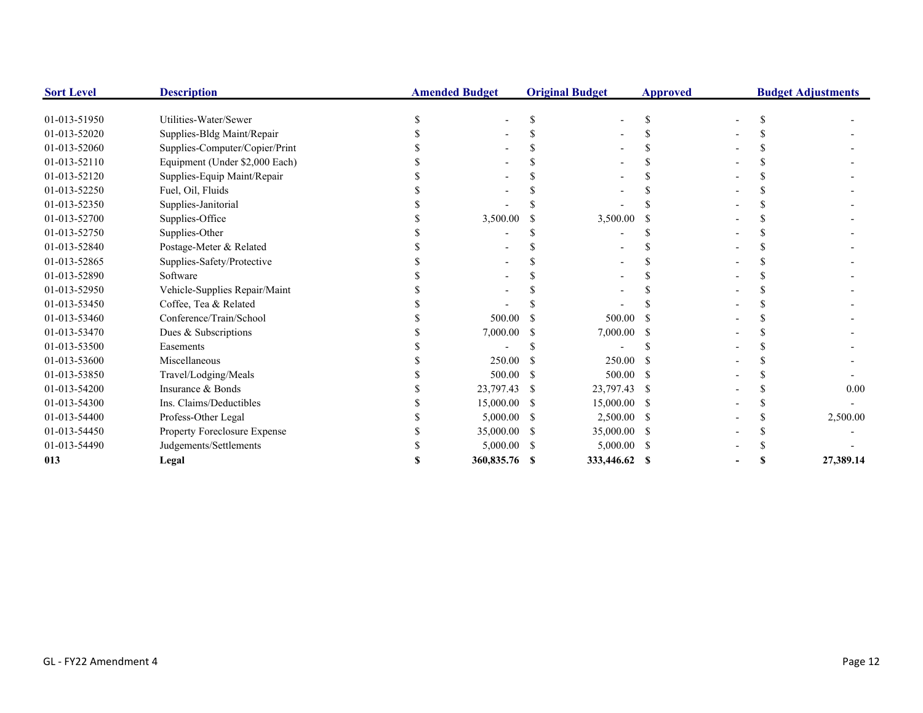| <b>Sort Level</b> | <b>Description</b>             | <b>Amended Budget</b> |      | <b>Original Budget</b> | <b>Approved</b> | <b>Budget Adjustments</b> |  |           |
|-------------------|--------------------------------|-----------------------|------|------------------------|-----------------|---------------------------|--|-----------|
| 01-013-51950      | Utilities-Water/Sewer          |                       |      |                        | <sup>\$</sup>   |                           |  |           |
| 01-013-52020      | Supplies-Bldg Maint/Repair     |                       |      |                        |                 |                           |  |           |
| 01-013-52060      | Supplies-Computer/Copier/Print |                       |      |                        |                 |                           |  |           |
| 01-013-52110      | Equipment (Under \$2,000 Each) |                       |      |                        |                 |                           |  |           |
| 01-013-52120      | Supplies-Equip Maint/Repair    |                       |      |                        |                 |                           |  |           |
| 01-013-52250      | Fuel, Oil, Fluids              |                       |      |                        |                 |                           |  |           |
| 01-013-52350      | Supplies-Janitorial            |                       |      |                        |                 |                           |  |           |
| 01-013-52700      | Supplies-Office                | 3,500.00              |      | 3,500.00               |                 |                           |  |           |
| 01-013-52750      | Supplies-Other                 |                       |      |                        |                 |                           |  |           |
| 01-013-52840      | Postage-Meter & Related        |                       |      |                        |                 |                           |  |           |
| 01-013-52865      | Supplies-Safety/Protective     |                       |      |                        |                 |                           |  |           |
| 01-013-52890      | Software                       |                       |      |                        |                 |                           |  |           |
| 01-013-52950      | Vehicle-Supplies Repair/Maint  |                       |      |                        |                 |                           |  |           |
| 01-013-53450      | Coffee, Tea & Related          |                       |      |                        |                 |                           |  |           |
| 01-013-53460      | Conference/Train/School        | 500.00                |      | 500.00                 |                 |                           |  |           |
| 01-013-53470      | Dues & Subscriptions           | 7,000.00              |      | 7,000.00               |                 |                           |  |           |
| 01-013-53500      | Easements                      |                       |      |                        |                 |                           |  |           |
| 01-013-53600      | Miscellaneous                  | 250.00                |      | 250.00                 |                 |                           |  |           |
| 01-013-53850      | Travel/Lodging/Meals           | 500.00                |      | 500.00                 | -S              |                           |  |           |
| 01-013-54200      | Insurance & Bonds              | 23,797.43             | -S   | 23,797.43 \$           |                 |                           |  | 0.00      |
| 01-013-54300      | Ins. Claims/Deductibles        | 15,000.00             | -S   | 15,000.00 \$           |                 |                           |  |           |
| 01-013-54400      | Profess-Other Legal            | 5,000.00              |      | $2,500.00$ \$          |                 |                           |  | 2,500.00  |
| 01-013-54450      | Property Foreclosure Expense   | 35,000.00             |      | 35,000.00 \$           |                 |                           |  |           |
| 01-013-54490      | Judgements/Settlements         | 5,000.00              | - \$ | 5,000.00 \$            |                 |                           |  |           |
| 013               | Legal                          | 360,835.76 \$         |      | 333,446.62 \$          |                 |                           |  | 27,389.14 |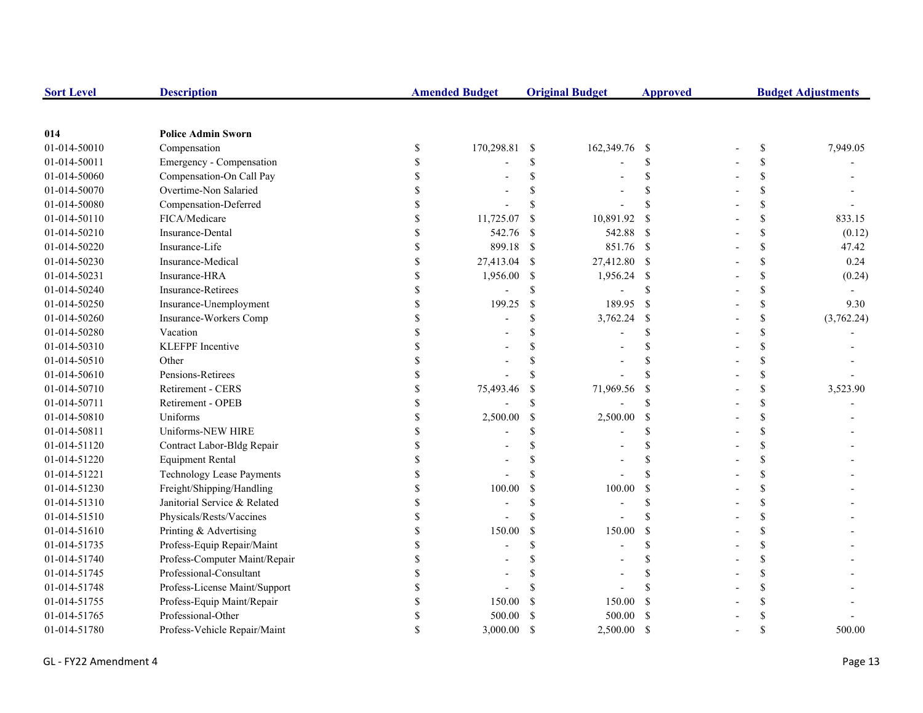| <b>Sort Level</b> | <b>Description</b>            |               | <b>Amended Budget</b> |               | <b>Original Budget</b> | <b>Approved</b>    | <b>Budget Adjustments</b> |            |
|-------------------|-------------------------------|---------------|-----------------------|---------------|------------------------|--------------------|---------------------------|------------|
|                   |                               |               |                       |               |                        |                    |                           |            |
| 014               | <b>Police Admin Sworn</b>     |               |                       |               |                        |                    |                           |            |
| 01-014-50010      | Compensation                  | \$            | 170,298.81            | -S            | 162,349.76 \$          |                    | $\mathbb{S}$              | 7,949.05   |
| 01-014-50011      | Emergency - Compensation      | <sup>\$</sup> |                       | \$.           |                        | <sup>\$</sup>      | \$                        |            |
| 01-014-50060      | Compensation-On Call Pay      |               |                       | \$            |                        | <sup>\$</sup>      | \$                        |            |
| 01-014-50070      | Overtime-Non Salaried         |               |                       |               |                        | $\mathbf{\hat{S}}$ | \$                        |            |
| 01-014-50080      | Compensation-Deferred         |               |                       | \$.           |                        | $\mathbf{\hat{S}}$ | \$                        |            |
| 01-014-50110      | FICA/Medicare                 |               | 11,725.07             | <sup>\$</sup> | 10,891.92              | <sup>\$</sup>      | \$                        | 833.15     |
| 01-014-50210      | Insurance-Dental              |               | 542.76                | -S            | 542.88                 | - \$               | \$                        | (0.12)     |
| 01-014-50220      | Insurance-Life                |               | 899.18                | -\$           | 851.76 \$              |                    | \$                        | 47.42      |
| 01-014-50230      | Insurance-Medical             |               | 27,413.04             | -S            | 27,412.80 \$           |                    | \$                        | 0.24       |
| 01-014-50231      | Insurance-HRA                 | \$            | 1,956.00              | -S            | 1,956.24               | - \$               | \$                        | (0.24)     |
| 01-014-50240      | <b>Insurance-Retirees</b>     | $\mathcal{S}$ |                       | \$            |                        | \$.                | \$                        |            |
| 01-014-50250      | Insurance-Unemployment        | \$            | 199.25                | $\mathcal{S}$ | 189.95                 | <sup>\$</sup>      | \$                        | 9.30       |
| 01-014-50260      | Insurance-Workers Comp        |               |                       | \$            | 3,762.24               | <sup>\$</sup>      | \$                        | (3,762.24) |
| 01-014-50280      | Vacation                      |               |                       | \$            |                        | $\mathcal{S}$      | \$                        |            |
| 01-014-50310      | KLEFPF Incentive              |               |                       |               |                        |                    | \$                        |            |
| 01-014-50510      | Other                         |               |                       |               |                        | $\mathcal{S}$      | \$                        |            |
| 01-014-50610      | Pensions-Retirees             |               |                       | \$.           |                        | $\mathbf{\hat{S}}$ | \$                        |            |
| 01-014-50710      | Retirement - CERS             |               | 75,493.46             | \$            | 71,969.56              | \$                 | \$                        | 3,523.90   |
| 01-014-50711      | Retirement - OPEB             |               |                       | $\mathcal{S}$ |                        | $\mathbf{\hat{S}}$ | \$                        |            |
| 01-014-50810      | Uniforms                      |               | 2,500.00              | $\mathcal{S}$ | 2,500.00               | <sup>\$</sup>      | \$                        |            |
| 01-014-50811      | Uniforms-NEW HIRE             |               |                       | \$.           |                        | <sup>\$</sup>      | \$                        |            |
| 01-014-51120      | Contract Labor-Bldg Repair    | \$            |                       |               |                        | \$                 | \$                        |            |
| 01-014-51220      | <b>Equipment Rental</b>       | S             |                       | S             |                        | \$                 | \$                        |            |
| 01-014-51221      | Technology Lease Payments     |               |                       |               |                        | \$.                | \$                        |            |
| 01-014-51230      | Freight/Shipping/Handling     |               | 100.00                | <sup>\$</sup> | 100.00                 | \$                 | \$                        |            |
| 01-014-51310      | Janitorial Service & Related  |               |                       | $\mathcal{S}$ |                        | $\mathbf{\hat{S}}$ | \$                        |            |
| 01-014-51510      | Physicals/Rests/Vaccines      |               |                       | $\mathbf S$   |                        | $\mathbf{\hat{S}}$ | \$                        |            |
| 01-014-51610      | Printing & Advertising        |               | 150.00                | <sup>\$</sup> | 150.00                 | <sup>\$</sup>      | \$                        |            |
| 01-014-51735      | Profess-Equip Repair/Maint    |               |                       | \$.           |                        | $\mathcal{S}$      | \$                        |            |
| 01-014-51740      | Profess-Computer Maint/Repair |               |                       |               |                        | $\mathcal{S}$      | \$                        |            |
| 01-014-51745      | Professional-Consultant       |               |                       |               |                        | $\mathcal{S}$      | \$                        |            |
| 01-014-51748      | Profess-License Maint/Support |               |                       |               |                        |                    | \$                        |            |
| 01-014-51755      | Profess-Equip Maint/Repair    | \$.           | 150.00                |               | 150.00                 | <sup>\$</sup>      | \$                        |            |
| 01-014-51765      | Professional-Other            |               | 500.00                |               | 500.00                 | <sup>\$</sup>      | \$                        |            |
| 01-014-51780      | Profess-Vehicle Repair/Maint  |               | 3,000.00              | $\mathcal{S}$ | 2,500.00               | <sup>\$</sup>      | \$                        | 500.00     |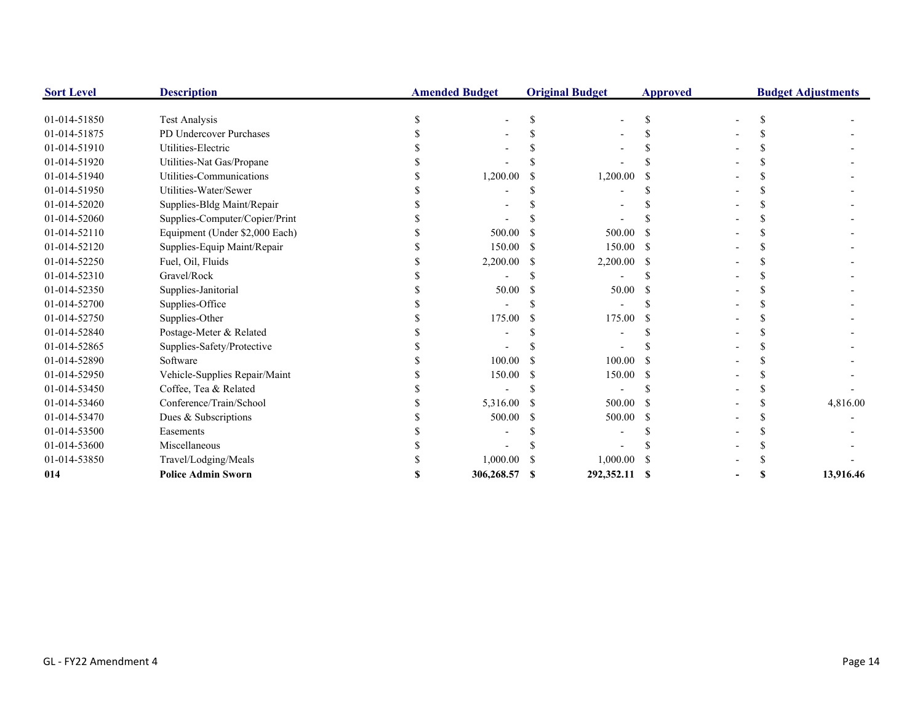| <b>Sort Level</b> | <b>Description</b>             |   | <b>Amended Budget</b> | <b>Original Budget</b> | <b>Approved</b> |   | <b>Budget Adjustments</b> |
|-------------------|--------------------------------|---|-----------------------|------------------------|-----------------|---|---------------------------|
| 01-014-51850      | Test Analysis                  | S |                       |                        | S               |   |                           |
| 01-014-51875      | PD Undercover Purchases        |   |                       |                        |                 |   |                           |
| 01-014-51910      | Utilities-Electric             |   |                       |                        |                 |   |                           |
| 01-014-51920      | Utilities-Nat Gas/Propane      |   |                       |                        |                 |   |                           |
| 01-014-51940      | Utilities-Communications       |   | 1,200.00              | 1,200.00               |                 |   |                           |
| 01-014-51950      | Utilities-Water/Sewer          |   |                       |                        |                 |   |                           |
| 01-014-52020      | Supplies-Bldg Maint/Repair     |   |                       |                        |                 |   |                           |
| 01-014-52060      | Supplies-Computer/Copier/Print |   |                       |                        |                 |   |                           |
| 01-014-52110      | Equipment (Under \$2,000 Each) |   | 500.00                | 500.00                 |                 |   |                           |
| 01-014-52120      | Supplies-Equip Maint/Repair    |   | 150.00                | 150.00                 |                 |   |                           |
| 01-014-52250      | Fuel, Oil, Fluids              |   | 2,200.00              | 2,200.00               |                 |   |                           |
| 01-014-52310      | Gravel/Rock                    |   |                       |                        |                 |   |                           |
| 01-014-52350      | Supplies-Janitorial            |   | 50.00                 | 50.00                  |                 |   |                           |
| 01-014-52700      | Supplies-Office                |   |                       |                        |                 |   |                           |
| 01-014-52750      | Supplies-Other                 |   | 175.00                | 175.00                 |                 |   |                           |
| 01-014-52840      | Postage-Meter & Related        |   |                       |                        |                 |   |                           |
| 01-014-52865      | Supplies-Safety/Protective     |   |                       |                        |                 |   |                           |
| 01-014-52890      | Software                       |   | 100.00                | 100.00                 |                 |   |                           |
| 01-014-52950      | Vehicle-Supplies Repair/Maint  |   | 150.00                | 150.00                 |                 |   |                           |
| 01-014-53450      | Coffee, Tea & Related          |   |                       |                        |                 |   |                           |
| 01-014-53460      | Conference/Train/School        |   | 5,316.00              | 500.00                 |                 |   | 4,816.00                  |
| 01-014-53470      | Dues & Subscriptions           |   | 500.00                | 500.00                 |                 |   |                           |
| 01-014-53500      | Easements                      |   |                       |                        |                 |   |                           |
| 01-014-53600      | Miscellaneous                  |   |                       |                        |                 |   |                           |
| 01-014-53850      | Travel/Lodging/Meals           |   | 1,000.00              | 1,000.00               |                 |   |                           |
| 014               | <b>Police Admin Sworn</b>      |   | 306,268.57            | 292,352.11 \$          |                 | S | 13,916.46                 |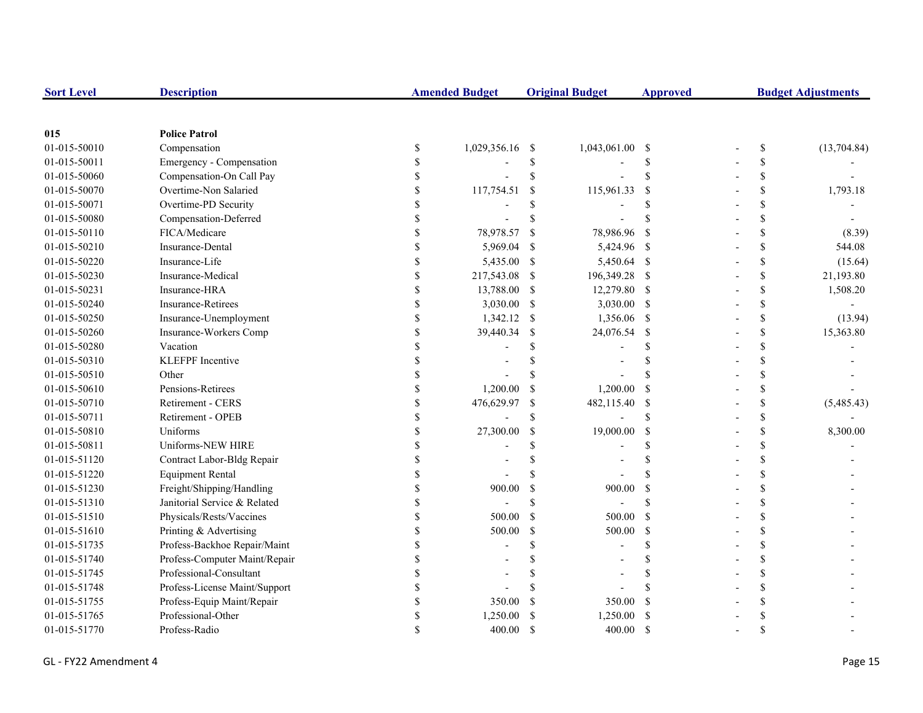| <b>Sort Level</b> | <b>Description</b>            |    | <b>Amended Budget</b> |               | <b>Original Budget</b> | <b>Approved</b> | <b>Budget Adjustments</b> |             |
|-------------------|-------------------------------|----|-----------------------|---------------|------------------------|-----------------|---------------------------|-------------|
|                   |                               |    |                       |               |                        |                 |                           |             |
| 015               | <b>Police Patrol</b>          |    |                       |               |                        |                 |                           |             |
| 01-015-50010      | Compensation                  | \$ | 1,029,356.16          | -\$           | 1,043,061.00 \$        |                 | \$                        | (13,704.84) |
| 01-015-50011      | Emergency - Compensation      | \$ |                       | \$            |                        | <sup>\$</sup>   | \$                        |             |
| 01-015-50060      | Compensation-On Call Pay      | S  |                       | \$            |                        | <sup>\$</sup>   | \$                        |             |
| 01-015-50070      | Overtime-Non Salaried         |    | 117,754.51            | $\mathcal{S}$ | 115,961.33             | <sup>\$</sup>   | \$                        | 1,793.18    |
| 01-015-50071      | Overtime-PD Security          |    |                       | \$            |                        | <sup>\$</sup>   | \$                        |             |
| 01-015-50080      | Compensation-Deferred         |    |                       | <sup>\$</sup> |                        |                 | \$                        |             |
| 01-015-50110      | FICA/Medicare                 |    | 78,978.57             | <sup>\$</sup> | 78,986.96              | -S              | \$                        | (8.39)      |
| 01-015-50210      | Insurance-Dental              |    | 5,969.04              | -\$           | 5,424.96 \$            |                 | \$                        | 544.08      |
| 01-015-50220      | Insurance-Life                |    | 5,435.00 \$           |               | 5,450.64 \$            |                 | \$                        | (15.64)     |
| 01-015-50230      | Insurance-Medical             | \$ | 217,543.08            | -S            | 196,349.28 \$          |                 | \$                        | 21,193.80   |
| 01-015-50231      | Insurance-HRA                 | \$ | 13,788.00             | -S            | 12,279.80 \$           |                 | \$                        | 1,508.20    |
| 01-015-50240      | <b>Insurance-Retirees</b>     | \$ | 3,030.00              | -\$           | 3,030.00 \$            |                 | \$                        |             |
| 01-015-50250      | Insurance-Unemployment        | \$ | 1,342.12              | -\$           | 1,356.06 \$            |                 | \$                        | (13.94)     |
| 01-015-50260      | Insurance-Workers Comp        | S  | 39,440.34             | <sup>\$</sup> | 24,076.54              | - \$            | \$                        | 15,363.80   |
| 01-015-50280      | Vacation                      |    |                       | <sup>\$</sup> |                        | <sup>\$</sup>   | \$                        |             |
| 01-015-50310      | <b>KLEFPF</b> Incentive       |    |                       |               |                        | <sup>\$</sup>   | \$                        |             |
| 01-015-50510      | Other                         |    |                       | <sup>\$</sup> |                        | <b>S</b>        | \$                        |             |
| 01-015-50610      | Pensions-Retirees             |    | 1,200.00              | -S            | 1,200.00               | -S              | \$                        |             |
| 01-015-50710      | Retirement - CERS             |    | 476,629.97            | \$            | 482,115.40             | - \$            | \$                        | (5,485.43)  |
| 01-015-50711      | Retirement - OPEB             |    |                       | <sup>\$</sup> |                        | <sup>\$</sup>   | \$                        |             |
| 01-015-50810      | Uniforms                      |    | 27,300.00             | <sup>\$</sup> | 19,000.00              | -S              | \$                        | 8,300.00    |
| 01-015-50811      | Uniforms-NEW HIRE             | \$ |                       | \$            |                        | \$              | \$                        |             |
| 01-015-51120      | Contract Labor-Bldg Repair    | \$ |                       | \$            |                        | <sup>\$</sup>   | \$                        |             |
| 01-015-51220      | <b>Equipment Rental</b>       | S  |                       | <sup>\$</sup> |                        |                 | \$                        |             |
| 01-015-51230      | Freight/Shipping/Handling     |    | 900.00                | <sup>\$</sup> | 900.00                 | <sup>\$</sup>   | \$                        |             |
| 01-015-51310      | Janitorial Service & Related  |    |                       | \$            |                        | $\mathcal{S}$   | \$                        |             |
| 01-015-51510      | Physicals/Rests/Vaccines      |    | 500.00                | $\mathcal{S}$ | 500.00                 | - \$            | \$                        |             |
| 01-015-51610      | Printing & Advertising        |    | 500.00                | $\mathbb{S}$  | 500.00                 | -S              | \$                        |             |
| 01-015-51735      | Profess-Backhoe Repair/Maint  |    |                       | \$            |                        | <sup>\$</sup>   | \$                        |             |
| 01-015-51740      | Profess-Computer Maint/Repair |    |                       |               |                        | <sup>\$</sup>   | \$                        |             |
| 01-015-51745      | Professional-Consultant       |    |                       | \$.           |                        | <sup>\$</sup>   | \$                        |             |
| 01-015-51748      | Profess-License Maint/Support |    |                       |               |                        |                 | \$                        |             |
| 01-015-51755      | Profess-Equip Maint/Repair    |    | 350.00                | <sup>S</sup>  | 350.00                 | <sup>\$</sup>   | \$                        |             |
| 01-015-51765      | Professional-Other            |    | 1,250.00              |               | 1,250.00               | -S              | \$                        |             |
| 01-015-51770      | Profess-Radio                 |    | 400.00                | -S            | 400.00                 | <sup>S</sup>    | \$                        |             |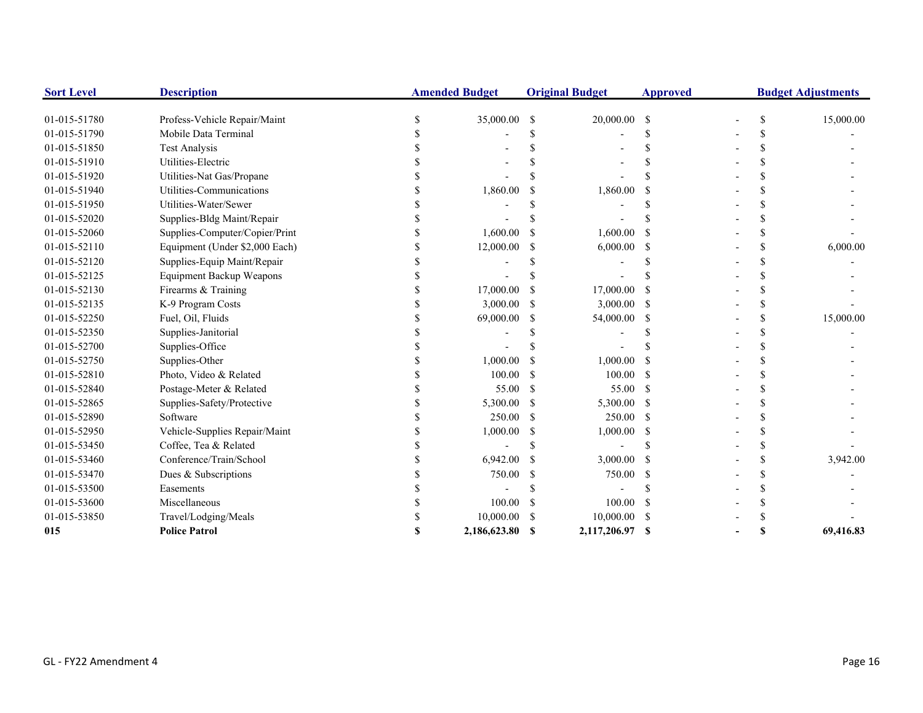| <b>Sort Level</b> | <b>Description</b>              | <b>Amended Budget</b> |               | <b>Original Budget</b> | <b>Approved</b> |  | <b>Budget Adjustments</b> |
|-------------------|---------------------------------|-----------------------|---------------|------------------------|-----------------|--|---------------------------|
| 01-015-51780      | Profess-Vehicle Repair/Maint    | 35,000.00 \$          |               | 20,000.00 \$           |                 |  | 15,000.00                 |
| 01-015-51790      | Mobile Data Terminal            |                       |               |                        |                 |  |                           |
| 01-015-51850      | <b>Test Analysis</b>            |                       |               |                        |                 |  |                           |
| 01-015-51910      | Utilities-Electric              |                       |               |                        |                 |  |                           |
| 01-015-51920      | Utilities-Nat Gas/Propane       |                       |               |                        |                 |  |                           |
| 01-015-51940      | Utilities-Communications        | 1,860.00              |               | 1,860.00               |                 |  |                           |
| 01-015-51950      | Utilities-Water/Sewer           |                       |               |                        |                 |  |                           |
| 01-015-52020      | Supplies-Bldg Maint/Repair      |                       |               |                        |                 |  |                           |
| 01-015-52060      | Supplies-Computer/Copier/Print  | 1,600.00              |               | 1,600.00               |                 |  |                           |
| 01-015-52110      | Equipment (Under \$2,000 Each)  | 12,000.00             | S.            | 6,000.00               | -S              |  | 6,000.00                  |
| 01-015-52120      | Supplies-Equip Maint/Repair     |                       |               |                        |                 |  |                           |
| 01-015-52125      | <b>Equipment Backup Weapons</b> |                       |               |                        |                 |  |                           |
| 01-015-52130      | Firearms & Training             | 17,000.00             |               | 17,000.00              |                 |  |                           |
| 01-015-52135      | K-9 Program Costs               | 3,000.00              | <sup>\$</sup> | 3,000.00               | -S              |  |                           |
| 01-015-52250      | Fuel, Oil, Fluids               | 69,000.00             | -S            | 54,000.00              | -S              |  | 15,000.00                 |
| 01-015-52350      | Supplies-Janitorial             |                       |               |                        |                 |  |                           |
| 01-015-52700      | Supplies-Office                 |                       |               |                        |                 |  |                           |
| 01-015-52750      | Supplies-Other                  | 1,000.00              | -S            | 1,000.00               |                 |  |                           |
| 01-015-52810      | Photo, Video & Related          | 100.00                | -S            | 100.00                 | -S              |  |                           |
| 01-015-52840      | Postage-Meter & Related         | 55.00                 | -S            | 55.00                  | -8              |  |                           |
| 01-015-52865      | Supplies-Safety/Protective      | 5,300.00              | -S            | 5,300.00               | -S              |  |                           |
| 01-015-52890      | Software                        | 250.00                | -S            | 250.00                 | -S              |  |                           |
| 01-015-52950      | Vehicle-Supplies Repair/Maint   | 1,000.00              | S.            | 1,000.00               |                 |  |                           |
| 01-015-53450      | Coffee, Tea & Related           |                       |               |                        |                 |  |                           |
| 01-015-53460      | Conference/Train/School         | 6,942.00              | S.            | 3,000.00               |                 |  | 3,942.00                  |
| 01-015-53470      | Dues & Subscriptions            | 750.00                | \$            | 750.00                 |                 |  |                           |
| 01-015-53500      | Easements                       |                       |               |                        |                 |  |                           |
| 01-015-53600      | Miscellaneous                   | 100.00                | S.            | 100.00                 |                 |  |                           |
| 01-015-53850      | Travel/Lodging/Meals            | 10,000.00             |               | 10,000.00              |                 |  |                           |
| 015               | <b>Police Patrol</b>            | 2.186.623.80          | -S            | 2,117,206.97           | -S              |  | 69,416.83                 |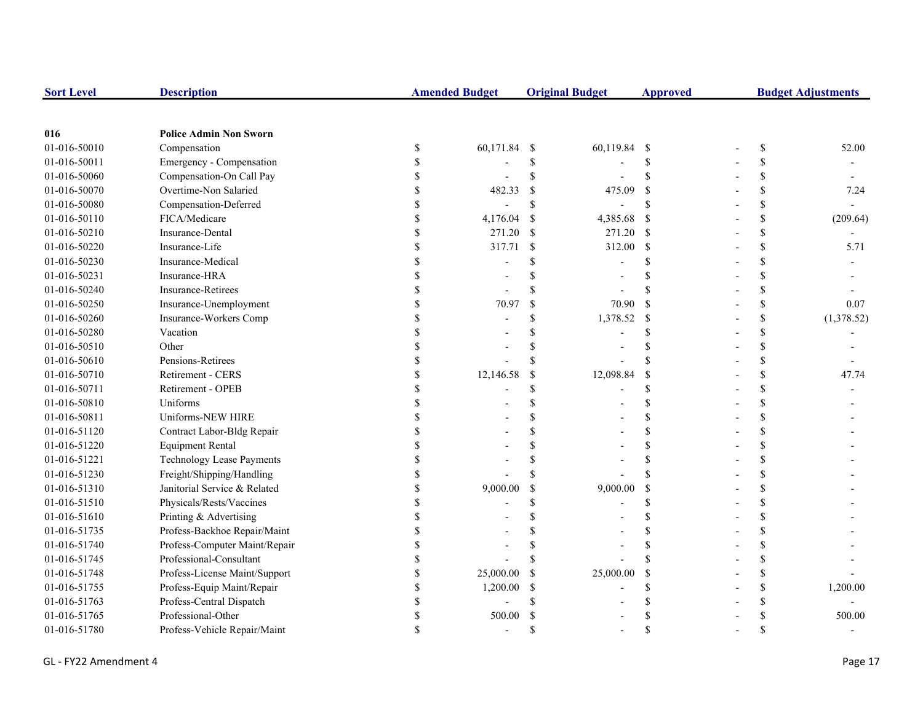| <b>Sort Level</b> | <b>Description</b>               |              | <b>Amended Budget</b> |                           | <b>Original Budget</b> | <b>Approved</b>           | <b>Budget Adjustments</b> |    |            |
|-------------------|----------------------------------|--------------|-----------------------|---------------------------|------------------------|---------------------------|---------------------------|----|------------|
|                   |                                  |              |                       |                           |                        |                           |                           |    |            |
| 016               | <b>Police Admin Non Sworn</b>    |              |                       |                           |                        |                           |                           |    |            |
| 01-016-50010      | Compensation                     | $\mathbb{S}$ | 60,171.84             | - \$                      | 60,119.84 \$           |                           |                           | \$ | 52.00      |
| 01-016-50011      | Emergency - Compensation         | \$           |                       | \$                        |                        | <sup>\$</sup>             |                           | \$ |            |
| 01-016-50060      | Compensation-On Call Pay         | \$           |                       | \$                        |                        | $\mathcal{S}$             |                           | \$ |            |
| 01-016-50070      | Overtime-Non Salaried            | \$           | 482.33                | <sup>\$</sup>             | 475.09                 | <sup>\$</sup>             |                           | \$ | 7.24       |
| 01-016-50080      | Compensation-Deferred            | \$           |                       | \$                        |                        | <sup>\$</sup>             |                           | \$ |            |
| 01-016-50110      | FICA/Medicare                    | \$           | 4,176.04              | $\boldsymbol{\mathsf{S}}$ | 4,385.68               | $\mathcal{S}$             |                           | \$ | (209.64)   |
| 01-016-50210      | Insurance-Dental                 | \$           | 271.20                | $\mathcal{S}$             | 271.20                 | $\mathbf{s}$              |                           | \$ |            |
| 01-016-50220      | Insurance-Life                   | \$           | 317.71                | $\mathcal{S}$             | 312.00                 | <sup>\$</sup>             |                           | \$ | 5.71       |
| 01-016-50230      | Insurance-Medical                | \$           |                       |                           |                        | £.                        |                           | \$ |            |
| 01-016-50231      | Insurance-HRA                    | \$           |                       |                           |                        |                           |                           | \$ |            |
| 01-016-50240      | <b>Insurance-Retirees</b>        | \$           |                       |                           |                        |                           |                           | \$ |            |
| 01-016-50250      | Insurance-Unemployment           | \$           | 70.97                 | $\mathcal{S}$             | 70.90                  | <sup>\$</sup>             |                           | \$ | 0.07       |
| 01-016-50260      | Insurance-Workers Comp           | \$           |                       | \$                        | 1,378.52               | $\boldsymbol{\mathsf{S}}$ |                           | \$ | (1,378.52) |
| 01-016-50280      | Vacation                         |              |                       |                           |                        | $\mathcal{S}$             |                           | \$ |            |
| 01-016-50510      | Other                            |              |                       |                           |                        |                           |                           | \$ |            |
| 01-016-50610      | Pensions-Retirees                | \$           |                       |                           |                        | $\mathbf S$               |                           | \$ |            |
| 01-016-50710      | Retirement - CERS                | \$           | 12,146.58             | <sup>\$</sup>             | 12,098.84              | <sup>\$</sup>             |                           | \$ | 47.74      |
| 01-016-50711      | Retirement - OPEB                | \$           |                       | S                         |                        | <sup>\$</sup>             |                           | \$ |            |
| 01-016-50810      | Uniforms                         |              |                       |                           |                        | \$                        |                           | \$ |            |
| 01-016-50811      | Uniforms-NEW HIRE                |              |                       |                           |                        | $\mathbf{\hat{S}}$        |                           | \$ |            |
| 01-016-51120      | Contract Labor-Bldg Repair       | \$           |                       |                           |                        | S                         |                           | \$ |            |
| 01-016-51220      | <b>Equipment Rental</b>          | \$           |                       |                           |                        | \$                        |                           | \$ |            |
| 01-016-51221      | <b>Technology Lease Payments</b> | \$           |                       |                           |                        | S                         |                           | \$ |            |
| 01-016-51230      | Freight/Shipping/Handling        | \$           |                       |                           |                        | $\mathbf S$               |                           | \$ |            |
| 01-016-51310      | Janitorial Service & Related     | \$           | 9,000.00              | <sup>\$</sup>             | 9,000.00               | \$                        |                           | \$ |            |
| 01-016-51510      | Physicals/Rests/Vaccines         | \$           |                       |                           |                        | \$                        |                           | \$ |            |
| 01-016-51610      | Printing & Advertising           |              |                       |                           |                        |                           |                           | \$ |            |
| 01-016-51735      | Profess-Backhoe Repair/Maint     | \$           |                       |                           |                        | £.                        |                           | \$ |            |
| 01-016-51740      | Profess-Computer Maint/Repair    | \$           |                       |                           |                        |                           |                           | \$ |            |
| 01-016-51745      | Professional-Consultant          |              |                       |                           |                        |                           |                           | \$ |            |
| 01-016-51748      | Profess-License Maint/Support    | \$           | 25,000.00             | S                         | 25,000.00              | <sup>\$</sup>             |                           | \$ |            |
| 01-016-51755      | Profess-Equip Maint/Repair       | \$           | 1,200.00              | S                         |                        | $\mathcal{S}$             |                           | \$ | 1,200.00   |
| 01-016-51763      | Profess-Central Dispatch         | \$           |                       |                           |                        |                           |                           | \$ |            |
| 01-016-51765      | Professional-Other               | \$           | 500.00                |                           |                        |                           |                           | \$ | 500.00     |
| 01-016-51780      | Profess-Vehicle Repair/Maint     | $\mathbf S$  |                       | $\mathbf S$               |                        | $\mathcal{S}$             |                           | \$ |            |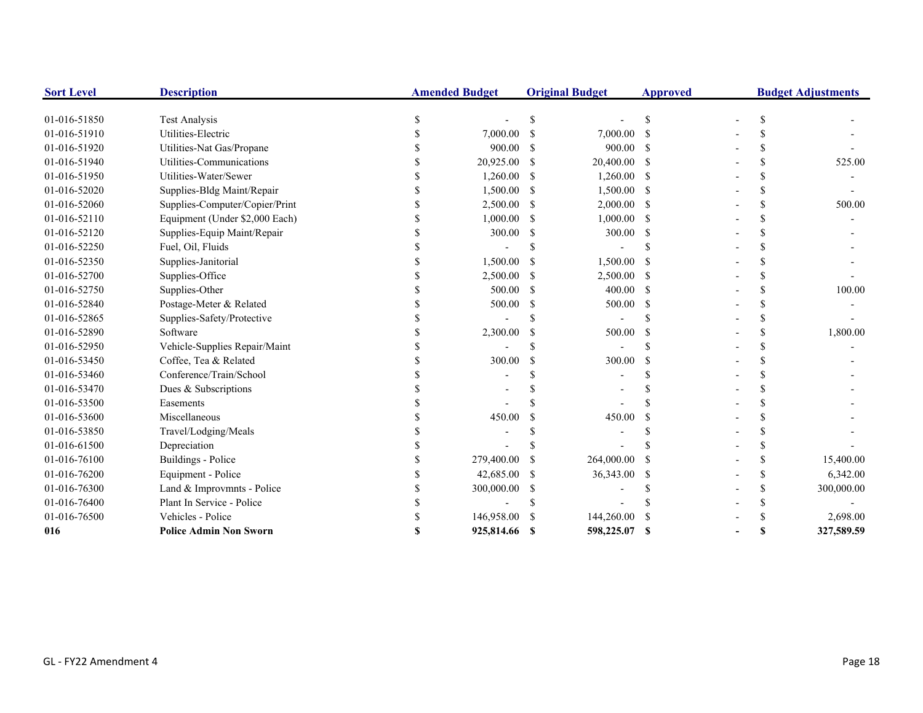| <b>Sort Level</b> | <b>Description</b>             | <b>Amended Budget</b> |               | <b>Original Budget</b> | <b>Approved</b> |  | <b>Budget Adjustments</b> |
|-------------------|--------------------------------|-----------------------|---------------|------------------------|-----------------|--|---------------------------|
|                   |                                |                       |               |                        |                 |  |                           |
| 01-016-51850      | <b>Test Analysis</b>           |                       |               |                        | S.              |  |                           |
| 01-016-51910      | Utilities-Electric             | 7,000.00              | -\$           | 7,000.00               | -S              |  |                           |
| 01-016-51920      | Utilities-Nat Gas/Propane      | 900.00                | S             | 900.00                 | -8              |  |                           |
| 01-016-51940      | Utilities-Communications       | 20,925.00 \$          |               | 20,400.00              | -S              |  | 525.00                    |
| 01-016-51950      | Utilities-Water/Sewer          | 1,260.00              | -\$           | 1,260.00               | - \$            |  |                           |
| 01-016-52020      | Supplies-Bldg Maint/Repair     | 1,500.00 \$           |               | 1,500.00               | -S              |  |                           |
| 01-016-52060      | Supplies-Computer/Copier/Print | 2,500.00              | -\$           | $2,000.00$ \$          |                 |  | 500.00                    |
| 01-016-52110      | Equipment (Under \$2,000 Each) | 1,000.00              | S             | 1,000.00               | -S              |  |                           |
| 01-016-52120      | Supplies-Equip Maint/Repair    | 300.00                | -S            | 300.00                 | -S              |  |                           |
| 01-016-52250      | Fuel, Oil, Fluids              |                       |               |                        |                 |  |                           |
| 01-016-52350      | Supplies-Janitorial            | 1,500.00              | -S            | 1,500.00               |                 |  |                           |
| 01-016-52700      | Supplies-Office                | 2,500.00              | -S            | 2,500.00               | -S              |  |                           |
| 01-016-52750      | Supplies-Other                 | 500.00                | -S            | 400.00                 | -S              |  | 100.00                    |
| 01-016-52840      | Postage-Meter & Related        | 500.00                | S             | 500.00                 | -S              |  |                           |
| 01-016-52865      | Supplies-Safety/Protective     |                       |               |                        |                 |  |                           |
| 01-016-52890      | Software                       | 2,300.00              |               | 500.00                 |                 |  | 1,800.00                  |
| 01-016-52950      | Vehicle-Supplies Repair/Maint  |                       |               |                        |                 |  |                           |
| 01-016-53450      | Coffee, Tea & Related          | 300.00                | <sup>\$</sup> | 300.00                 | <b>S</b>        |  |                           |
| 01-016-53460      | Conference/Train/School        |                       |               |                        |                 |  |                           |
| 01-016-53470      | Dues & Subscriptions           |                       |               |                        |                 |  |                           |
| 01-016-53500      | Easements                      |                       |               |                        |                 |  |                           |
| 01-016-53600      | Miscellaneous                  | 450.00                |               | 450.00                 |                 |  |                           |
| 01-016-53850      | Travel/Lodging/Meals           |                       |               |                        |                 |  |                           |
| 01-016-61500      | Depreciation                   |                       |               |                        |                 |  |                           |
| 01-016-76100      | Buildings - Police             | 279,400.00            | S             | 264,000.00             |                 |  | 15,400.00                 |
| 01-016-76200      | Equipment - Police             | 42,685.00             | S             | 36,343.00              | -S              |  | 6,342.00                  |
| 01-016-76300      | Land & Improvmnts - Police     | 300,000.00            | S             |                        |                 |  | 300,000.00                |
| 01-016-76400      | Plant In Service - Police      |                       |               |                        |                 |  |                           |
| 01-016-76500      | Vehicles - Police              | 146,958.00            |               | 144,260.00             |                 |  | 2,698.00                  |
| 016               | <b>Police Admin Non Sworn</b>  | 925,814.66            |               | 598,225.07             | S               |  | 327,589.59                |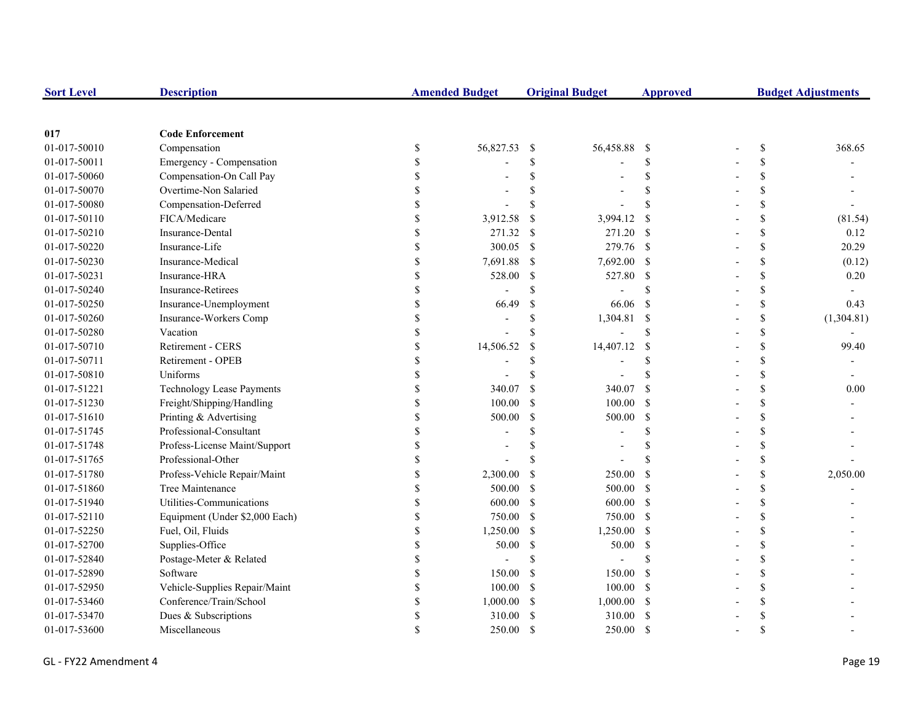| <b>Sort Level</b> | <b>Description</b>               | <b>Amended Budget</b> |           | <b>Original Budget</b> |               | <b>Approved</b> | <b>Budget Adjustments</b> |            |  |
|-------------------|----------------------------------|-----------------------|-----------|------------------------|---------------|-----------------|---------------------------|------------|--|
|                   |                                  |                       |           |                        |               |                 |                           |            |  |
| 017               | <b>Code Enforcement</b>          |                       |           |                        |               |                 |                           |            |  |
| 01-017-50010      | Compensation                     | \$                    | 56,827.53 | -\$                    | 56,458.88     | - \$            | \$                        | 368.65     |  |
| 01-017-50011      | Emergency - Compensation         | \$                    |           | S                      |               | <sup>\$</sup>   | \$                        |            |  |
| 01-017-50060      | Compensation-On Call Pay         |                       |           | \$                     |               | <sup>\$</sup>   | \$                        |            |  |
| 01-017-50070      | Overtime-Non Salaried            |                       |           |                        |               | $\mathcal{S}$   | \$                        |            |  |
| 01-017-50080      | Compensation-Deferred            |                       |           | \$                     |               | $\mathcal{S}$   | \$                        |            |  |
| 01-017-50110      | FICA/Medicare                    |                       | 3,912.58  | <sup>\$</sup>          | 3,994.12      | <sup>\$</sup>   | \$                        | (81.54)    |  |
| 01-017-50210      | Insurance-Dental                 |                       | 271.32    | -S                     | 271.20 \$     |                 | \$                        | 0.12       |  |
| 01-017-50220      | Insurance-Life                   |                       | 300.05    | -\$                    | 279.76 \$     |                 | \$                        | 20.29      |  |
| 01-017-50230      | Insurance-Medical                |                       | 7,691.88  | <sup>\$</sup>          | 7,692.00 \$   |                 | \$                        | (0.12)     |  |
| 01-017-50231      | Insurance-HRA                    | \$                    | 528.00    | <sup>\$</sup>          | 527.80 \$     |                 | \$                        | 0.20       |  |
| 01-017-50240      | <b>Insurance-Retirees</b>        | \$                    |           | \$                     |               | \$.             | \$                        |            |  |
| 01-017-50250      | Insurance-Unemployment           | \$                    | 66.49     | <sup>\$</sup>          | 66.06         | -S              | \$                        | 0.43       |  |
| 01-017-50260      | Insurance-Workers Comp           | S                     |           | \$                     | 1,304.81 \$   |                 | \$                        | (1,304.81) |  |
| 01-017-50280      | Vacation                         |                       |           | \$                     |               | <sup>\$</sup>   | \$                        |            |  |
| 01-017-50710      | Retirement - CERS                |                       | 14,506.52 | <sup>\$</sup>          | 14,407.12     | <sup>\$</sup>   | \$                        | 99.40      |  |
| 01-017-50711      | Retirement - OPEB                |                       |           | \$                     |               | \$              | \$                        |            |  |
| 01-017-50810      | Uniforms                         |                       |           |                        |               | \$.             | \$                        |            |  |
| 01-017-51221      | <b>Technology Lease Payments</b> |                       | 340.07    | <sup>\$</sup>          | 340.07        | <sup>S</sup>    | \$                        | 0.00       |  |
| 01-017-51230      | Freight/Shipping/Handling        |                       | 100.00    | <sup>\$</sup>          | 100.00        | - \$            | \$                        |            |  |
| 01-017-51610      | Printing & Advertising           |                       | 500.00    | $\mathcal{S}$          | 500.00        | - \$            | \$                        |            |  |
| 01-017-51745      | Professional-Consultant          |                       |           | \$                     |               | <sup>\$</sup>   | \$                        |            |  |
| 01-017-51748      | Profess-License Maint/Support    | S                     |           | \$                     |               | \$              | \$                        |            |  |
| 01-017-51765      | Professional-Other               | S                     |           | \$.                    |               |                 | \$                        |            |  |
| 01-017-51780      | Profess-Vehicle Repair/Maint     | \$                    | 2,300.00  | -S                     | 250.00        | -S              | \$                        | 2,050.00   |  |
| 01-017-51860      | Tree Maintenance                 | S                     | 500.00    | -S                     | 500.00 \$     |                 | \$                        |            |  |
| 01-017-51940      | Utilities-Communications         | S                     | 600.00    | <sup>\$</sup>          | $600.00$ \$   |                 | \$                        |            |  |
| 01-017-52110      | Equipment (Under \$2,000 Each)   |                       | 750.00    | <sup>\$</sup>          | 750.00 \$     |                 | \$                        |            |  |
| 01-017-52250      | Fuel, Oil, Fluids                |                       | 1,250.00  | $\mathbb{S}$           | $1,250.00$ \$ |                 | \$                        |            |  |
| 01-017-52700      | Supplies-Office                  |                       | 50.00     | <sup>\$</sup>          | 50.00         | $\mathbf{s}$    | \$                        |            |  |
| 01-017-52840      | Postage-Meter & Related          |                       |           | \$                     |               | <sup>\$</sup>   | \$                        |            |  |
| 01-017-52890      | Software                         |                       | 150.00    | <sup>\$</sup>          | 150.00        | -S              | \$                        |            |  |
| 01-017-52950      | Vehicle-Supplies Repair/Maint    |                       | 100.00    | -S                     | 100.00        | - \$            | \$                        |            |  |
| 01-017-53460      | Conference/Train/School          |                       | 1,000.00  | <sup>\$</sup>          | $1,000.00$ \$ |                 | \$                        |            |  |
| 01-017-53470      | Dues & Subscriptions             |                       | 310.00    | <sup>\$</sup>          | 310.00        | - \$            | \$                        |            |  |
| 01-017-53600      | Miscellaneous                    |                       | 250.00    | <sup>\$</sup>          | 250.00        | -S              | $\mathbf{\hat{S}}$        |            |  |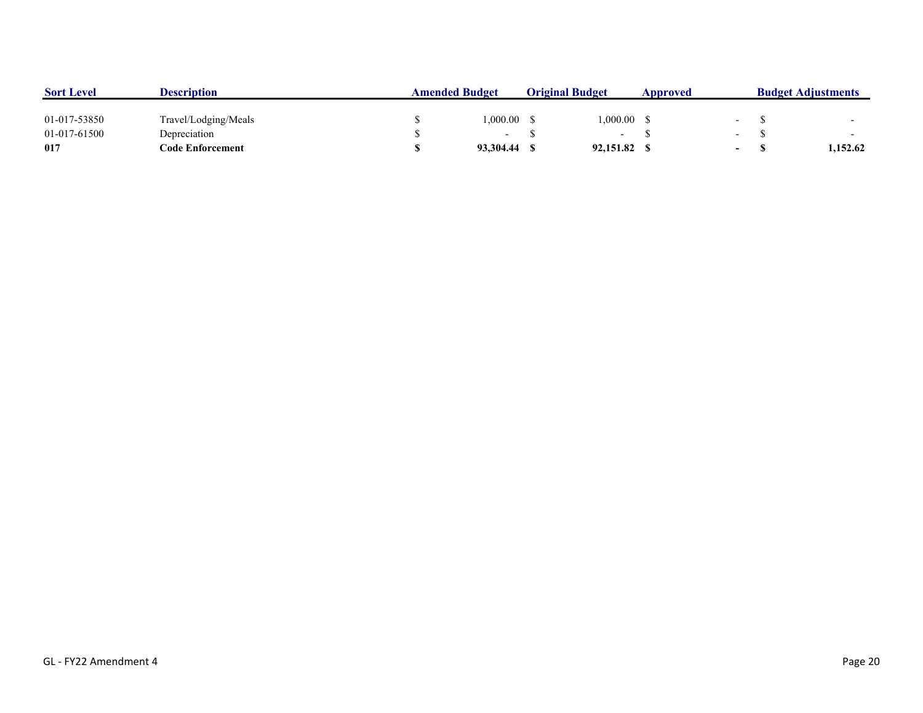| <b>Sort Level</b> | <b>Description</b>   | <b>Amended Budget</b> |           |  | <b>Original Budget</b>   |  |                          | <b>Budget Adjustments</b> |          |  |
|-------------------|----------------------|-----------------------|-----------|--|--------------------------|--|--------------------------|---------------------------|----------|--|
| 01-017-53850      | Travel/Lodging/Meals |                       | 1.000.00  |  | .000.00                  |  |                          |                           |          |  |
| 01-017-61500      | Depreciation         |                       |           |  | $\overline{\phantom{0}}$ |  | $\overline{\phantom{0}}$ |                           |          |  |
| 017               | Code Enforcement     |                       | 93.304.44 |  | 92,151.82                |  | $\overline{\phantom{0}}$ |                           | 1.152.62 |  |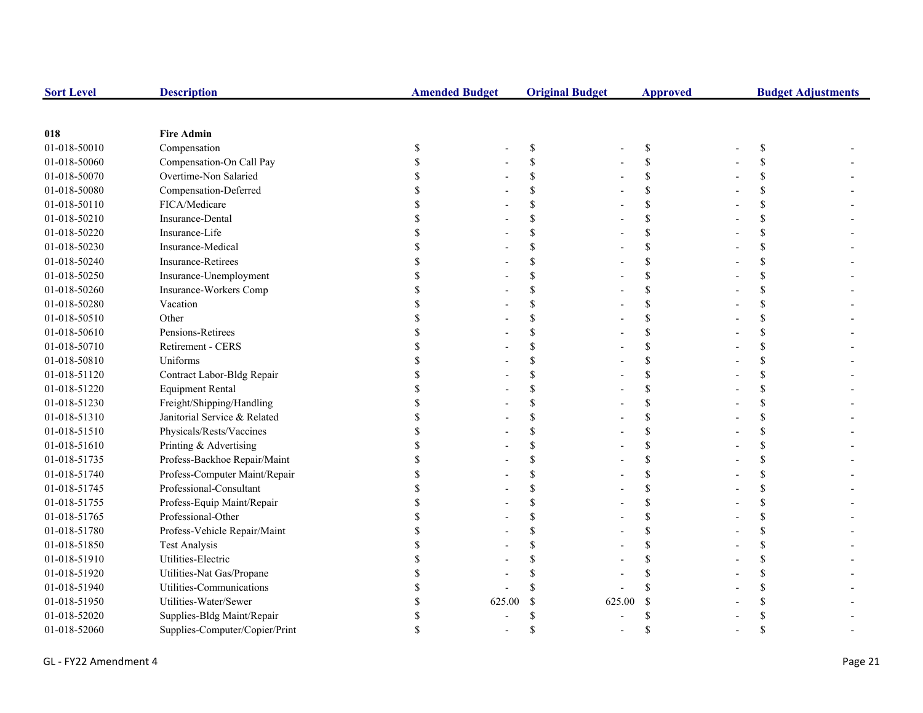| <b>Sort Level</b> | <b>Description</b>             | <b>Amended Budget</b> |               | <b>Original Budget</b> |             | <b>Budget Adjustments</b> |  |
|-------------------|--------------------------------|-----------------------|---------------|------------------------|-------------|---------------------------|--|
|                   |                                |                       |               |                        |             |                           |  |
| 018               | <b>Fire Admin</b>              |                       |               |                        |             |                           |  |
| 01-018-50010      | Compensation                   | \$                    | $\mathbb{S}$  |                        | \$          | \$                        |  |
| 01-018-50060      | Compensation-On Call Pay       |                       | $\mathcal{S}$ |                        | \$          |                           |  |
| 01-018-50070      | Overtime-Non Salaried          |                       | \$            |                        | \$          |                           |  |
| 01-018-50080      | Compensation-Deferred          |                       | <sup>\$</sup> |                        | \$          |                           |  |
| 01-018-50110      | FICA/Medicare                  |                       | <sup>\$</sup> |                        | \$          |                           |  |
| 01-018-50210      | Insurance-Dental               |                       | <sup>\$</sup> |                        | \$          |                           |  |
| 01-018-50220      | Insurance-Life                 |                       | $\mathcal{S}$ |                        | \$          |                           |  |
| 01-018-50230      | Insurance-Medical              |                       | $\mathcal{S}$ |                        | \$          |                           |  |
| 01-018-50240      | <b>Insurance-Retirees</b>      |                       | <sup>\$</sup> |                        | \$          |                           |  |
| 01-018-50250      | Insurance-Unemployment         |                       | <sup>\$</sup> |                        | \$          | \$                        |  |
| 01-018-50260      | Insurance-Workers Comp         |                       | <sup>\$</sup> |                        | \$          |                           |  |
| 01-018-50280      | Vacation                       |                       | $\mathcal{S}$ |                        | \$          |                           |  |
| 01-018-50510      | Other                          |                       | $\mathcal{S}$ |                        | \$          |                           |  |
| 01-018-50610      | Pensions-Retirees              |                       | $\mathcal{S}$ |                        | \$          |                           |  |
| 01-018-50710      | Retirement - CERS              |                       | <sup>\$</sup> |                        | \$          |                           |  |
| 01-018-50810      | Uniforms                       |                       | <sup>\$</sup> |                        | \$          |                           |  |
| 01-018-51120      | Contract Labor-Bldg Repair     |                       | <sup>\$</sup> |                        | \$          |                           |  |
| 01-018-51220      | <b>Equipment Rental</b>        |                       | $\mathcal{S}$ |                        | \$          |                           |  |
| 01-018-51230      | Freight/Shipping/Handling      |                       | $\mathcal{S}$ |                        | \$          |                           |  |
| 01-018-51310      | Janitorial Service & Related   |                       | $\mathcal{S}$ |                        | \$          |                           |  |
| 01-018-51510      | Physicals/Rests/Vaccines       |                       | <sup>\$</sup> |                        | \$          |                           |  |
| 01-018-51610      | Printing & Advertising         |                       | \$            |                        | \$          | \$                        |  |
| 01-018-51735      | Profess-Backhoe Repair/Maint   |                       | <sup>\$</sup> |                        | \$          |                           |  |
| 01-018-51740      | Profess-Computer Maint/Repair  |                       | <sup>\$</sup> |                        | \$          |                           |  |
| 01-018-51745      | Professional-Consultant        |                       | <sup>\$</sup> |                        | \$          |                           |  |
| 01-018-51755      | Profess-Equip Maint/Repair     |                       | $\mathcal{S}$ |                        | \$          |                           |  |
| 01-018-51765      | Professional-Other             |                       | <sup>\$</sup> |                        | \$          |                           |  |
| 01-018-51780      | Profess-Vehicle Repair/Maint   |                       | $\mathcal{S}$ |                        | \$          |                           |  |
| 01-018-51850      | <b>Test Analysis</b>           |                       | <sup>\$</sup> |                        | $\mathbf S$ |                           |  |
| 01-018-51910      | Utilities-Electric             |                       |               |                        | \$          |                           |  |
| 01-018-51920      | Utilities-Nat Gas/Propane      |                       |               |                        | \$          |                           |  |
| 01-018-51940      | Utilities-Communications       |                       |               |                        |             |                           |  |
| 01-018-51950      | Utilities-Water/Sewer          | 625.00                | $\mathcal{S}$ | 625.00                 | $\mathbf S$ |                           |  |
| 01-018-52020      | Supplies-Bldg Maint/Repair     |                       | $\mathbf S$   |                        |             |                           |  |
| 01-018-52060      | Supplies-Computer/Copier/Print |                       | \$            |                        | \$          |                           |  |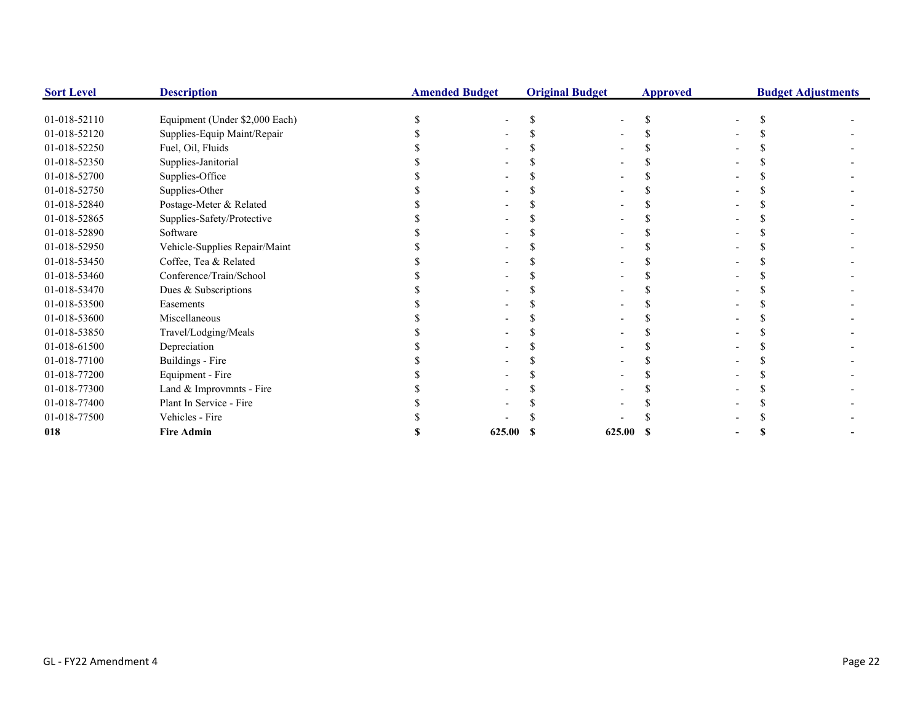| <b>Sort Level</b> | <b>Description</b>             | <b>Amended Budget</b> |        | <b>Original Budget</b> |        | <b>Approved</b> | <b>Budget Adjustments</b> |  |  |
|-------------------|--------------------------------|-----------------------|--------|------------------------|--------|-----------------|---------------------------|--|--|
|                   |                                |                       |        |                        |        |                 |                           |  |  |
| 01-018-52110      | Equipment (Under \$2,000 Each) |                       |        |                        |        |                 |                           |  |  |
| 01-018-52120      | Supplies-Equip Maint/Repair    |                       |        |                        |        |                 |                           |  |  |
| 01-018-52250      | Fuel, Oil, Fluids              |                       |        |                        |        |                 |                           |  |  |
| 01-018-52350      | Supplies-Janitorial            |                       |        |                        |        |                 |                           |  |  |
| 01-018-52700      | Supplies-Office                |                       |        |                        |        |                 |                           |  |  |
| 01-018-52750      | Supplies-Other                 |                       |        |                        |        |                 |                           |  |  |
| 01-018-52840      | Postage-Meter & Related        |                       |        |                        |        |                 |                           |  |  |
| 01-018-52865      | Supplies-Safety/Protective     |                       |        |                        |        |                 |                           |  |  |
| 01-018-52890      | Software                       |                       |        |                        |        |                 |                           |  |  |
| 01-018-52950      | Vehicle-Supplies Repair/Maint  |                       |        |                        |        |                 |                           |  |  |
| 01-018-53450      | Coffee, Tea & Related          |                       |        |                        |        |                 |                           |  |  |
| 01-018-53460      | Conference/Train/School        |                       |        |                        |        |                 |                           |  |  |
| 01-018-53470      | Dues & Subscriptions           |                       |        |                        |        |                 |                           |  |  |
| 01-018-53500      | Easements                      |                       |        |                        |        |                 |                           |  |  |
| 01-018-53600      | Miscellaneous                  |                       |        |                        |        |                 |                           |  |  |
| 01-018-53850      | Travel/Lodging/Meals           |                       |        |                        |        |                 |                           |  |  |
| 01-018-61500      | Depreciation                   |                       |        |                        |        |                 |                           |  |  |
| 01-018-77100      | Buildings - Fire               |                       |        |                        |        |                 |                           |  |  |
| 01-018-77200      | Equipment - Fire               |                       |        |                        |        |                 |                           |  |  |
| 01-018-77300      | Land & Improvmnts - Fire       |                       |        |                        |        |                 |                           |  |  |
| 01-018-77400      | Plant In Service - Fire        |                       |        |                        |        |                 |                           |  |  |
| 01-018-77500      | Vehicles - Fire                |                       |        |                        |        |                 |                           |  |  |
| 018               | <b>Fire Admin</b>              |                       | 625.00 |                        | 625.00 |                 |                           |  |  |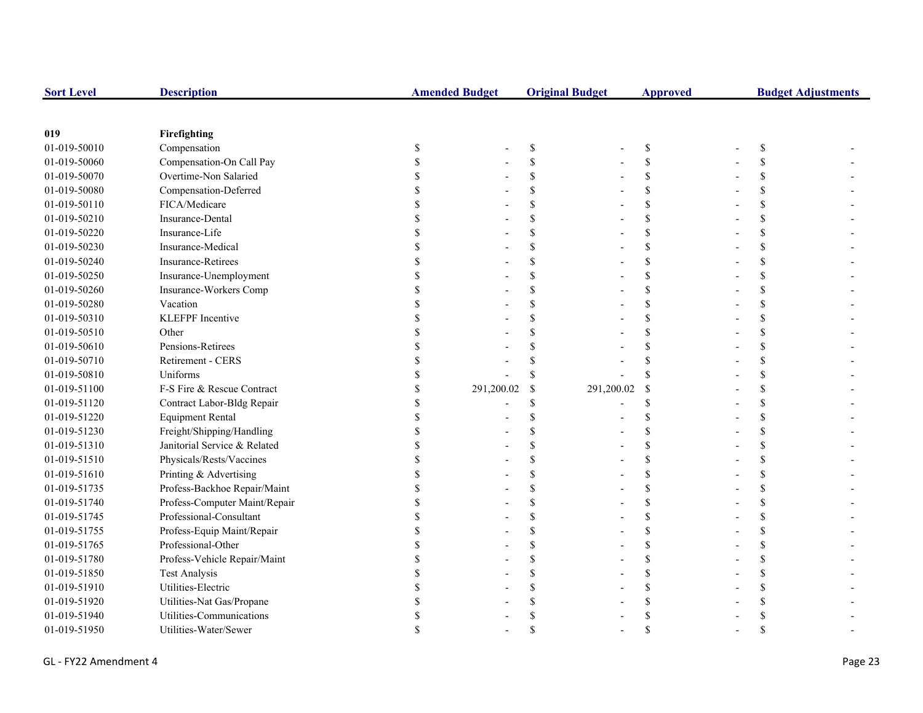| <b>Sort Level</b> | <b>Description</b>            | <b>Amended Budget</b> |                           | <b>Original Budget</b> | <b>Approved</b> | <b>Budget Adjustments</b> |  |  |
|-------------------|-------------------------------|-----------------------|---------------------------|------------------------|-----------------|---------------------------|--|--|
|                   |                               |                       |                           |                        |                 |                           |  |  |
| 019               | Firefighting                  |                       |                           |                        |                 |                           |  |  |
| 01-019-50010      | Compensation                  | \$                    | $\boldsymbol{\mathsf{S}}$ |                        | \$              | <sup>\$</sup>             |  |  |
| 01-019-50060      | Compensation-On Call Pay      |                       | \$                        |                        | \$              |                           |  |  |
| 01-019-50070      | Overtime-Non Salaried         |                       | \$                        |                        | \$              |                           |  |  |
| 01-019-50080      | Compensation-Deferred         |                       | <sup>\$</sup>             |                        | \$              |                           |  |  |
| 01-019-50110      | FICA/Medicare                 |                       | \$                        |                        | \$              |                           |  |  |
| 01-019-50210      | Insurance-Dental              |                       | \$                        |                        | \$              |                           |  |  |
| 01-019-50220      | Insurance-Life                |                       | <sup>\$</sup>             |                        | \$              |                           |  |  |
| 01-019-50230      | Insurance-Medical             |                       | <sup>\$</sup>             |                        | \$              |                           |  |  |
| 01-019-50240      | Insurance-Retirees            |                       | \$                        |                        | $\mathbf S$     |                           |  |  |
| 01-019-50250      | Insurance-Unemployment        |                       | $\mathcal{S}$             |                        | $\mathbf S$     |                           |  |  |
| 01-019-50260      | Insurance-Workers Comp        |                       | <sup>\$</sup>             |                        | \$              | S                         |  |  |
| 01-019-50280      | Vacation                      |                       | <sup>\$</sup>             |                        | \$              |                           |  |  |
| 01-019-50310      | <b>KLEFPF</b> Incentive       |                       | \$.                       |                        | \$              |                           |  |  |
| 01-019-50510      | Other                         |                       |                           |                        | \$              |                           |  |  |
| 01-019-50610      | Pensions-Retirees             |                       |                           |                        | $\mathbf S$     |                           |  |  |
| 01-019-50710      | Retirement - CERS             |                       |                           |                        | \$              |                           |  |  |
| 01-019-50810      | Uniforms                      |                       | <sup>\$</sup>             |                        | \$              |                           |  |  |
| 01-019-51100      | F-S Fire & Rescue Contract    | 291,200.02            | \$                        | 291,200.02             | <sup>\$</sup>   |                           |  |  |
| 01-019-51120      | Contract Labor-Bldg Repair    |                       | \$                        |                        | \$              |                           |  |  |
| 01-019-51220      | <b>Equipment Rental</b>       |                       | <sup>\$</sup>             |                        | \$              |                           |  |  |
| 01-019-51230      | Freight/Shipping/Handling     |                       | <sup>\$</sup>             |                        | \$              |                           |  |  |
| 01-019-51310      | Janitorial Service & Related  |                       | $\mathcal{S}$             |                        | \$              |                           |  |  |
| 01-019-51510      | Physicals/Rests/Vaccines      |                       | $\mathcal{S}$             |                        | \$              |                           |  |  |
| 01-019-51610      | Printing & Advertising        |                       | <sup>\$</sup>             |                        | \$              |                           |  |  |
| 01-019-51735      | Profess-Backhoe Repair/Maint  |                       | <sup>\$</sup>             |                        | \$              |                           |  |  |
| 01-019-51740      | Profess-Computer Maint/Repair |                       | \$                        |                        | \$              |                           |  |  |
| 01-019-51745      | Professional-Consultant       |                       | \$                        |                        | \$              |                           |  |  |
| 01-019-51755      | Profess-Equip Maint/Repair    |                       | \$                        |                        | \$              |                           |  |  |
| 01-019-51765      | Professional-Other            |                       | <sup>\$</sup>             |                        | \$              |                           |  |  |
| 01-019-51780      | Profess-Vehicle Repair/Maint  |                       | \$                        |                        | \$              |                           |  |  |
| 01-019-51850      | <b>Test Analysis</b>          |                       | \$                        |                        | \$              |                           |  |  |
| 01-019-51910      | Utilities-Electric            |                       | \$                        |                        | \$              |                           |  |  |
| 01-019-51920      | Utilities-Nat Gas/Propane     |                       |                           |                        | \$              |                           |  |  |
| 01-019-51940      | Utilities-Communications      |                       |                           |                        |                 |                           |  |  |
| 01-019-51950      | Utilities-Water/Sewer         |                       |                           |                        |                 |                           |  |  |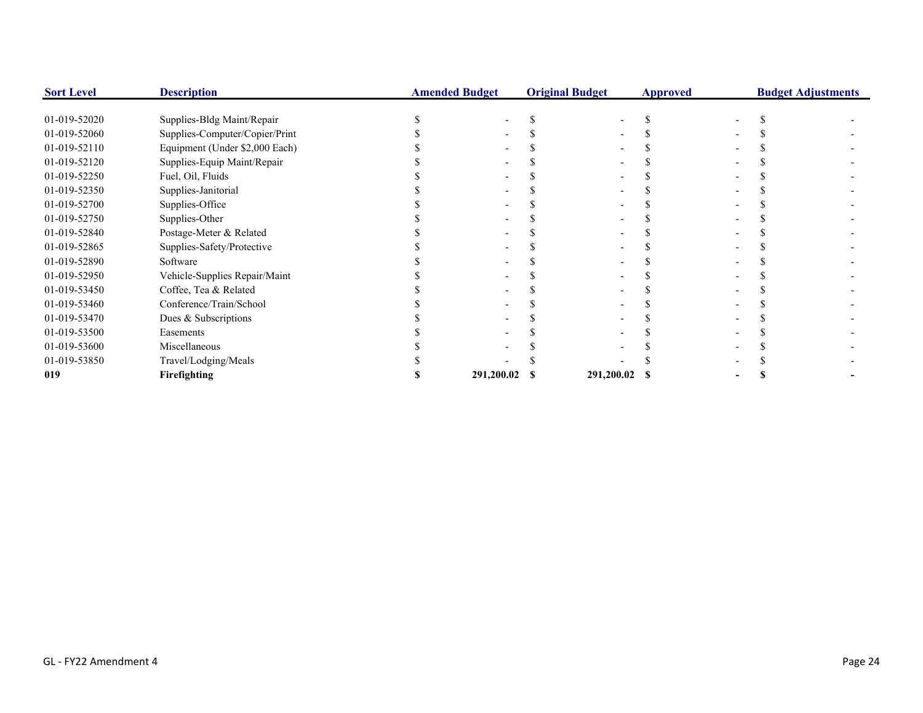| <b>Sort Level</b> | <b>Description</b>             | <b>Amended Budget</b> | <b>Original Budget</b> |               | <b>Approved</b> |  | <b>Budget Adjustments</b> |
|-------------------|--------------------------------|-----------------------|------------------------|---------------|-----------------|--|---------------------------|
|                   |                                |                       |                        |               |                 |  |                           |
| 01-019-52020      | Supplies-Bldg Maint/Repair     |                       |                        |               |                 |  |                           |
| 01-019-52060      | Supplies-Computer/Copier/Print |                       |                        |               |                 |  |                           |
| 01-019-52110      | Equipment (Under \$2,000 Each) |                       |                        |               |                 |  |                           |
| 01-019-52120      | Supplies-Equip Maint/Repair    |                       |                        |               |                 |  |                           |
| 01-019-52250      | Fuel, Oil, Fluids              |                       |                        |               |                 |  |                           |
| 01-019-52350      | Supplies-Janitorial            |                       |                        |               |                 |  |                           |
| 01-019-52700      | Supplies-Office                |                       |                        |               |                 |  |                           |
| 01-019-52750      | Supplies-Other                 |                       |                        |               |                 |  |                           |
| 01-019-52840      | Postage-Meter & Related        |                       |                        |               |                 |  |                           |
| 01-019-52865      | Supplies-Safety/Protective     |                       |                        |               |                 |  |                           |
| 01-019-52890      | Software                       |                       |                        |               |                 |  |                           |
| 01-019-52950      | Vehicle-Supplies Repair/Maint  |                       |                        |               |                 |  |                           |
| 01-019-53450      | Coffee, Tea & Related          |                       |                        |               |                 |  |                           |
| 01-019-53460      | Conference/Train/School        |                       |                        |               |                 |  |                           |
| 01-019-53470      | Dues & Subscriptions           |                       |                        |               |                 |  |                           |
| 01-019-53500      | Easements                      |                       |                        |               |                 |  |                           |
| 01-019-53600      | Miscellaneous                  |                       |                        |               |                 |  |                           |
| 01-019-53850      | Travel/Lodging/Meals           |                       |                        |               |                 |  |                           |
| 019               | Firefighting                   | 291,200.02            |                        | 291,200.02 \$ |                 |  |                           |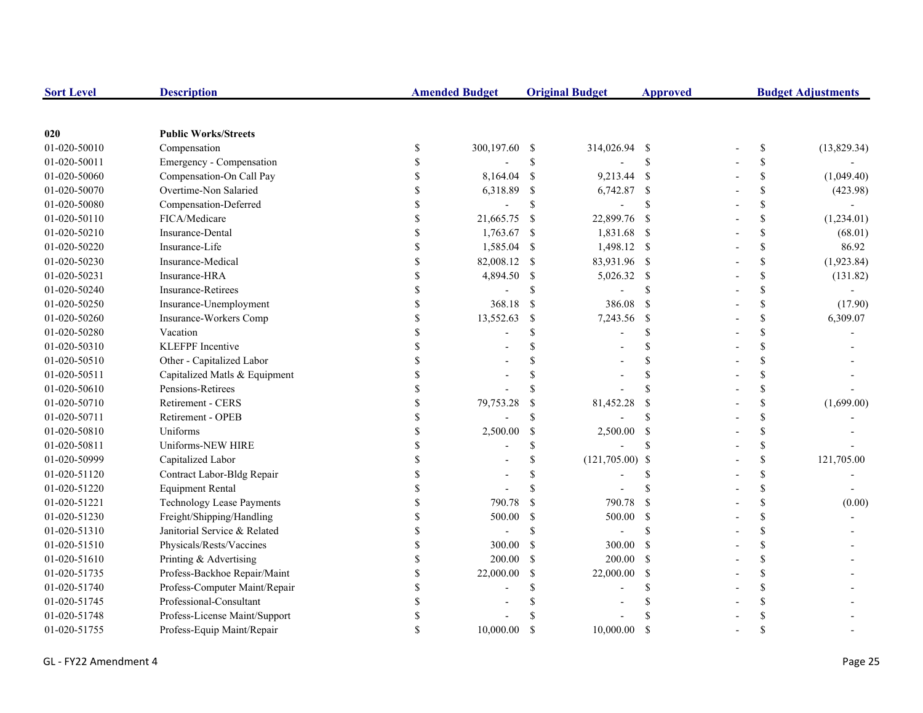| <b>Sort Level</b> | <b>Description</b>               |               | <b>Amended Budget</b> |               | <b>Original Budget</b> | <b>Approved</b>    | <b>Budget Adjustments</b> |                                                                       |             |
|-------------------|----------------------------------|---------------|-----------------------|---------------|------------------------|--------------------|---------------------------|-----------------------------------------------------------------------|-------------|
|                   |                                  |               |                       |               |                        |                    |                           |                                                                       |             |
| 020               | <b>Public Works/Streets</b>      |               |                       |               |                        |                    |                           |                                                                       |             |
| 01-020-50010      | Compensation                     | \$            | 300,197.60 \$         |               | 314,026.94 \$          |                    |                           | $\mathbb{S}% _{t}\left( t\right) \equiv\mathbb{S}_{t}\left( t\right)$ | (13,829.34) |
| 01-020-50011      | Emergency - Compensation         | \$            |                       | \$            |                        | <sup>\$</sup>      |                           | \$                                                                    |             |
| 01-020-50060      | Compensation-On Call Pay         | \$            | 8,164.04              | $\mathcal{S}$ | 9,213.44 \$            |                    |                           | \$                                                                    | (1,049.40)  |
| 01-020-50070      | Overtime-Non Salaried            |               | 6,318.89              | <sup>\$</sup> | 6,742.87 \$            |                    |                           | \$                                                                    | (423.98)    |
| 01-020-50080      | Compensation-Deferred            |               |                       | $\mathbb{S}$  |                        | $\mathcal{S}$      |                           | \$                                                                    |             |
| 01-020-50110      | FICA/Medicare                    |               | 21,665.75             | -\$           | 22,899.76              | $\mathbf{s}$       |                           | \$                                                                    | (1,234.01)  |
| 01-020-50210      | Insurance-Dental                 | \$            | 1,763.67              | -\$           | 1,831.68 \$            |                    |                           | \$                                                                    | (68.01)     |
| 01-020-50220      | Insurance-Life                   | \$            | 1,585.04              | -S            | 1,498.12 \$            |                    |                           | \$                                                                    | 86.92       |
| 01-020-50230      | Insurance-Medical                | \$            | 82,008.12             | -S            | 83,931.96 \$           |                    |                           | \$                                                                    | (1,923.84)  |
| 01-020-50231      | Insurance-HRA                    | \$            | 4,894.50              | -\$           | 5,026.32 \$            |                    |                           | \$                                                                    | (131.82)    |
| 01-020-50240      | Insurance-Retirees               | \$            |                       | <sup>\$</sup> |                        | $\mathcal{S}$      |                           | $\mathbb{S}$                                                          |             |
| 01-020-50250      | Insurance-Unemployment           | \$            | 368.18                | <sup>S</sup>  | 386.08                 | <sup>S</sup>       |                           | \$                                                                    | (17.90)     |
| 01-020-50260      | Insurance-Workers Comp           | \$            | 13,552.63             | <sup>\$</sup> | 7,243.56               | - \$               |                           | \$                                                                    | 6,309.07    |
| 01-020-50280      | Vacation                         |               |                       | \$            |                        | <sup>\$</sup>      |                           | \$                                                                    |             |
| 01-020-50310      | KLEFPF Incentive                 |               |                       | \$            |                        | <sup>\$</sup>      |                           | \$                                                                    |             |
| 01-020-50510      | Other - Capitalized Labor        |               |                       |               |                        | $\mathcal{S}$      |                           | \$                                                                    |             |
| 01-020-50511      | Capitalized Matls & Equipment    |               |                       |               |                        | $\mathbf{\hat{S}}$ |                           | \$                                                                    |             |
| 01-020-50610      | Pensions-Retirees                |               |                       | \$.           |                        | $\mathbf S$        |                           | \$                                                                    |             |
| 01-020-50710      | Retirement - CERS                |               | 79,753.28             | <sup>\$</sup> | 81,452.28              | <sup>\$</sup>      |                           | \$                                                                    | (1,699.00)  |
| 01-020-50711      | Retirement - OPEB                | $\mathcal{S}$ |                       | \$.           |                        | $\mathbf{\hat{S}}$ |                           | \$                                                                    |             |
| 01-020-50810      | Uniforms                         | \$            | 2,500.00              | $\mathcal{S}$ | 2,500.00               | - \$               |                           | \$                                                                    |             |
| 01-020-50811      | Uniforms-NEW HIRE                | <sup>\$</sup> |                       | \$.           |                        | <sup>\$</sup>      |                           | \$                                                                    |             |
| 01-020-50999      | Capitalized Labor                |               |                       | \$.           | $(121,705.00)$ \$      |                    |                           | \$                                                                    | 121,705.00  |
| 01-020-51120      | Contract Labor-Bldg Repair       |               |                       | \$.           |                        | <sup>\$</sup>      |                           | \$                                                                    |             |
| 01-020-51220      | <b>Equipment Rental</b>          |               |                       | $\mathcal{S}$ |                        |                    |                           | \$                                                                    |             |
| 01-020-51221      | <b>Technology Lease Payments</b> |               | 790.78                | $\mathcal{S}$ | 790.78                 | $\mathcal{S}$      |                           | \$                                                                    | (0.00)      |
| 01-020-51230      | Freight/Shipping/Handling        |               | 500.00                | $\mathbb{S}$  | 500.00                 | <sup>S</sup>       |                           | \$                                                                    |             |
| 01-020-51310      | Janitorial Service & Related     |               |                       | \$            |                        | $\mathcal{S}$      |                           | \$                                                                    |             |
| 01-020-51510      | Physicals/Rests/Vaccines         |               | 300.00                | -S            | 300.00                 | - \$               |                           | \$                                                                    |             |
| 01-020-51610      | Printing & Advertising           | \$            | 200.00                | -S            | $200.00$ \$            |                    |                           | \$                                                                    |             |
| 01-020-51735      | Profess-Backhoe Repair/Maint     | \$            | 22,000.00             | <sup>\$</sup> | 22,000.00              | -S                 |                           | \$                                                                    |             |
| 01-020-51740      | Profess-Computer Maint/Repair    | \$            |                       | \$            |                        | \$.                |                           | \$                                                                    |             |
| 01-020-51745      | Professional-Consultant          |               |                       |               |                        |                    |                           | \$                                                                    |             |
| 01-020-51748      | Profess-License Maint/Support    |               |                       |               |                        |                    |                           | \$                                                                    |             |
| 01-020-51755      | Profess-Equip Maint/Repair       | $\mathcal{S}$ | 10,000.00             | <sup>\$</sup> | 10,000.00              | <sup>\$</sup>      |                           | \$                                                                    |             |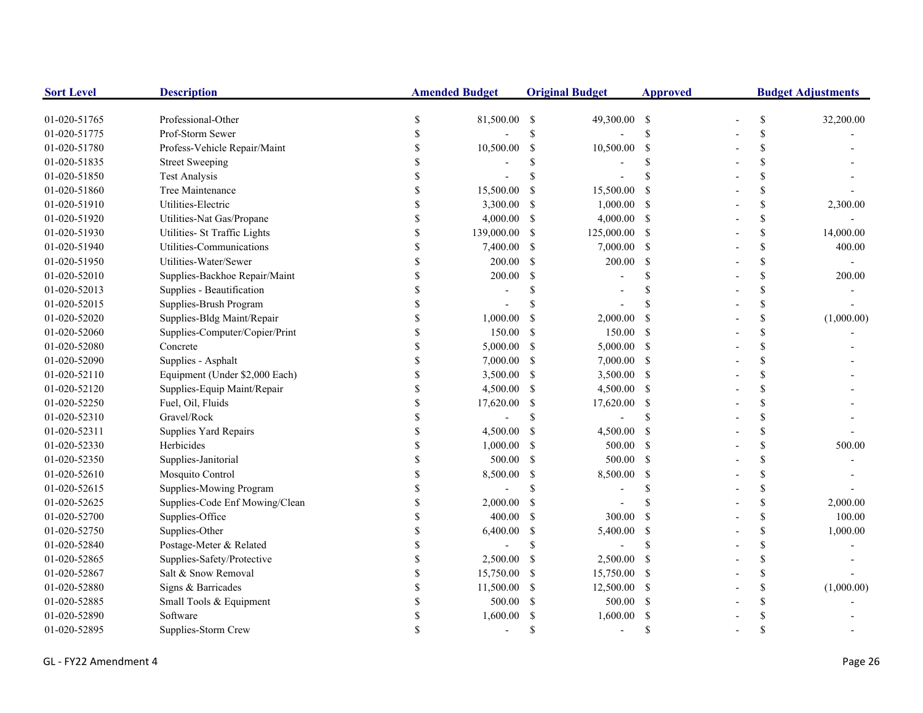| <b>Sort Level</b> | <b>Description</b>             | <b>Amended Budget</b> |            | <b>Original Budget</b> |               | <b>Approved</b>    | <b>Budget Adjustments</b> |               |            |
|-------------------|--------------------------------|-----------------------|------------|------------------------|---------------|--------------------|---------------------------|---------------|------------|
| 01-020-51765      | Professional-Other             | \$                    | 81,500.00  | -\$                    | 49,300.00 \$  |                    |                           | \$            | 32,200.00  |
| 01-020-51775      | Prof-Storm Sewer               | <sup>\$</sup>         |            | \$                     |               | $\mathsf{\$}$      |                           | \$            |            |
| 01-020-51780      | Profess-Vehicle Repair/Maint   | <sup>\$</sup>         | 10,500.00  | -S                     | 10,500.00     | \$                 |                           | \$            |            |
| 01-020-51835      | <b>Street Sweeping</b>         |                       |            |                        |               | S                  |                           | <sup>\$</sup> |            |
| 01-020-51850      | <b>Test Analysis</b>           |                       |            |                        |               |                    |                           | \$            |            |
| 01-020-51860      | Tree Maintenance               |                       | 15,500.00  | <sup>\$</sup>          | 15,500.00     | <sup>\$</sup>      |                           | \$            |            |
| 01-020-51910      | Utilities-Electric             |                       | 3,300.00   | -S                     | 1,000.00      | - \$               |                           | \$            | 2,300.00   |
| 01-020-51920      | Utilities-Nat Gas/Propane      | \$                    | 4,000.00   | -S                     | 4,000.00      | - \$               |                           | \$            |            |
| 01-020-51930      | Utilities- St Traffic Lights   | \$                    | 139,000.00 | -S                     | 125,000.00    | -S                 |                           | \$            | 14,000.00  |
| 01-020-51940      | Utilities-Communications       | \$                    | 7,400.00   | -S                     | 7,000.00      | -S                 |                           | \$            | 400.00     |
| 01-020-51950      | Utilities-Water/Sewer          | \$                    | 200.00     | <sup>\$</sup>          | 200.00        | \$                 |                           | \$            |            |
| 01-020-52010      | Supplies-Backhoe Repair/Maint  | \$                    | 200.00     | \$                     |               | $\mathcal{S}$      |                           | \$            | 200.00     |
| 01-020-52013      | Supplies - Beautification      |                       |            |                        |               |                    |                           | \$            |            |
| 01-020-52015      | Supplies-Brush Program         |                       |            |                        |               |                    |                           | \$            |            |
| 01-020-52020      | Supplies-Bldg Maint/Repair     |                       | 1,000.00   | -S                     | 2,000.00      | -S                 |                           | \$            | (1,000.00) |
| 01-020-52060      | Supplies-Computer/Copier/Print |                       | 150.00     | <sup>\$</sup>          | 150.00        | -S                 |                           | \$            |            |
| 01-020-52080      | Concrete                       |                       | 5,000.00   | \$                     | 5,000.00      | -S                 |                           | \$            |            |
| 01-020-52090      | Supplies - Asphalt             |                       | 7,000.00   | -S                     | $7,000.00$ \$ |                    |                           | \$            |            |
| 01-020-52110      | Equipment (Under \$2,000 Each) |                       | 3,500.00   | -S                     | 3,500.00 \$   |                    |                           | \$            |            |
| 01-020-52120      | Supplies-Equip Maint/Repair    |                       | 4,500.00   | -S                     | 4,500.00 \$   |                    |                           | \$            |            |
| 01-020-52250      | Fuel, Oil, Fluids              |                       | 17,620.00  | -S                     | 17,620.00     | -S                 |                           | \$            |            |
| 01-020-52310      | Gravel/Rock                    | \$                    |            | \$.                    |               | <sup>\$</sup>      |                           | \$            |            |
| 01-020-52311      | Supplies Yard Repairs          | \$                    | 4,500.00   | <sup>\$</sup>          | 4,500.00      | <sup>\$</sup>      |                           | \$            |            |
| 01-020-52330      | Herbicides                     | \$                    | 1,000.00   | -S                     | 500.00        | -S                 |                           | \$            | 500.00     |
| 01-020-52350      | Supplies-Janitorial            | \$                    | 500.00     | <sup>\$</sup>          | 500.00        | -S                 |                           | \$            |            |
| 01-020-52610      | Mosquito Control               | <sup>\$</sup>         | 8,500.00   | -S                     | 8,500.00      | $\mathcal{S}$      |                           | \$            |            |
| 01-020-52615      | Supplies-Mowing Program        | <sup>\$</sup>         |            | $\mathcal{S}$          |               | $\mathcal{S}$      |                           | \$            |            |
| 01-020-52625      | Supplies-Code Enf Mowing/Clean |                       | 2,000.00   | -\$                    |               | $\mathbf{\hat{S}}$ |                           | \$            | 2,000.00   |
| 01-020-52700      | Supplies-Office                |                       | 400.00     | <sup>\$</sup>          | 300.00        | <sup>\$</sup>      |                           | \$            | 100.00     |
| 01-020-52750      | Supplies-Other                 |                       | 6,400.00   | \$                     | 5,400.00      | <sup>\$</sup>      |                           | \$            | 1,000.00   |
| 01-020-52840      | Postage-Meter & Related        |                       |            | \$                     |               | $\mathcal{S}$      |                           | \$            |            |
| 01-020-52865      | Supplies-Safety/Protective     |                       | 2,500.00   | -S                     | 2,500.00      | <sup>\$</sup>      |                           | \$            |            |
| 01-020-52867      | Salt & Snow Removal            | $\mathcal{S}$         | 15,750.00  | -S                     | 15,750.00     | -\$                |                           | \$            |            |
| 01-020-52880      | Signs & Barricades             | \$                    | 11,500.00  | -S                     | 12,500.00     | -\$                |                           | \$            | (1,000.00) |
| 01-020-52885      | Small Tools & Equipment        | \$                    | 500.00     | <sup>\$</sup>          | 500.00        | - \$               |                           | \$            |            |
| 01-020-52890      | Software                       |                       | 1,600.00   | S                      | 1,600.00      | <sup>\$</sup>      |                           | \$            |            |
| 01-020-52895      | Supplies-Storm Crew            |                       |            | \$.                    |               | $\mathbf{\hat{S}}$ |                           | $\mathcal{S}$ |            |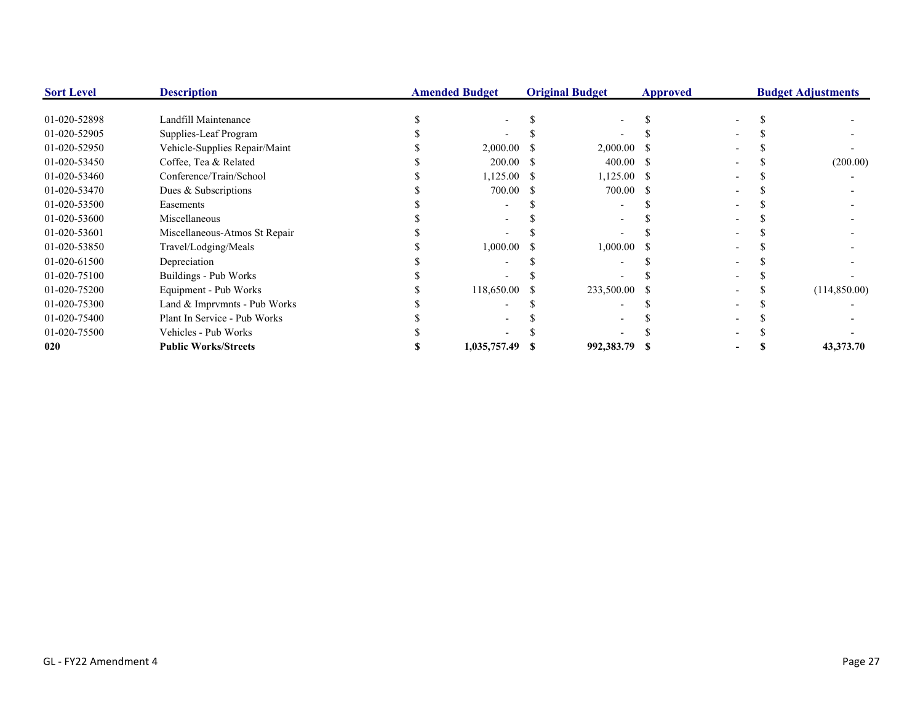| <b>Sort Level</b> | <b>Description</b>            | <b>Amended Budget</b> |              | <b>Original Budget</b> |               | <b>Approved</b> | <b>Budget Adjustments</b> |  |              |
|-------------------|-------------------------------|-----------------------|--------------|------------------------|---------------|-----------------|---------------------------|--|--------------|
| 01-020-52898      | Landfill Maintenance          |                       |              |                        |               |                 |                           |  |              |
| 01-020-52905      | Supplies-Leaf Program         |                       |              |                        |               |                 |                           |  |              |
| 01-020-52950      | Vehicle-Supplies Repair/Maint |                       | 2,000.00     |                        | $2,000.00$ \$ |                 |                           |  |              |
| 01-020-53450      | Coffee, Tea & Related         |                       | 200.00       | - 5                    | $400.00$ \$   |                 |                           |  | (200.00)     |
| 01-020-53460      | Conference/Train/School       |                       | 1,125.00     |                        | $1,125.00$ \$ |                 |                           |  |              |
| 01-020-53470      | Dues & Subscriptions          |                       | 700.00       |                        | 700.00 \$     |                 |                           |  |              |
| 01-020-53500      | Easements                     |                       |              |                        |               |                 |                           |  |              |
| 01-020-53600      | Miscellaneous                 |                       |              |                        |               |                 |                           |  |              |
| 01-020-53601      | Miscellaneous-Atmos St Repair |                       |              |                        |               |                 |                           |  |              |
| 01-020-53850      | Travel/Lodging/Meals          |                       | 1,000.00     |                        | 1,000.00      |                 |                           |  |              |
| 01-020-61500      | Depreciation                  |                       |              |                        |               |                 |                           |  |              |
| 01-020-75100      | Buildings - Pub Works         |                       |              |                        |               |                 |                           |  |              |
| 01-020-75200      | Equipment - Pub Works         |                       | 118,650.00   |                        | 233,500.00 \$ |                 |                           |  | (114,850.00) |
| 01-020-75300      | Land & Imprvmnts - Pub Works  |                       |              |                        |               |                 |                           |  |              |
| 01-020-75400      | Plant In Service - Pub Works  |                       |              |                        |               |                 |                           |  |              |
| 01-020-75500      | Vehicles - Pub Works          |                       |              |                        |               |                 |                           |  |              |
| 020               | <b>Public Works/Streets</b>   |                       | 1,035,757.49 |                        | 992,383.79 \$ |                 |                           |  | 43,373.70    |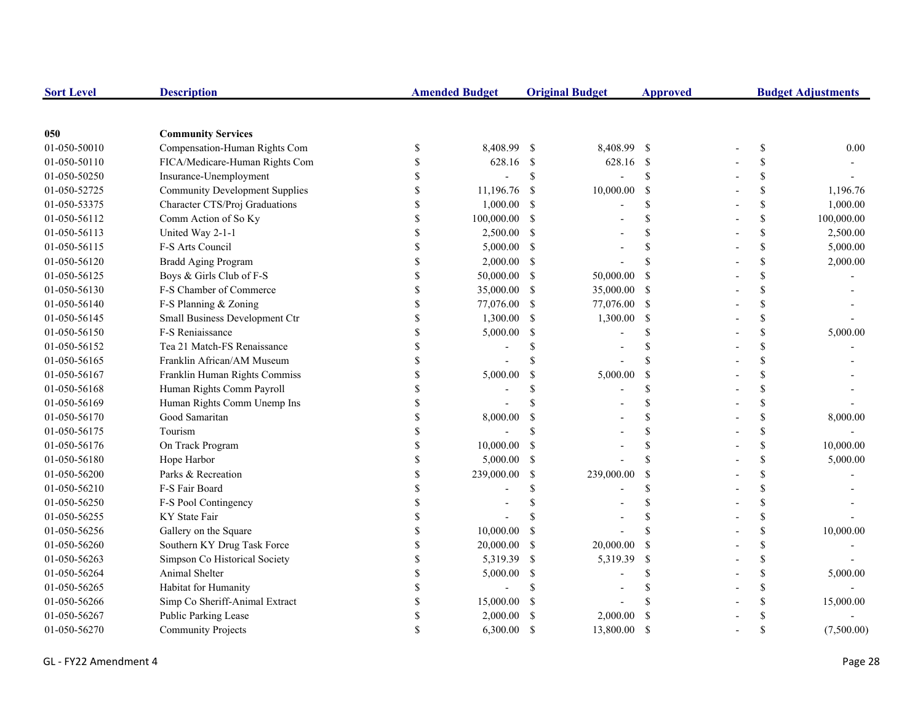| <b>Sort Level</b> | <b>Description</b>                    | <b>Amended Budget</b>     |            | <b>Original Budget</b> |                | <b>Approved</b>    | <b>Budget Adjustments</b> |               |            |
|-------------------|---------------------------------------|---------------------------|------------|------------------------|----------------|--------------------|---------------------------|---------------|------------|
|                   |                                       |                           |            |                        |                |                    |                           |               |            |
| 050               | <b>Community Services</b>             |                           |            |                        |                |                    |                           |               |            |
| 01-050-50010      | Compensation-Human Rights Com         | \$                        | 8,408.99   | -\$                    | 8,408.99 \$    |                    |                           | \$            | 0.00       |
| 01-050-50110      | FICA/Medicare-Human Rights Com        | \$                        | 628.16 \$  |                        | 628.16 \$      |                    |                           | \$            |            |
| 01-050-50250      | Insurance-Unemployment                | \$                        |            | $\mathbb{S}$           | $\overline{a}$ | $\mathcal{S}$      |                           | \$            |            |
| 01-050-52725      | <b>Community Development Supplies</b> | \$                        | 11,196.76  | -S                     | 10,000.00      | <sup>S</sup>       |                           | \$            | 1,196.76   |
| 01-050-53375      | Character CTS/Proj Graduations        | $\mathbb{S}$              | 1,000.00   | S                      |                | <sup>\$</sup>      |                           | \$            | 1,000.00   |
| 01-050-56112      | Comm Action of So Ky                  | \$                        | 100,000.00 | <sup>\$</sup>          |                | $\mathbf{\hat{S}}$ |                           | \$            | 100,000.00 |
| 01-050-56113      | United Way 2-1-1                      | \$                        | 2,500.00   | -\$                    |                | <sup>\$</sup>      |                           | \$            | 2,500.00   |
| 01-050-56115      | F-S Arts Council                      | \$                        | 5,000.00   | - \$                   |                | $\mathcal{S}$      |                           | \$            | 5,000.00   |
| 01-050-56120      | Bradd Aging Program                   | $\mathbb{S}$              | 2,000.00   | -S                     |                | $\mathbf{\hat{S}}$ |                           | \$            | 2,000.00   |
| 01-050-56125      | Boys & Girls Club of F-S              | \$                        | 50,000.00  | -S                     | 50,000.00      | <sup>\$</sup>      |                           | \$            |            |
| 01-050-56130      | F-S Chamber of Commerce               | $\mathbb{S}$              | 35,000.00  | -S                     | 35,000.00      | -S                 |                           | \$            |            |
| 01-050-56140      | F-S Planning & Zoning                 | $\mathbb{S}$              | 77,076.00  | -\$                    | 77,076.00 \$   |                    |                           | \$            |            |
| 01-050-56145      | Small Business Development Ctr        | \$                        | 1,300.00   | -S                     | 1,300.00       | \$                 |                           | \$            |            |
| 01-050-56150      | F-S Reniaissance                      | $\boldsymbol{\mathsf{S}}$ | 5,000.00   | \$                     |                | <sup>\$</sup>      |                           | \$            | 5,000.00   |
| 01-050-56152      | Tea 21 Match-FS Renaissance           | \$                        |            | \$.                    |                | <sup>\$</sup>      |                           | \$            |            |
| 01-050-56165      | Franklin African/AM Museum            | \$                        |            | \$.                    |                | $\mathcal{S}$      |                           | <sup>\$</sup> |            |
| 01-050-56167      | Franklin Human Rights Commiss         | $\mathbb S$               | 5,000.00   | \$                     | 5,000.00       | \$                 |                           | \$            |            |
| 01-050-56168      | Human Rights Comm Payroll             | \$                        |            |                        |                | \$                 |                           | <sup>\$</sup> |            |
| 01-050-56169      | Human Rights Comm Unemp Ins           | \$                        |            |                        |                | \$                 |                           | \$            |            |
| 01-050-56170      | Good Samaritan                        | $\mathbb{S}$              | 8,000.00   | S                      |                | \$                 |                           | \$            | 8,000.00   |
| 01-050-56175      | Tourism                               | $\mathbb{S}$              |            |                        |                | \$                 |                           | \$            |            |
| 01-050-56176      | On Track Program                      | \$                        | 10,000.00  | <sup>\$</sup>          |                | $\mathbf S$        |                           | \$            | 10,000.00  |
| 01-050-56180      | Hope Harbor                           | $\mathbb{S}$              | 5,000.00   | S                      |                | \$                 |                           | \$            | 5,000.00   |
| 01-050-56200      | Parks & Recreation                    | \$                        | 239,000.00 | <sup>\$</sup>          | 239,000.00     | \$                 |                           | \$            |            |
| 01-050-56210      | F-S Fair Board                        | \$                        |            | \$                     |                | <sup>\$</sup>      |                           | \$            |            |
| 01-050-56250      | F-S Pool Contingency                  | $\$$                      |            |                        |                | S                  |                           | <sup>\$</sup> |            |
| 01-050-56255      | KY State Fair                         | \$                        |            |                        |                | S                  |                           | \$            |            |
| 01-050-56256      | Gallery on the Square                 | \$                        | 10,000.00  | <sup>\$</sup>          |                | $\mathcal{S}$      |                           | <sup>\$</sup> | 10,000.00  |
| 01-050-56260      | Southern KY Drug Task Force           | \$                        | 20,000.00  | \$                     | 20,000.00      | <sup>\$</sup>      |                           | \$            |            |
| 01-050-56263      | Simpson Co Historical Society         | \$                        | 5,319.39   | <sup>\$</sup>          | 5,319.39       | -\$                |                           | \$            |            |
| 01-050-56264      | Animal Shelter                        | \$                        | 5,000.00   | \$                     |                | <sup>\$</sup>      |                           | \$            | 5,000.00   |
| 01-050-56265      | Habitat for Humanity                  | $\mathbf S$               |            | S                      |                | <sup>\$</sup>      |                           | \$            |            |
| 01-050-56266      | Simp Co Sheriff-Animal Extract        | $\mathbb{S}$              | 15,000.00  | S                      |                | <sup>\$</sup>      |                           | \$            | 15,000.00  |
| 01-050-56267      | Public Parking Lease                  | \$                        | 2,000.00   | <sup>\$</sup>          | 2,000.00       | $\mathcal{S}$      |                           | \$            |            |
| 01-050-56270      | <b>Community Projects</b>             | $\mathbf{\hat{S}}$        | 6,300.00   | <sup>\$</sup>          | 13,800.00      | <sup>S</sup>       |                           | \$            | (7,500.00) |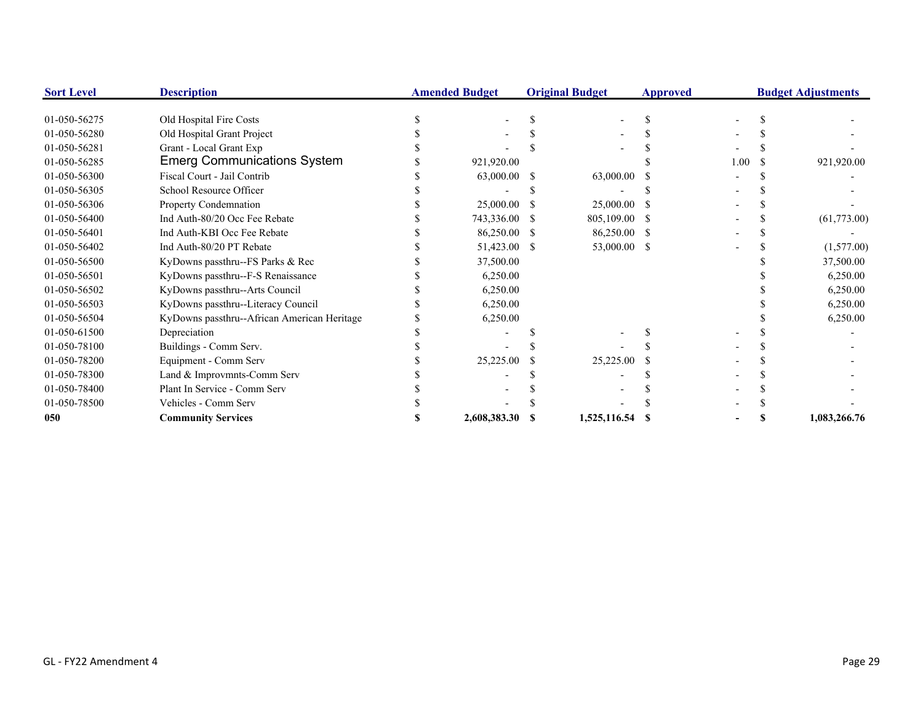| <b>Sort Level</b> | <b>Description</b>                          | <b>Amended Budget</b> |    | <b>Original Budget</b> | <b>Approved</b> |      | <b>Budget Adjustments</b> |              |  |
|-------------------|---------------------------------------------|-----------------------|----|------------------------|-----------------|------|---------------------------|--------------|--|
|                   |                                             |                       |    |                        |                 |      |                           |              |  |
| 01-050-56275      | Old Hospital Fire Costs                     |                       |    |                        |                 |      |                           |              |  |
| 01-050-56280      | Old Hospital Grant Project                  |                       |    |                        |                 |      |                           |              |  |
| 01-050-56281      | Grant - Local Grant Exp                     |                       |    |                        |                 |      |                           |              |  |
| 01-050-56285      | <b>Emerg Communications System</b>          | 921,920.00            |    |                        |                 | 1.00 |                           | 921,920.00   |  |
| 01-050-56300      | Fiscal Court - Jail Contrib                 | 63,000.00             | -8 | 63,000.00              |                 |      |                           |              |  |
| 01-050-56305      | School Resource Officer                     |                       |    |                        |                 |      |                           |              |  |
| 01-050-56306      | Property Condemnation                       | 25,000.00             |    | 25,000.00              |                 |      |                           |              |  |
| 01-050-56400      | Ind Auth-80/20 Occ Fee Rebate               | 743,336.00            |    | 805,109.00 \$          |                 |      |                           | (61,773.00)  |  |
| 01-050-56401      | Ind Auth-KBI Occ Fee Rebate                 | 86,250.00 \$          |    | 86,250.00 \$           |                 |      |                           |              |  |
| 01-050-56402      | Ind Auth-80/20 PT Rebate                    | 51,423.00 \$          |    | 53,000.00 \$           |                 |      |                           | (1,577.00)   |  |
| 01-050-56500      | KyDowns passthru--FS Parks & Rec            | 37,500.00             |    |                        |                 |      |                           | 37,500.00    |  |
| 01-050-56501      | KyDowns passthru--F-S Renaissance           | 6,250.00              |    |                        |                 |      |                           | 6,250.00     |  |
| 01-050-56502      | KyDowns passthru--Arts Council              | 6,250.00              |    |                        |                 |      |                           | 6,250.00     |  |
| 01-050-56503      | KyDowns passthru--Literacy Council          | 6,250.00              |    |                        |                 |      |                           | 6,250.00     |  |
| 01-050-56504      | KyDowns passthru--African American Heritage | 6,250.00              |    |                        |                 |      |                           | 6,250.00     |  |
| 01-050-61500      | Depreciation                                |                       |    |                        |                 |      |                           |              |  |
| 01-050-78100      | Buildings - Comm Serv.                      |                       |    |                        |                 |      |                           |              |  |
| 01-050-78200      | Equipment - Comm Serv                       | 25,225.00             |    | 25,225.00              |                 |      |                           |              |  |
| 01-050-78300      | Land & Improvmnts-Comm Serv                 |                       |    |                        |                 |      |                           |              |  |
| 01-050-78400      | Plant In Service - Comm Serv                |                       |    |                        |                 |      |                           |              |  |
| 01-050-78500      | Vehicles - Comm Serv                        |                       |    |                        |                 |      |                           |              |  |
| 050               | <b>Community Services</b>                   | 2,608,383.30          |    | 1,525,116.54           |                 |      |                           | 1,083,266.76 |  |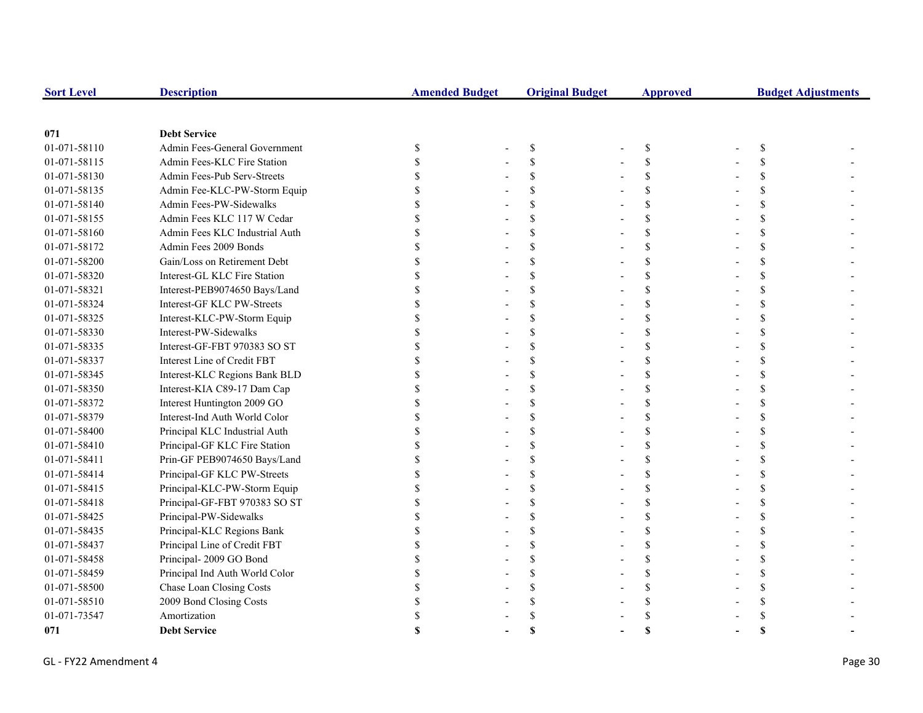| <b>Sort Level</b> | <b>Description</b>             | <b>Amended Budget</b> | <b>Original Budget</b> | <b>Approved</b> | <b>Budget Adjustments</b> |  |
|-------------------|--------------------------------|-----------------------|------------------------|-----------------|---------------------------|--|
|                   |                                |                       |                        |                 |                           |  |
| 071               | <b>Debt Service</b>            |                       |                        |                 |                           |  |
| 01-071-58110      | Admin Fees-General Government  | \$                    | \$                     | \$              | S                         |  |
| 01-071-58115      | Admin Fees-KLC Fire Station    |                       | \$                     | \$              |                           |  |
| 01-071-58130      | Admin Fees-Pub Serv-Streets    |                       | $\mathbf S$            | \$              |                           |  |
| 01-071-58135      | Admin Fee-KLC-PW-Storm Equip   |                       |                        | \$              |                           |  |
| 01-071-58140      | Admin Fees-PW-Sidewalks        |                       |                        | \$              |                           |  |
| 01-071-58155      | Admin Fees KLC 117 W Cedar     |                       |                        | \$              |                           |  |
| 01-071-58160      | Admin Fees KLC Industrial Auth |                       |                        | \$              |                           |  |
| 01-071-58172      | Admin Fees 2009 Bonds          |                       |                        | \$              |                           |  |
| 01-071-58200      | Gain/Loss on Retirement Debt   |                       |                        | \$              |                           |  |
| 01-071-58320      | Interest-GL KLC Fire Station   |                       |                        | \$              |                           |  |
| 01-071-58321      | Interest-PEB9074650 Bays/Land  |                       | \$.                    | \$              |                           |  |
| 01-071-58324      | Interest-GF KLC PW-Streets     |                       |                        | \$              |                           |  |
| 01-071-58325      | Interest-KLC-PW-Storm Equip    |                       |                        | \$              |                           |  |
| 01-071-58330      | Interest-PW-Sidewalks          |                       |                        | \$              |                           |  |
| 01-071-58335      | Interest-GF-FBT 970383 SO ST   |                       |                        | \$              |                           |  |
| 01-071-58337      | Interest Line of Credit FBT    |                       |                        | $\mathbf S$     |                           |  |
| 01-071-58345      | Interest-KLC Regions Bank BLD  |                       |                        | \$              |                           |  |
| 01-071-58350      | Interest-KIA C89-17 Dam Cap    |                       |                        | \$              |                           |  |
| 01-071-58372      | Interest Huntington 2009 GO    |                       |                        | \$              |                           |  |
| 01-071-58379      | Interest-Ind Auth World Color  |                       |                        | \$              |                           |  |
| 01-071-58400      | Principal KLC Industrial Auth  |                       |                        | \$              |                           |  |
| 01-071-58410      | Principal-GF KLC Fire Station  |                       |                        | \$              |                           |  |
| 01-071-58411      | Prin-GF PEB9074650 Bays/Land   |                       | \$.                    | \$              |                           |  |
| 01-071-58414      | Principal-GF KLC PW-Streets    |                       | \$.                    | \$              |                           |  |
| 01-071-58415      | Principal-KLC-PW-Storm Equip   |                       | S                      | \$              |                           |  |
| 01-071-58418      | Principal-GF-FBT 970383 SO ST  |                       |                        | \$              |                           |  |
| 01-071-58425      | Principal-PW-Sidewalks         |                       |                        | \$              |                           |  |
| 01-071-58435      | Principal-KLC Regions Bank     |                       |                        | \$              |                           |  |
| 01-071-58437      | Principal Line of Credit FBT   |                       | $\mathbf S$            | \$              |                           |  |
| 01-071-58458      | Principal-2009 GO Bond         |                       |                        | \$              |                           |  |
| 01-071-58459      | Principal Ind Auth World Color |                       |                        | \$              |                           |  |
| 01-071-58500      | Chase Loan Closing Costs       |                       |                        | \$              |                           |  |
| 01-071-58510      | 2009 Bond Closing Costs        |                       |                        |                 |                           |  |
| 01-071-73547      | Amortization                   |                       |                        |                 |                           |  |
| 071               | <b>Debt Service</b>            |                       |                        |                 |                           |  |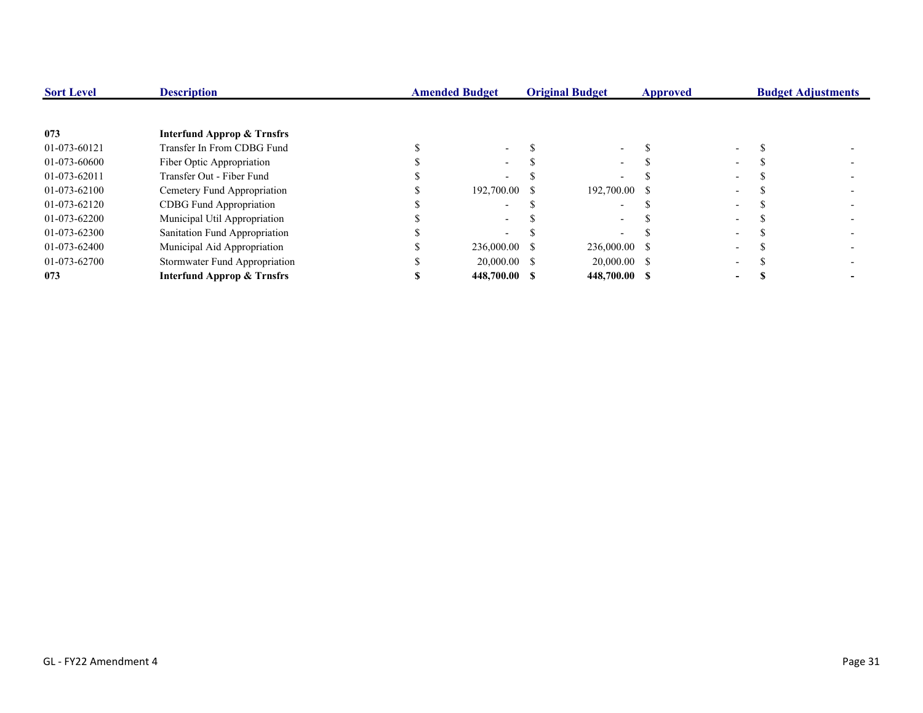| <b>Sort Level</b> | <b>Description</b>                    | <b>Amended Budget</b> | <b>Original Budget</b> | Approved |                          | <b>Budget Adjustments</b> |
|-------------------|---------------------------------------|-----------------------|------------------------|----------|--------------------------|---------------------------|
|                   |                                       |                       |                        |          |                          |                           |
| 073               | <b>Interfund Approp &amp; Trnsfrs</b> |                       |                        |          |                          |                           |
| 01-073-60121      | Transfer In From CDBG Fund            |                       |                        |          |                          |                           |
| 01-073-60600      | Fiber Optic Appropriation             | $\sim$                |                        |          |                          |                           |
| 01-073-62011      | Transfer Out - Fiber Fund             |                       |                        |          |                          |                           |
| 01-073-62100      | Cemetery Fund Appropriation           | 192,700.00 \$         | 192,700.00 \$          |          | $\overline{\phantom{0}}$ |                           |
| 01-073-62120      | CDBG Fund Appropriation               |                       |                        |          |                          |                           |
| 01-073-62200      | Municipal Util Appropriation          |                       |                        |          |                          |                           |
| 01-073-62300      | Sanitation Fund Appropriation         |                       |                        |          | -                        |                           |
| 01-073-62400      | Municipal Aid Appropriation           | 236,000.00 \$         | 236,000.00 \$          |          |                          |                           |
| 01-073-62700      | Stormwater Fund Appropriation         | 20,000.00 \$          | $20,000.00$ \$         |          | $\overline{\phantom{0}}$ |                           |
| 073               | <b>Interfund Approp &amp; Trnsfrs</b> | 448,700.00 \$         | 448,700.00 \$          |          | -                        |                           |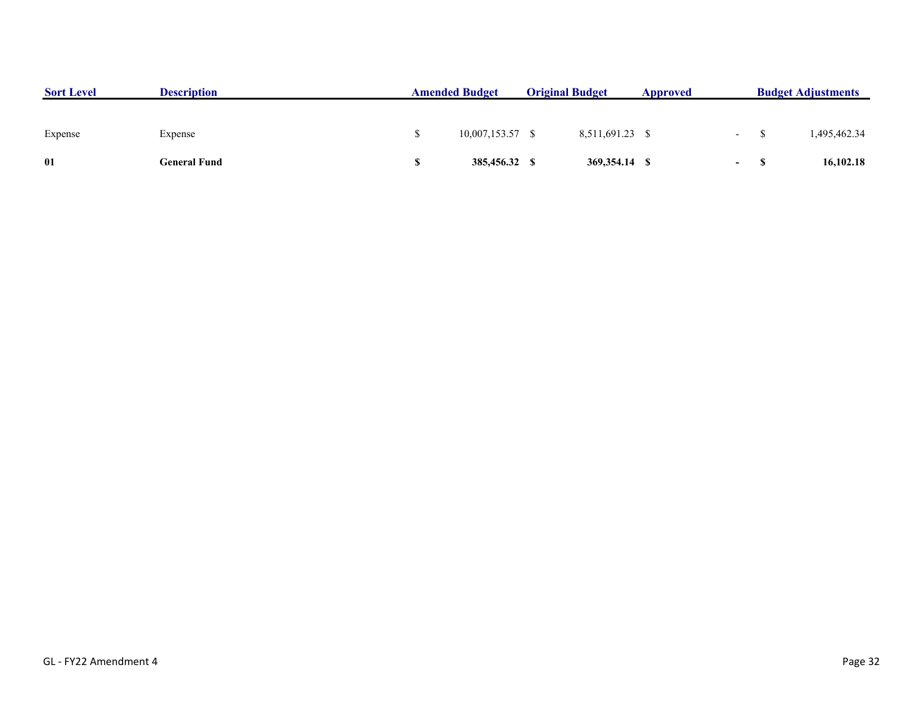| <b>Sort Level</b> | <b>Description</b>  | <b>Amended Budget</b> |                    | <b>Original Budget</b> |                 | Approved |                  | <b>Budget Adjustments</b> |              |
|-------------------|---------------------|-----------------------|--------------------|------------------------|-----------------|----------|------------------|---------------------------|--------------|
|                   |                     |                       |                    |                        |                 |          |                  |                           |              |
| Expense           | Expense             |                       | $10,007,153.57$ \$ |                        | 8,511,691.23 \$ |          | $\sim$ 100 $\mu$ |                           | 1,495,462.34 |
| 01                | <b>General Fund</b> |                       | 385,456.32 \$      |                        | 369,354.14 \$   |          | $\sim$ 100 $\mu$ |                           | 16,102.18    |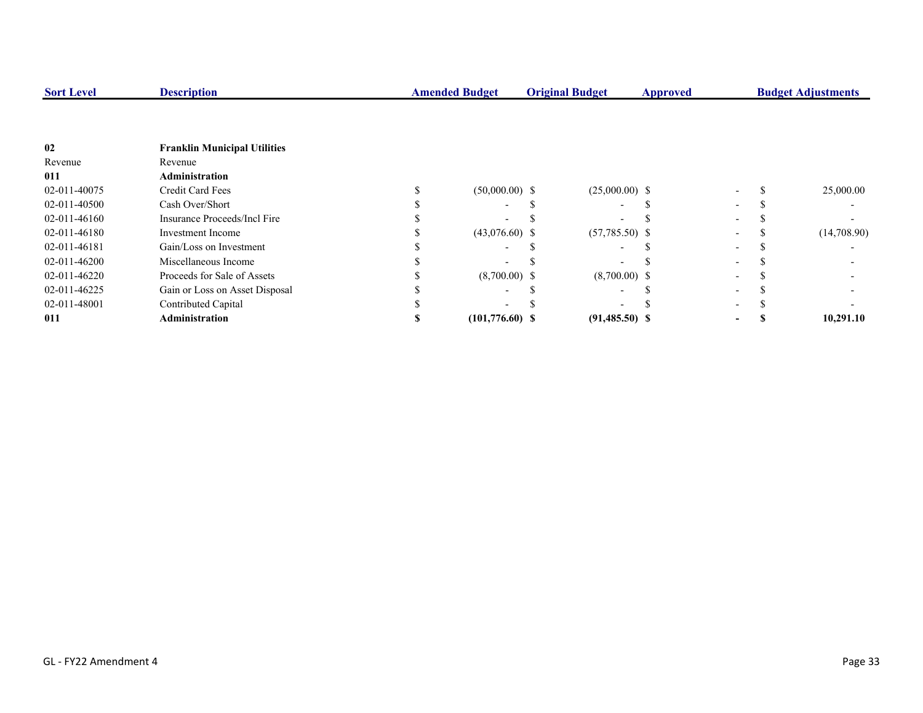| <b>Sort Level</b> | <b>Description</b>                  | <b>Amended Budget</b> | <b>Original Budget</b>   | <b>Approved</b> |  | <b>Budget Adjustments</b> |
|-------------------|-------------------------------------|-----------------------|--------------------------|-----------------|--|---------------------------|
|                   |                                     |                       |                          |                 |  |                           |
| 02                | <b>Franklin Municipal Utilities</b> |                       |                          |                 |  |                           |
| Revenue           | Revenue                             |                       |                          |                 |  |                           |
| 011               | <b>Administration</b>               |                       |                          |                 |  |                           |
| 02-011-40075      | <b>Credit Card Fees</b>             | $(50,000.00)$ \$      | $(25,000.00)$ \$         |                 |  | 25,000.00                 |
| 02-011-40500      | Cash Over/Short                     |                       | $\overline{\phantom{0}}$ |                 |  |                           |
| 02-011-46160      | Insurance Proceeds/Incl Fire        |                       |                          |                 |  |                           |
| 02-011-46180      | Investment Income                   | $(43,076.60)$ \$      | $(57,785.50)$ \$         |                 |  | (14,708.90)               |
| 02-011-46181      | Gain/Loss on Investment             |                       |                          |                 |  |                           |
| 02-011-46200      | Miscellaneous Income                |                       |                          |                 |  |                           |
| 02-011-46220      | Proceeds for Sale of Assets         | $(8,700.00)$ \$       | $(8,700.00)$ \$          |                 |  |                           |
| 02-011-46225      | Gain or Loss on Asset Disposal      |                       |                          |                 |  |                           |
| 02-011-48001      | Contributed Capital                 |                       |                          |                 |  |                           |
| 011               | <b>Administration</b>               | $(101,776.60)$ \$     | $(91,485.50)$ \$         |                 |  | 10,291.10                 |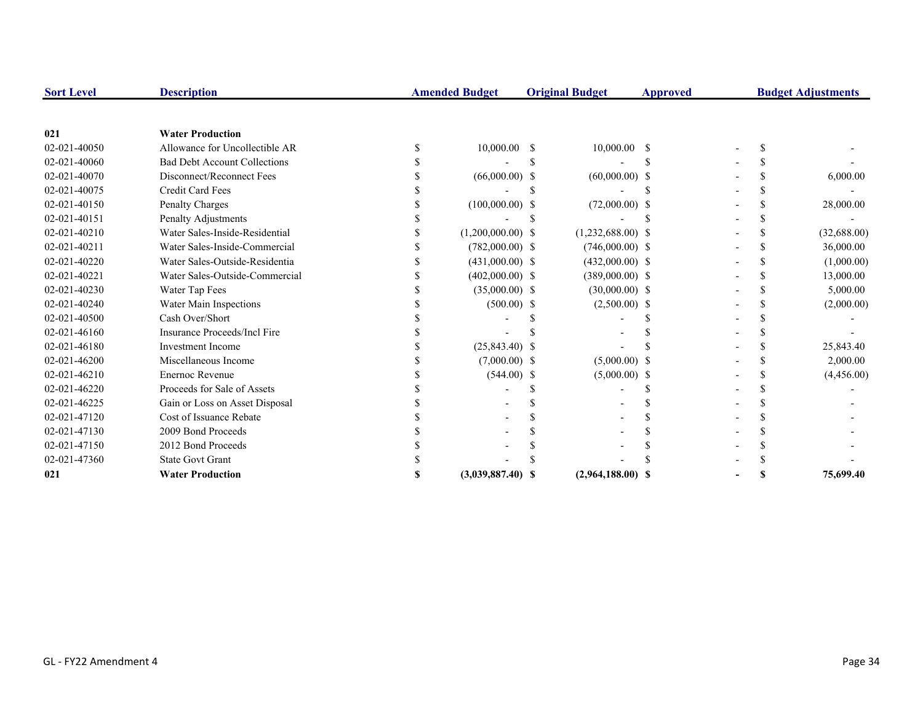| <b>Sort Level</b> | <b>Description</b>                  | <b>Amended Budget</b><br><b>Original Budget</b> |                     | <b>Approved</b> | <b>Budget Adjustments</b> |  |  |  |             |
|-------------------|-------------------------------------|-------------------------------------------------|---------------------|-----------------|---------------------------|--|--|--|-------------|
|                   |                                     |                                                 |                     |                 |                           |  |  |  |             |
| 021               | <b>Water Production</b>             |                                                 |                     |                 |                           |  |  |  |             |
| 02-021-40050      | Allowance for Uncollectible AR      |                                                 | 10,000.00           | -S              | $10,000.00$ \$            |  |  |  |             |
| 02-021-40060      | <b>Bad Debt Account Collections</b> |                                                 |                     |                 |                           |  |  |  |             |
| 02-021-40070      | Disconnect/Reconnect Fees           |                                                 | $(66,000.00)$ \$    |                 | $(60,000.00)$ \$          |  |  |  | 6,000.00    |
| 02-021-40075      | <b>Credit Card Fees</b>             |                                                 |                     |                 |                           |  |  |  |             |
| 02-021-40150      | Penalty Charges                     |                                                 | $(100,000.00)$ \$   |                 | $(72,000.00)$ \$          |  |  |  | 28,000.00   |
| 02-021-40151      | Penalty Adjustments                 |                                                 |                     |                 |                           |  |  |  |             |
| 02-021-40210      | Water Sales-Inside-Residential      |                                                 | $(1,200,000.00)$ \$ |                 | $(1,232,688.00)$ \$       |  |  |  | (32,688.00) |
| 02-021-40211      | Water Sales-Inside-Commercial       |                                                 | $(782,000.00)$ \$   |                 | $(746,000.00)$ \$         |  |  |  | 36,000.00   |
| 02-021-40220      | Water Sales-Outside-Residentia      |                                                 | $(431,000.00)$ \$   |                 | $(432,000.00)$ \$         |  |  |  | (1,000.00)  |
| 02-021-40221      | Water Sales-Outside-Commercial      |                                                 | $(402,000.00)$ \$   |                 | $(389,000.00)$ \$         |  |  |  | 13,000.00   |
| 02-021-40230      | Water Tap Fees                      |                                                 | $(35,000.00)$ \$    |                 | $(30,000.00)$ \$          |  |  |  | 5,000.00    |
| 02-021-40240      | Water Main Inspections              |                                                 | $(500.00)$ \$       |                 | $(2,500.00)$ \$           |  |  |  | (2,000.00)  |
| 02-021-40500      | Cash Over/Short                     |                                                 |                     |                 |                           |  |  |  |             |
| 02-021-46160      | Insurance Proceeds/Incl Fire        |                                                 |                     |                 |                           |  |  |  |             |
| 02-021-46180      | <b>Investment Income</b>            |                                                 | $(25,843.40)$ \$    |                 |                           |  |  |  | 25,843.40   |
| 02-021-46200      | Miscellaneous Income                |                                                 | $(7,000.00)$ \$     |                 | $(5,000.00)$ \$           |  |  |  | 2,000.00    |
| 02-021-46210      | <b>Enernoc Revenue</b>              |                                                 | $(544.00)$ \$       |                 | $(5,000.00)$ \$           |  |  |  | (4,456.00)  |
| 02-021-46220      | Proceeds for Sale of Assets         |                                                 |                     |                 |                           |  |  |  |             |
| 02-021-46225      | Gain or Loss on Asset Disposal      |                                                 |                     |                 |                           |  |  |  |             |
| 02-021-47120      | Cost of Issuance Rebate             |                                                 |                     |                 |                           |  |  |  |             |
| 02-021-47130      | 2009 Bond Proceeds                  |                                                 |                     |                 |                           |  |  |  |             |
| 02-021-47150      | 2012 Bond Proceeds                  |                                                 |                     |                 |                           |  |  |  |             |
| 02-021-47360      | <b>State Govt Grant</b>             |                                                 |                     |                 |                           |  |  |  |             |
| 021               | <b>Water Production</b>             |                                                 | $(3,039,887.40)$ \$ |                 | $(2,964,188.00)$ \$       |  |  |  | 75,699.40   |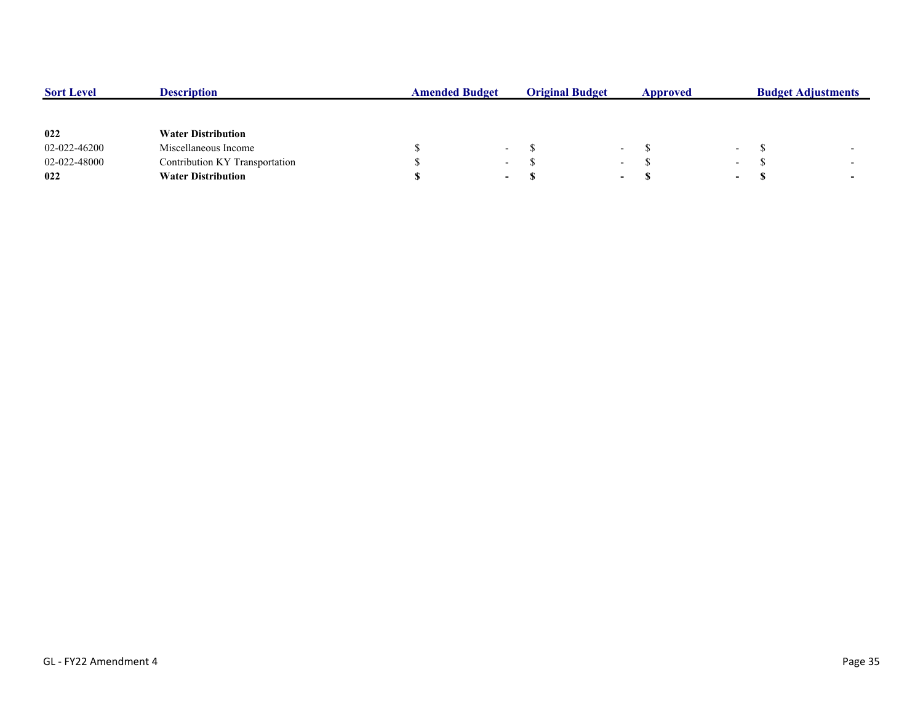| <b>Sort Level</b> | <b>Description</b>             | <b>Amended Budget</b> |                          | <b>Original Budget</b> |                          | Approved |        | <b>Budget Adjustments</b> |                          |  |
|-------------------|--------------------------------|-----------------------|--------------------------|------------------------|--------------------------|----------|--------|---------------------------|--------------------------|--|
|                   |                                |                       |                          |                        |                          |          |        |                           |                          |  |
| 022               | <b>Water Distribution</b>      |                       |                          |                        |                          |          |        |                           |                          |  |
| 02-022-46200      | Miscellaneous Income           |                       | $\overline{\phantom{0}}$ |                        | $\overline{\phantom{a}}$ |          | $\sim$ |                           | $\overline{\phantom{0}}$ |  |
| 02-022-48000      | Contribution KY Transportation |                       | $\overline{\phantom{0}}$ |                        | $\overline{\phantom{0}}$ |          | $\sim$ |                           | $\overline{\phantom{0}}$ |  |
| 022               | <b>Water Distribution</b>      |                       | $\sim$                   |                        | $\overline{\phantom{0}}$ |          | $\sim$ | J.                        | $\overline{\phantom{0}}$ |  |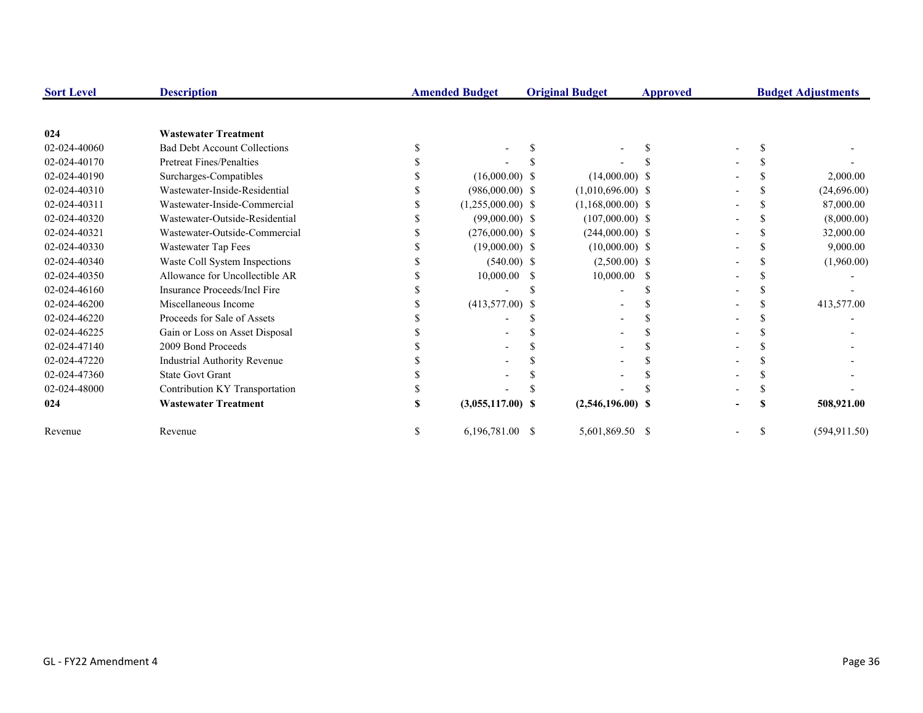| <b>Sort Level</b> | <b>Description</b>                  | <b>Amended Budget</b> |    | <b>Original Budget</b> | Approved |  | <b>Budget Adjustments</b> |
|-------------------|-------------------------------------|-----------------------|----|------------------------|----------|--|---------------------------|
|                   |                                     |                       |    |                        |          |  |                           |
| 024               | <b>Wastewater Treatment</b>         |                       |    |                        |          |  |                           |
| 02-024-40060      | <b>Bad Debt Account Collections</b> |                       |    |                        |          |  |                           |
| 02-024-40170      | Pretreat Fines/Penalties            |                       |    |                        |          |  |                           |
| 02-024-40190      | Surcharges-Compatibles              | $(16,000.00)$ \$      |    | $(14,000.00)$ \$       |          |  | 2,000.00                  |
| 02-024-40310      | Wastewater-Inside-Residential       | $(986,000.00)$ \$     |    | $(1,010,696.00)$ \$    |          |  | (24,696.00)               |
| 02-024-40311      | Wastewater-Inside-Commercial        | $(1,255,000.00)$ \$   |    | $(1,168,000.00)$ \$    |          |  | 87,000.00                 |
| 02-024-40320      | Wastewater-Outside-Residential      | $(99,000.00)$ \$      |    | $(107,000.00)$ \$      |          |  | (8,000.00)                |
| 02-024-40321      | Wastewater-Outside-Commercial       | $(276,000.00)$ \$     |    | $(244,000.00)$ \$      |          |  | 32,000.00                 |
| 02-024-40330      | Wastewater Tap Fees                 | $(19,000.00)$ \$      |    | $(10,000.00)$ \$       |          |  | 9,000.00                  |
| 02-024-40340      | Waste Coll System Inspections       | $(540.00)$ \$         |    | $(2,500.00)$ \$        |          |  | (1,960.00)                |
| 02-024-40350      | Allowance for Uncollectible AR      | 10,000.00             | -S | 10,000.00              | - \$     |  |                           |
| 02-024-46160      | Insurance Proceeds/Incl Fire        |                       |    |                        |          |  |                           |
| 02-024-46200      | Miscellaneous Income                | $(413,577.00)$ \$     |    |                        |          |  | 413,577.00                |
| 02-024-46220      | Proceeds for Sale of Assets         |                       |    |                        |          |  |                           |
| 02-024-46225      | Gain or Loss on Asset Disposal      |                       |    |                        |          |  |                           |
| 02-024-47140      | 2009 Bond Proceeds                  |                       |    |                        |          |  |                           |
| 02-024-47220      | <b>Industrial Authority Revenue</b> |                       |    |                        |          |  |                           |
| 02-024-47360      | <b>State Govt Grant</b>             |                       |    |                        |          |  |                           |
| 02-024-48000      | Contribution KY Transportation      |                       |    |                        |          |  |                           |
| 024               | <b>Wastewater Treatment</b>         | $(3,055,117.00)$ \$   |    | $(2,546,196.00)$ \$    |          |  | 508,921.00                |
| Revenue           | Revenue                             | 6,196,781.00 \$       |    | 5,601,869.50 \$        |          |  | (594, 911.50)             |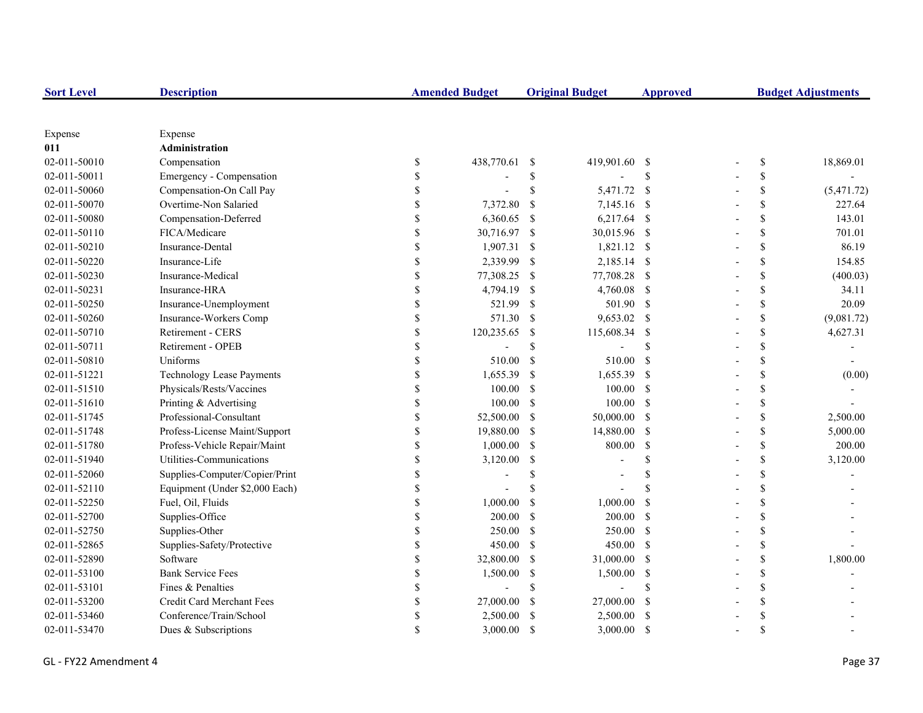| <b>Sort Level</b> | <b>Description</b>               |               | <b>Amended Budget</b> |                           | <b>Original Budget</b> | <b>Approved</b> | <b>Budget Adjustments</b> |            |  |
|-------------------|----------------------------------|---------------|-----------------------|---------------------------|------------------------|-----------------|---------------------------|------------|--|
|                   |                                  |               |                       |                           |                        |                 |                           |            |  |
| Expense           | Expense                          |               |                       |                           |                        |                 |                           |            |  |
| 011               | Administration                   |               |                       |                           |                        |                 |                           |            |  |
| 02-011-50010      | Compensation                     | \$            | 438,770.61            | -S                        | 419,901.60 \$          |                 | \$                        | 18,869.01  |  |
| 02-011-50011      | Emergency - Compensation         |               |                       | \$                        |                        | \$              | \$                        |            |  |
| 02-011-50060      | Compensation-On Call Pay         | <sup>\$</sup> |                       | \$                        | 5,471.72 \$            |                 | \$                        | (5,471.72) |  |
| 02-011-50070      | Overtime-Non Salaried            |               | 7,372.80              | <sup>\$</sup>             | 7,145.16 \$            |                 | \$                        | 227.64     |  |
| 02-011-50080      | Compensation-Deferred            |               | 6,360.65              | -\$                       | 6,217.64 \$            |                 | \$                        | 143.01     |  |
| 02-011-50110      | FICA/Medicare                    | \$            | 30,716.97 \$          |                           | 30,015.96 \$           |                 | \$                        | 701.01     |  |
| 02-011-50210      | Insurance-Dental                 | \$            | $1,907.31$ \$         |                           | 1,821.12 \$            |                 | \$                        | 86.19      |  |
| 02-011-50220      | Insurance-Life                   | \$            | 2,339.99              | -\$                       | 2,185.14 \$            |                 | \$                        | 154.85     |  |
| 02-011-50230      | Insurance-Medical                | \$            | 77,308.25             | -S                        | 77,708.28 \$           |                 | \$                        | (400.03)   |  |
| 02-011-50231      | Insurance-HRA                    | \$            | 4,794.19              | -S                        | 4,760.08 \$            |                 | \$                        | 34.11      |  |
| 02-011-50250      | Insurance-Unemployment           | \$            | 521.99                | $\boldsymbol{\mathsf{S}}$ | 501.90 \$              |                 | \$                        | 20.09      |  |
| 02-011-50260      | Insurance-Workers Comp           | \$            | 571.30                | <sup>S</sup>              | 9,653.02 \$            |                 | \$                        | (9,081.72) |  |
| 02-011-50710      | Retirement - CERS                | \$            | 120,235.65            | -S                        | 115,608.34             | -\$             | \$                        | 4,627.31   |  |
| 02-011-50711      | Retirement - OPEB                |               |                       | \$                        |                        | $\mathcal{S}$   | \$                        |            |  |
| 02-011-50810      | Uniforms                         |               | 510.00                | $\mathcal{S}$             | 510.00                 | - \$            | \$                        |            |  |
| 02-011-51221      | <b>Technology Lease Payments</b> |               | 1,655.39              | -S                        | 1,655.39               | - \$            | \$                        | (0.00)     |  |
| 02-011-51510      | Physicals/Rests/Vaccines         |               | 100.00                | $\mathcal{S}$             | 100.00 S               |                 | \$                        |            |  |
| 02-011-51610      | Printing & Advertising           | \$            | 100.00                | <sup>S</sup>              | $100.00$ \$            |                 | \$                        |            |  |
| 02-011-51745      | Professional-Consultant          | \$            | 52,500.00             | -S                        | 50,000.00 \$           |                 | \$                        | 2,500.00   |  |
| 02-011-51748      | Profess-License Maint/Support    | \$            | 19,880.00             | -S                        | 14,880.00 \$           |                 | \$                        | 5,000.00   |  |
| 02-011-51780      | Profess-Vehicle Repair/Maint     | \$            | 1,000.00              | -S                        | 800.00                 | $\mathbf{s}$    | \$                        | 200.00     |  |
| 02-011-51940      | Utilities-Communications         | \$            | 3,120.00              | <sup>\$</sup>             |                        | $\mathcal{S}$   | \$                        | 3,120.00   |  |
| 02-011-52060      | Supplies-Computer/Copier/Print   | \$            |                       | <sup>\$</sup>             |                        | $\mathcal{S}$   | \$                        |            |  |
| 02-011-52110      | Equipment (Under \$2,000 Each)   | \$            |                       | <sup>\$</sup>             |                        | $\mathcal{S}$   | \$                        |            |  |
| 02-011-52250      | Fuel, Oil, Fluids                | <sup>\$</sup> | 1,000.00              | $\mathcal{S}$             | 1,000.00               | <sup>\$</sup>   | \$                        |            |  |
| 02-011-52700      | Supplies-Office                  |               | 200.00                | <sup>\$</sup>             | $200.00$ \$            |                 | \$                        |            |  |
| 02-011-52750      | Supplies-Other                   | \$            | 250.00                | $\mathbb{S}$              | 250.00 \$              |                 | \$                        |            |  |
| 02-011-52865      | Supplies-Safety/Protective       |               | 450.00                | -S                        | 450.00 \$              |                 | \$                        |            |  |
| 02-011-52890      | Software                         |               | 32,800.00             | <sup>\$</sup>             | 31,000.00 \$           |                 | \$                        | 1,800.00   |  |
| 02-011-53100      | <b>Bank Service Fees</b>         | \$            | 1,500.00              | \$                        | 1,500.00               | - \$            | \$                        |            |  |
| 02-011-53101      | Fines & Penalties                | \$            |                       | \$                        |                        | <sup>\$</sup>   | \$                        |            |  |
| 02-011-53200      | Credit Card Merchant Fees        | \$            | 27,000.00             | -S                        | 27,000.00              | - \$            | \$                        |            |  |
| 02-011-53460      | Conference/Train/School          | \$            | 2,500.00              | -S                        | 2,500.00               | - \$            | \$                        |            |  |
| 02-011-53470      | Dues & Subscriptions             |               | 3,000.00              | <sup>\$</sup>             | 3,000.00               | -S              | $\mathbf S$               |            |  |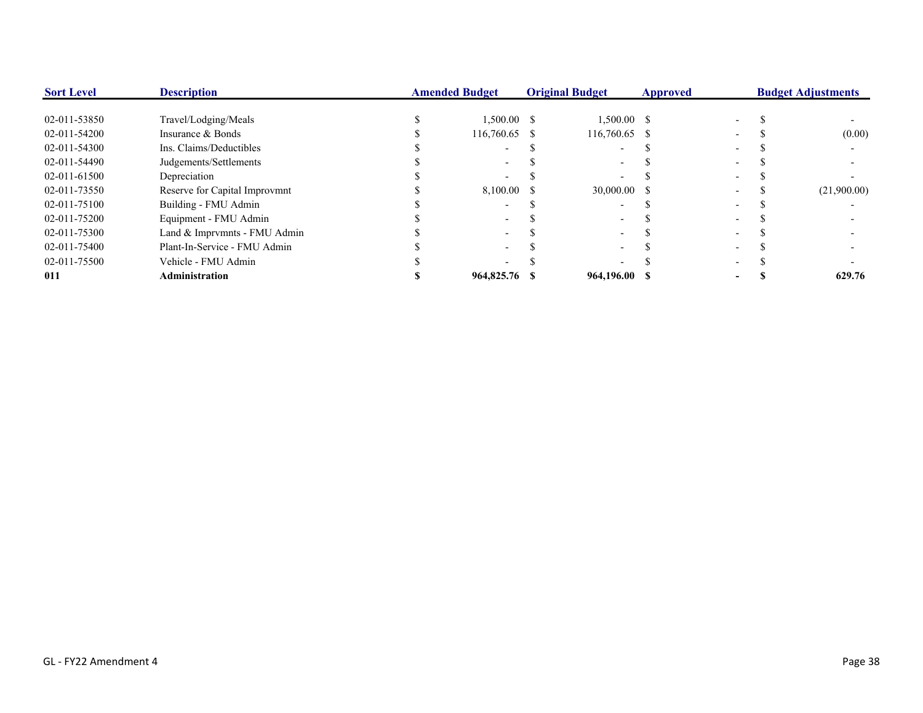| <b>Sort Level</b> | <b>Description</b>            | <b>Amended Budget</b> |               | <b>Original Budget</b> |               | <b>Approved</b> |  | <b>Budget Adjustments</b> |             |
|-------------------|-------------------------------|-----------------------|---------------|------------------------|---------------|-----------------|--|---------------------------|-------------|
| 02-011-53850      | Travel/Lodging/Meals          |                       | $1,500.00$ \$ |                        | $1,500.00$ \$ |                 |  |                           |             |
| 02-011-54200      | Insurance & Bonds             |                       | 116,760.65 \$ |                        | 116,760.65 \$ |                 |  |                           | (0.00)      |
| 02-011-54300      | Ins. Claims/Deductibles       |                       |               |                        |               |                 |  |                           |             |
| 02-011-54490      | Judgements/Settlements        |                       |               |                        |               |                 |  |                           |             |
| 02-011-61500      | Depreciation                  |                       |               |                        |               |                 |  |                           |             |
| 02-011-73550      | Reserve for Capital Improvmnt |                       | 8.100.00      | -8                     | 30,000.00 \$  |                 |  |                           | (21,900.00) |
| 02-011-75100      | Building - FMU Admin          |                       |               |                        |               |                 |  |                           |             |
| 02-011-75200      | Equipment - FMU Admin         |                       |               |                        |               |                 |  |                           |             |
| 02-011-75300      | Land & Imprymnts - FMU Admin  |                       |               |                        |               |                 |  |                           |             |
| 02-011-75400      | Plant-In-Service - FMU Admin  |                       |               |                        |               |                 |  |                           |             |
| 02-011-75500      | Vehicle - FMU Admin           |                       |               |                        |               |                 |  |                           |             |
| 011               | <b>Administration</b>         |                       | 964,825.76    |                        | 964,196.00 \$ |                 |  |                           | 629.76      |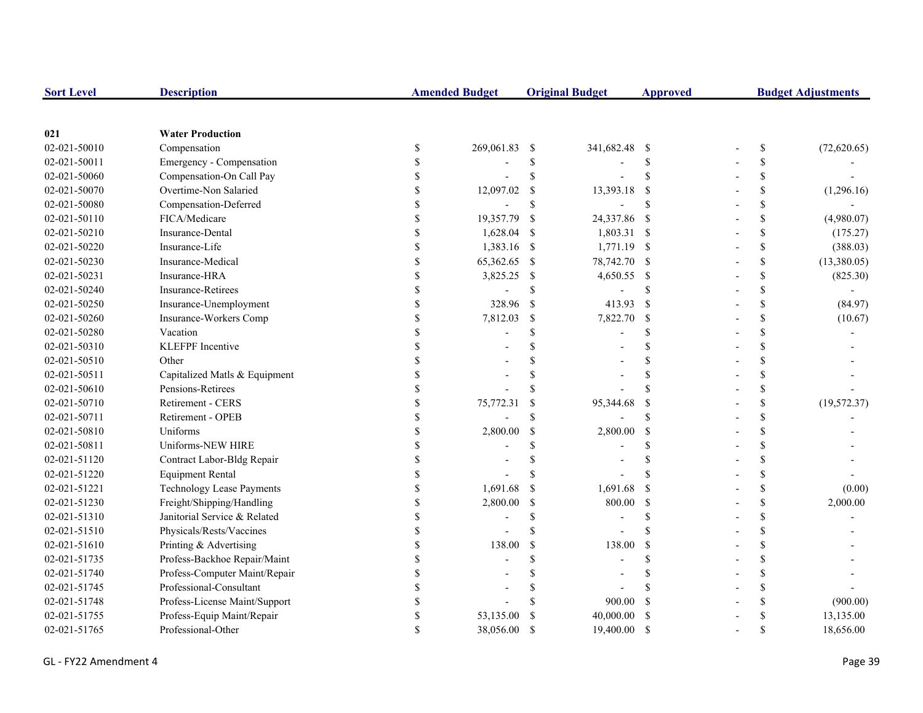| <b>Sort Level</b> | <b>Description</b>            |               | <b>Amended Budget</b>    |               | <b>Original Budget</b> | <b>Approved</b>    | <b>Budget Adjustments</b>                                             |              |  |
|-------------------|-------------------------------|---------------|--------------------------|---------------|------------------------|--------------------|-----------------------------------------------------------------------|--------------|--|
|                   |                               |               |                          |               |                        |                    |                                                                       |              |  |
| 021               | <b>Water Production</b>       |               |                          |               |                        |                    |                                                                       |              |  |
| 02-021-50010      | Compensation                  | $\$$          | 269,061.83               | -S            | 341,682.48 \$          |                    | $\mathbb{S}% _{t}\left( t\right) \equiv\mathbb{S}_{t}\left( t\right)$ | (72,620.65)  |  |
| 02-021-50011      | Emergency - Compensation      | \$            |                          | \$            |                        | <sup>\$</sup>      | \$                                                                    |              |  |
| 02-021-50060      | Compensation-On Call Pay      | S             |                          | \$            |                        | \$                 | \$                                                                    |              |  |
| 02-021-50070      | Overtime-Non Salaried         |               | 12,097.02                | \$            | 13,393.18              | <sup>\$</sup>      | \$                                                                    | (1,296.16)   |  |
| 02-021-50080      | Compensation-Deferred         |               | $\overline{\phantom{a}}$ | $\mathbb{S}$  |                        | <sup>\$</sup>      | \$                                                                    |              |  |
| 02-021-50110      | FICA/Medicare                 |               | 19,357.79                | -\$           | 24,337.86              | - \$               | \$                                                                    | (4,980.07)   |  |
| 02-021-50210      | Insurance-Dental              |               | 1,628.04                 | -S            | 1,803.31 \$            |                    | \$                                                                    | (175.27)     |  |
| 02-021-50220      | Insurance-Life                |               | 1,383.16 \$              |               | 1,771.19 \$            |                    | \$                                                                    | (388.03)     |  |
| 02-021-50230      | Insurance-Medical             |               | 65,362.65                | -\$           | 78,742.70 \$           |                    | \$                                                                    | (13,380.05)  |  |
| 02-021-50231      | Insurance-HRA                 | \$            | 3,825.25                 | -S            | 4,650.55 \$            |                    | \$                                                                    | (825.30)     |  |
| 02-021-50240      | <b>Insurance-Retirees</b>     | \$            |                          | \$            |                        | <sup>\$</sup>      | \$                                                                    |              |  |
| 02-021-50250      | Insurance-Unemployment        | \$            | 328.96                   | <sup>S</sup>  | 413.93                 | <sup>\$</sup>      | \$                                                                    | (84.97)      |  |
| 02-021-50260      | Insurance-Workers Comp        | \$            | 7,812.03                 | $\mathbb{S}$  | 7,822.70               | <sup>\$</sup>      | \$                                                                    | (10.67)      |  |
| 02-021-50280      | Vacation                      |               |                          | \$.           |                        | $\mathcal{S}$      | \$                                                                    |              |  |
| 02-021-50310      | KLEFPF Incentive              |               |                          |               |                        |                    | \$                                                                    |              |  |
| 02-021-50510      | Other                         |               |                          |               |                        | <sup>\$</sup>      | \$                                                                    |              |  |
| 02-021-50511      | Capitalized Matls & Equipment |               |                          |               |                        | $\mathcal{S}$      | \$                                                                    |              |  |
| 02-021-50610      | Pensions-Retirees             |               |                          |               |                        |                    | \$                                                                    |              |  |
| 02-021-50710      | Retirement - CERS             |               | 75,772.31                |               | 95,344.68              | \$                 | \$                                                                    | (19, 572.37) |  |
| 02-021-50711      | Retirement - OPEB             |               |                          | \$.           |                        | $\mathbf{\hat{S}}$ | \$                                                                    |              |  |
| 02-021-50810      | Uniforms                      |               | 2,800.00                 | <sup>\$</sup> | 2,800.00               | <sup>\$</sup>      | \$                                                                    |              |  |
| 02-021-50811      | Uniforms-NEW HIRE             | <sup>\$</sup> |                          | \$            |                        | <sup>\$</sup>      | \$                                                                    |              |  |
| 02-021-51120      | Contract Labor-Bldg Repair    | \$            |                          | \$            |                        | <sup>\$</sup>      | \$                                                                    |              |  |
| 02-021-51220      | <b>Equipment Rental</b>       |               |                          |               |                        |                    | \$                                                                    |              |  |
| 02-021-51221      | Technology Lease Payments     |               | 1,691.68                 | -\$           | 1,691.68               | <sup>\$</sup>      | \$                                                                    | (0.00)       |  |
| 02-021-51230      | Freight/Shipping/Handling     | \$            | 2,800.00                 | <sup>S</sup>  | 800.00                 | <sup>\$</sup>      | \$                                                                    | 2,000.00     |  |
| 02-021-51310      | Janitorial Service & Related  |               |                          | $\mathcal{S}$ |                        | $\mathbf{\hat{S}}$ | \$                                                                    |              |  |
| 02-021-51510      | Physicals/Rests/Vaccines      |               |                          | $\mathcal{S}$ |                        | \$.                | \$                                                                    |              |  |
| 02-021-51610      | Printing & Advertising        |               | 138.00                   | <sup>\$</sup> | 138.00                 | <sup>\$</sup>      | \$                                                                    |              |  |
| 02-021-51735      | Profess-Backhoe Repair/Maint  |               |                          | \$.           |                        | $\mathcal{S}$      | \$                                                                    |              |  |
| 02-021-51740      | Profess-Computer Maint/Repair |               |                          |               |                        | <sup>\$</sup>      | \$                                                                    |              |  |
| 02-021-51745      | Professional-Consultant       |               |                          |               |                        |                    | \$                                                                    |              |  |
| 02-021-51748      | Profess-License Maint/Support |               |                          |               | 900.00                 | <sup>\$</sup>      | \$                                                                    | (900.00)     |  |
| 02-021-51755      | Profess-Equip Maint/Repair    | \$.           | 53,135.00                |               | 40,000.00              | <sup>\$</sup>      | \$                                                                    | 13,135.00    |  |
| 02-021-51765      | Professional-Other            |               | 38,056.00                | $\mathcal{S}$ | 19,400.00              | <sup>\$</sup>      | $\mathbf{\hat{S}}$                                                    | 18,656.00    |  |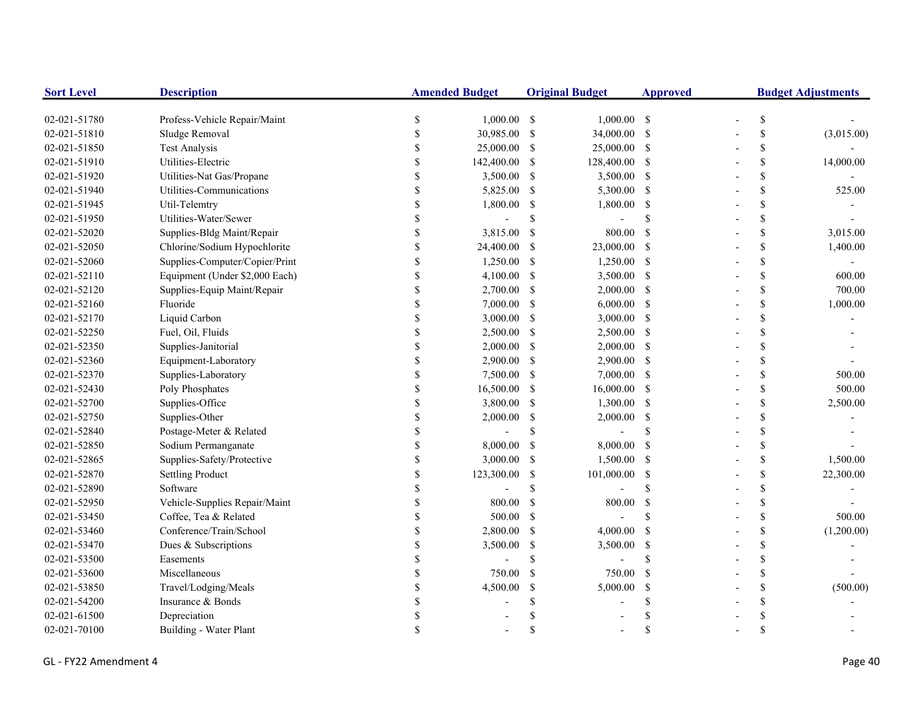| <b>Sort Level</b> | <b>Description</b>             |                    | <b>Amended Budget</b> |               | <b>Original Budget</b> | <b>Approved</b>           | <b>Budget Adjustments</b> |    |            |
|-------------------|--------------------------------|--------------------|-----------------------|---------------|------------------------|---------------------------|---------------------------|----|------------|
| 02-021-51780      | Profess-Vehicle Repair/Maint   | \$                 | $1,000.00$ \$         |               | $1,000.00$ \$          |                           |                           | \$ |            |
| 02-021-51810      | Sludge Removal                 | \$                 | 30,985.00             | -\$           | 34,000.00 \$           |                           |                           | \$ | (3,015.00) |
| 02-021-51850      | <b>Test Analysis</b>           | \$                 | 25,000.00             | -S            | 25,000.00 \$           |                           |                           | \$ |            |
| 02-021-51910      | Utilities-Electric             | \$                 | 142,400.00            | <sup>S</sup>  | 128,400.00 \$          |                           |                           | \$ | 14,000.00  |
| 02-021-51920      | Utilities-Nat Gas/Propane      |                    | 3,500.00              | -S            | 3,500.00 \$            |                           |                           | \$ |            |
| 02-021-51940      | Utilities-Communications       | \$                 | 5,825.00 \$           |               | 5,300.00 \$            |                           |                           | \$ | 525.00     |
| 02-021-51945      | Util-Telemtry                  | $\mathbf S$        | 1,800.00              | -\$           | 1,800.00               | -S                        |                           | \$ |            |
| 02-021-51950      | Utilities-Water/Sewer          | \$                 |                       | \$            |                        | <sup>\$</sup>             |                           | \$ |            |
| 02-021-52020      | Supplies-Bldg Maint/Repair     | \$                 | 3,815.00              | -S            | 800.00                 | -\$                       |                           | \$ | 3,015.00   |
| 02-021-52050      | Chlorine/Sodium Hypochlorite   | \$                 | 24,400.00             | -S            | 23,000.00 \$           |                           |                           | \$ | 1,400.00   |
| 02-021-52060      | Supplies-Computer/Copier/Print | \$                 | 1,250.00              | -S            | 1,250.00 \$            |                           |                           | \$ |            |
| 02-021-52110      | Equipment (Under \$2,000 Each) | \$                 | 4,100.00              | -S            | 3,500.00 \$            |                           |                           | \$ | 600.00     |
| 02-021-52120      | Supplies-Equip Maint/Repair    | \$                 | 2,700.00              | -S            | $2,000.00$ \$          |                           |                           | \$ | 700.00     |
| 02-021-52160      | Fluoride                       |                    | 7,000.00              | -S            | $6,000.00$ \$          |                           |                           | \$ | 1,000.00   |
| 02-021-52170      | Liquid Carbon                  |                    | 3,000.00              | -\$           | $3,000.00$ \$          |                           |                           | \$ |            |
| 02-021-52250      | Fuel, Oil, Fluids              |                    | 2,500.00              | -S            | 2,500.00 \$            |                           |                           | \$ |            |
| 02-021-52350      | Supplies-Janitorial            |                    | 2,000.00              | <sup>S</sup>  | $2,000.00$ \$          |                           |                           | \$ |            |
| 02-021-52360      | Equipment-Laboratory           |                    | 2,900.00              | -\$           | 2,900.00 \$            |                           |                           | \$ |            |
| 02-021-52370      | Supplies-Laboratory            | \$                 | 7,500.00              | -\$           | 7,000.00 \$            |                           |                           | \$ | 500.00     |
| 02-021-52430      | Poly Phosphates                | $\mathbf{\hat{S}}$ | 16,500.00 \$          |               | 16,000.00 \$           |                           |                           | \$ | 500.00     |
| 02-021-52700      | Supplies-Office                | \$                 | 3,800.00              | -\$           | 1,300.00 \$            |                           |                           | \$ | 2,500.00   |
| 02-021-52750      | Supplies-Other                 | \$                 | 2,000.00              | \$            | $2,000.00$ \$          |                           |                           | \$ |            |
| 02-021-52840      | Postage-Meter & Related        | \$                 |                       | <sup>\$</sup> |                        | <sup>\$</sup>             |                           | \$ |            |
| 02-021-52850      | Sodium Permanganate            | \$                 | 8,000.00              | -\$           | 8,000.00               | <sup>\$</sup>             |                           | \$ |            |
| 02-021-52865      | Supplies-Safety/Protective     | \$                 | 3,000.00              | -\$           | 1,500.00               | -S                        |                           | \$ | 1,500.00   |
| 02-021-52870      | Settling Product               | \$                 | 123,300.00            | -S            | 101,000.00             | $\mathcal{S}$             |                           | \$ | 22,300.00  |
| 02-021-52890      | Software                       | \$                 |                       | <sup>\$</sup> |                        | $\mathcal{S}$             |                           | \$ |            |
| 02-021-52950      | Vehicle-Supplies Repair/Maint  |                    | 800.00                | <sup>\$</sup> | 800.00                 | <sup>S</sup>              |                           | \$ |            |
| 02-021-53450      | Coffee, Tea & Related          |                    | 500.00                | <sup>\$</sup> |                        | <sup>\$</sup>             |                           | \$ | 500.00     |
| 02-021-53460      | Conference/Train/School        | \$                 | 2,800.00              | <sup>\$</sup> | 4,000.00               | <sup>S</sup>              |                           | \$ | (1,200.00) |
| 02-021-53470      | Dues & Subscriptions           |                    | 3,500.00              | <sup>\$</sup> | 3,500.00               | -\$                       |                           | \$ |            |
| 02-021-53500      | Easements                      |                    |                       | \$            |                        | <sup>\$</sup>             |                           | \$ |            |
| 02-021-53600      | Miscellaneous                  | $\mathbf{\hat{S}}$ | 750.00                | <sup>\$</sup> | 750.00                 | <sup>\$</sup>             |                           | \$ |            |
| 02-021-53850      | Travel/Lodging/Meals           | \$                 | 4,500.00              | <sup>\$</sup> | 5,000.00               | $\boldsymbol{\mathsf{S}}$ |                           | \$ | (500.00)   |
| 02-021-54200      | Insurance & Bonds              |                    |                       | \$            |                        | <sup>\$</sup>             |                           | \$ |            |
| 02-021-61500      | Depreciation                   |                    |                       |               |                        |                           |                           | \$ |            |
| 02-021-70100      | Building - Water Plant         | S                  |                       | \$            |                        | <sup>\$</sup>             |                           | \$ |            |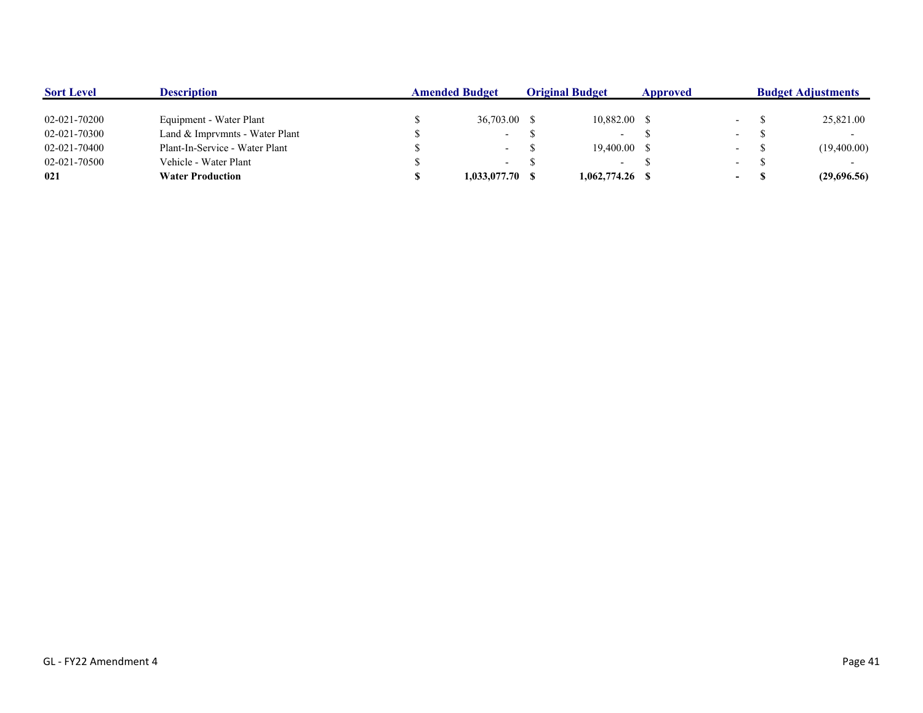| <b>Sort Level</b> | <b>Description</b>             | <b>Amended Budget</b> |  | <b>Original Budget</b> | Approved |                          | <b>Budget Adjustments</b> |             |  |
|-------------------|--------------------------------|-----------------------|--|------------------------|----------|--------------------------|---------------------------|-------------|--|
|                   |                                |                       |  |                        |          |                          |                           |             |  |
| 02-021-70200      | Equipment - Water Plant        | 36,703.00 \$          |  | 10,882.00 \$           |          |                          |                           | 25,821.00   |  |
| 02-021-70300      | Land & Imprymnts - Water Plant | $\sim$ 10 $\pm$       |  | $\sim$                 |          | $\sim$                   |                           |             |  |
| 02-021-70400      | Plant-In-Service - Water Plant | $\sim$                |  | 19,400.00 \$           |          | $\overline{\phantom{0}}$ |                           | (19,400.00) |  |
| 02-021-70500      | Vehicle - Water Plant          | $\sim$                |  | $\sim$                 |          | $\sim$                   |                           |             |  |
| 021               | <b>Water Production</b>        | $1,033,077,70$ \$     |  | $1,062,774.26$ \$      |          | $\sim$ 100 $\mu$         |                           | (29,696.56) |  |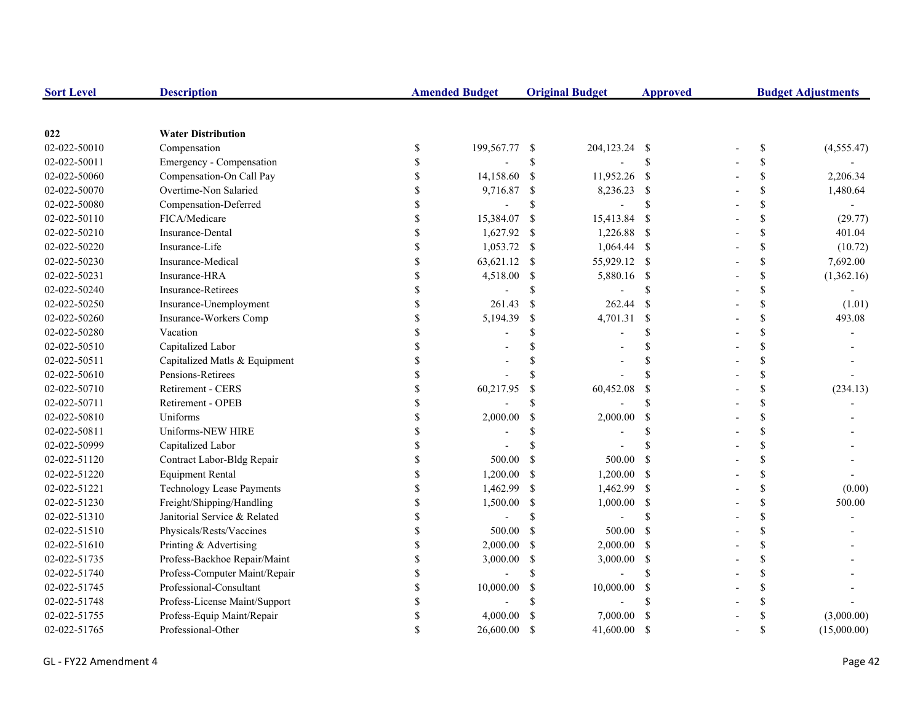| <b>Sort Level</b> | <b>Description</b>               |               | <b>Amended Budget</b> |               | <b>Original Budget</b> | <b>Approved</b> | <b>Budget Adjustments</b> |             |  |
|-------------------|----------------------------------|---------------|-----------------------|---------------|------------------------|-----------------|---------------------------|-------------|--|
|                   |                                  |               |                       |               |                        |                 |                           |             |  |
| 022               | <b>Water Distribution</b>        |               |                       |               |                        |                 |                           |             |  |
| 02-022-50010      | Compensation                     | \$            | 199,567.77            | -S            | 204,123.24 \$          |                 | \$                        | (4,555.47)  |  |
| 02-022-50011      | Emergency - Compensation         | <sup>\$</sup> |                       | \$            |                        | \$              | \$                        |             |  |
| 02-022-50060      | Compensation-On Call Pay         | <sup>\$</sup> | 14,158.60             | $\mathbb{S}$  | 11,952.26 \$           |                 | \$                        | 2,206.34    |  |
| 02-022-50070      | Overtime-Non Salaried            |               | 9,716.87              | \$            | 8,236.23 \$            |                 | \$                        | 1,480.64    |  |
| 02-022-50080      | Compensation-Deferred            |               | $\overline{a}$        | $\mathbb{S}$  |                        | \$              | \$                        |             |  |
| 02-022-50110      | FICA/Medicare                    |               | 15,384.07             | \$            | 15,413.84              | - \$            | \$                        | (29.77)     |  |
| 02-022-50210      | <b>Insurance-Dental</b>          | \$            | 1,627.92 \$           |               | 1,226.88               | - \$            | \$                        | 401.04      |  |
| 02-022-50220      | Insurance-Life                   | $\mathbf S$   | 1,053.72              | -\$           | $1,064.44$ \$          |                 | $\mathbf S$               | (10.72)     |  |
| 02-022-50230      | Insurance-Medical                | $\mathbf S$   | 63,621.12             | -S            | 55,929.12 \$           |                 | \$                        | 7,692.00    |  |
| 02-022-50231      | Insurance-HRA                    | \$            | 4,518.00              | -S            | 5,880.16 \$            |                 | \$                        | (1,362.16)  |  |
| 02-022-50240      | Insurance-Retirees               | \$            |                       | \$            |                        | \$              | $\mathbb S$               |             |  |
| 02-022-50250      | Insurance-Unemployment           | <sup>\$</sup> | 261.43                | $\mathcal{S}$ | 262.44                 | -S              | \$                        | (1.01)      |  |
| 02-022-50260      | Insurance-Workers Comp           |               | 5,194.39              | $\mathcal{S}$ | 4,701.31               | \$              | \$                        | 493.08      |  |
| 02-022-50280      | Vacation                         |               |                       | \$            |                        | \$              | \$                        |             |  |
| 02-022-50510      | Capitalized Labor                |               |                       | \$            |                        | \$              | \$                        |             |  |
| 02-022-50511      | Capitalized Matls & Equipment    |               |                       | \$            |                        | \$              | \$                        |             |  |
| 02-022-50610      | Pensions-Retirees                |               |                       | <sup>\$</sup> |                        | \$              | $\mathbf{\hat{S}}$        |             |  |
| 02-022-50710      | Retirement - CERS                |               | 60,217.95             | $\mathcal{S}$ | 60,452.08              | $\mathcal{S}$   | \$                        | (234.13)    |  |
| 02-022-50711      | Retirement - OPEB                |               |                       | <sup>\$</sup> |                        | $\mathbf S$     | $\mathbf{s}$              |             |  |
| 02-022-50810      | Uniforms                         | $\mathbf S$   | 2,000.00              | $\mathcal{S}$ | 2,000.00               | -S              | $\mathbf{s}$              |             |  |
| 02-022-50811      | Uniforms-NEW HIRE                | \$            |                       | <sup>\$</sup> |                        | \$              | \$                        |             |  |
| 02-022-50999      | Capitalized Labor                | \$            |                       | <sup>\$</sup> |                        | \$              | \$                        |             |  |
| 02-022-51120      | Contract Labor-Bldg Repair       | \$            | 500.00                | <sup>\$</sup> | 500.00                 | $\mathcal{S}$   | \$                        |             |  |
| 02-022-51220      | <b>Equipment Rental</b>          | <sup>\$</sup> | 1,200.00              | <sup>\$</sup> | 1,200.00               | - \$            | \$                        |             |  |
| 02-022-51221      | <b>Technology Lease Payments</b> | <sup>\$</sup> | 1,462.99              | <sup>\$</sup> | 1,462.99 \$            |                 | \$                        | (0.00)      |  |
| 02-022-51230      | Freight/Shipping/Handling        | $\mathcal{S}$ | 1,500.00              | <sup>\$</sup> | 1,000.00               | - \$            | \$                        | 500.00      |  |
| 02-022-51310      | Janitorial Service & Related     |               | L,                    | $\mathcal{S}$ |                        | <sup>\$</sup>   | \$                        |             |  |
| 02-022-51510      | Physicals/Rests/Vaccines         |               | 500.00                | <sup>\$</sup> | 500.00                 | -S              | \$                        |             |  |
| 02-022-51610      | Printing & Advertising           | \$            | 2,000.00              | -S            | $2,000.00$ \$          |                 | \$                        |             |  |
| 02-022-51735      | Profess-Backhoe Repair/Maint     | $\mathbf S$   | 3,000.00              | \$            | 3,000.00               | - \$            | $\mathbf S$               |             |  |
| 02-022-51740      | Profess-Computer Maint/Repair    | $\mathbf S$   |                       | $\mathbf S$   |                        | <sup>\$</sup>   | $\mathbf{s}$              |             |  |
| 02-022-51745      | Professional-Consultant          | $\mathbb{S}$  | 10,000.00             | $\mathcal{S}$ | 10,000.00              | -S              | \$                        |             |  |
| 02-022-51748      | Profess-License Maint/Support    | <sup>\$</sup> |                       | <sup>\$</sup> |                        | \$              | $\mathbb S$               |             |  |
| 02-022-51755      | Profess-Equip Maint/Repair       |               | 4,000.00              | <sup>\$</sup> | 7,000.00               | \$              |                           | (3,000.00)  |  |
| 02-022-51765      | Professional-Other               |               | 26,600.00             | <sup>\$</sup> | 41,600.00              | -S              | \$                        | (15,000.00) |  |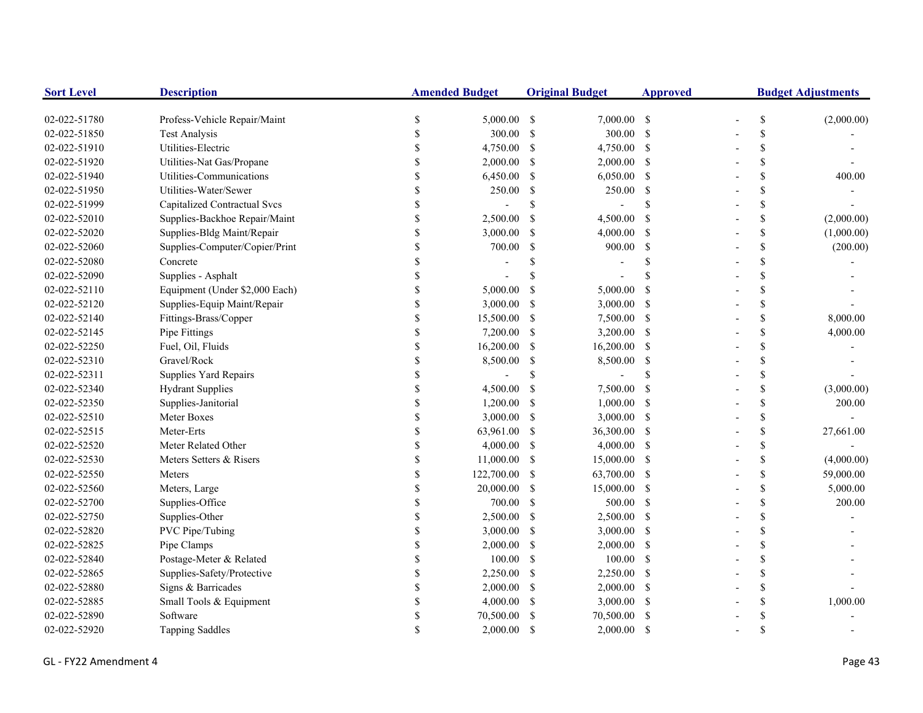| <b>Sort Level</b> | <b>Description</b>                  |                    | <b>Amended Budget</b> |               | <b>Original Budget</b> | <b>Approved</b>    |    | <b>Budget Adjustments</b> |
|-------------------|-------------------------------------|--------------------|-----------------------|---------------|------------------------|--------------------|----|---------------------------|
| 02-022-51780      | Profess-Vehicle Repair/Maint        | \$                 | $5,000.00$ \$         |               | $7.000.00$ \$          |                    | \$ | (2,000.00)                |
| 02-022-51850      | <b>Test Analysis</b>                | \$                 | 300.00                | <sup>\$</sup> | 300.00 \$              |                    | \$ |                           |
| 02-022-51910      | Utilities-Electric                  | \$                 | 4,750.00              | <sup>\$</sup> | 4,750.00 \$            |                    | \$ |                           |
| 02-022-51920      | Utilities-Nat Gas/Propane           | \$                 | 2,000.00              | -S            | $2,000.00$ \$          |                    | \$ |                           |
| 02-022-51940      | Utilities-Communications            |                    | 6,450.00              | \$            | $6,050.00$ \$          |                    | \$ | 400.00                    |
| 02-022-51950      | Utilities-Water/Sewer               | \$                 | 250.00                | <sup>\$</sup> | 250.00 \$              |                    | \$ |                           |
| 02-022-51999      | <b>Capitalized Contractual Svcs</b> | \$                 |                       | \$            |                        | $\mathcal{S}$      | \$ |                           |
| 02-022-52010      | Supplies-Backhoe Repair/Maint       | \$                 | 2,500.00              | <sup>\$</sup> | 4,500.00               | -S                 | \$ | (2,000.00)                |
| 02-022-52020      | Supplies-Bldg Maint/Repair          | \$                 | 3,000.00              | <sup>\$</sup> | 4,000.00               | -S                 | \$ | (1,000.00)                |
| 02-022-52060      | Supplies-Computer/Copier/Print      | \$                 | 700.00                | <sup>\$</sup> | 900.00                 | -S                 | \$ | (200.00)                  |
| 02-022-52080      | Concrete                            | S                  |                       | \$            |                        | <sup>\$</sup>      | \$ |                           |
| 02-022-52090      | Supplies - Asphalt                  |                    |                       | <sup>\$</sup> |                        |                    | \$ |                           |
| 02-022-52110      | Equipment (Under \$2,000 Each)      | \$                 | 5,000.00              | $\mathcal{S}$ | 5,000.00               | -S                 | \$ |                           |
| 02-022-52120      | Supplies-Equip Maint/Repair         | \$                 | 3,000.00              | -S            | $3,000.00$ \$          |                    | \$ |                           |
| 02-022-52140      | Fittings-Brass/Copper               |                    | 15,500.00             | <sup>\$</sup> | 7,500.00 \$            |                    | \$ | 8,000.00                  |
| 02-022-52145      | Pipe Fittings                       | \$.                | 7,200.00              | <sup>\$</sup> | 3,200.00 \$            |                    | \$ | 4,000.00                  |
| 02-022-52250      | Fuel, Oil, Fluids                   |                    | 16,200.00             | <sup>\$</sup> | $16,200.00$ \$         |                    | \$ |                           |
| 02-022-52310      | Gravel/Rock                         |                    | 8,500.00              | \$            | 8,500.00               | $\mathbf{\hat{s}}$ | \$ |                           |
| 02-022-52311      | Supplies Yard Repairs               |                    |                       | \$            |                        | <sup>\$</sup>      | \$ |                           |
| 02-022-52340      | <b>Hydrant Supplies</b>             | $\mathbf{\hat{S}}$ | 4,500.00              | -S            | 7,500.00               | -S                 | \$ | (3,000.00)                |
| 02-022-52350      | Supplies-Janitorial                 | \$                 | 1,200.00              | -S            | $1,000.00$ \$          |                    | \$ | 200.00                    |
| 02-022-52510      | Meter Boxes                         | \$                 | 3,000.00              | -S            | $3,000.00$ \$          |                    | \$ |                           |
| 02-022-52515      | Meter-Erts                          | \$                 | 63,961.00             | -S            | 36,300.00 \$           |                    | \$ | 27,661.00                 |
| 02-022-52520      | Meter Related Other                 | \$                 | 4,000.00              | -S            | $4,000.00$ \$          |                    | \$ |                           |
| 02-022-52530      | Meters Setters & Risers             | \$                 | 11,000.00             | -S            | 15,000.00 \$           |                    | \$ | (4,000.00)                |
| 02-022-52550      | Meters                              | \$                 | 122,700.00            | -S            | 63,700.00 \$           |                    | \$ | 59,000.00                 |
| 02-022-52560      | Meters, Large                       | \$                 | 20,000.00             | -S            | 15,000.00 \$           |                    | \$ | 5,000.00                  |
| 02-022-52700      | Supplies-Office                     |                    | 700.00                | -S            | 500.00 \$              |                    | \$ | 200.00                    |
| 02-022-52750      | Supplies-Other                      | \$                 | 2,500.00              | -S            | $2,500.00$ \$          |                    | \$ |                           |
| 02-022-52820      | <b>PVC</b> Pipe/Tubing              |                    | 3,000.00              | -S            | $3,000.00$ \$          |                    | \$ |                           |
| 02-022-52825      | Pipe Clamps                         |                    | 2,000.00              | -S            | $2,000.00$ \$          |                    | \$ |                           |
| 02-022-52840      | Postage-Meter & Related             | \$                 | 100.00                | -S            | $100.00$ \$            |                    | \$ |                           |
| 02-022-52865      | Supplies-Safety/Protective          | \$                 | 2,250.00              | -S            | 2,250.00 \$            |                    | \$ |                           |
| 02-022-52880      | Signs & Barricades                  | \$                 | 2,000.00              | -S            | $2,000.00$ \$          |                    | \$ |                           |
| 02-022-52885      | Small Tools & Equipment             | S                  | 4,000.00              | -S            | 3,000.00 \$            |                    | \$ | 1,000.00                  |
| 02-022-52890      | Software                            | S                  | 70,500.00             | S             | 70,500.00              | S                  | \$ |                           |
| 02-022-52920      | <b>Tapping Saddles</b>              |                    | 2,000.00              | <sup>\$</sup> | 2,000.00               | - \$               | \$ |                           |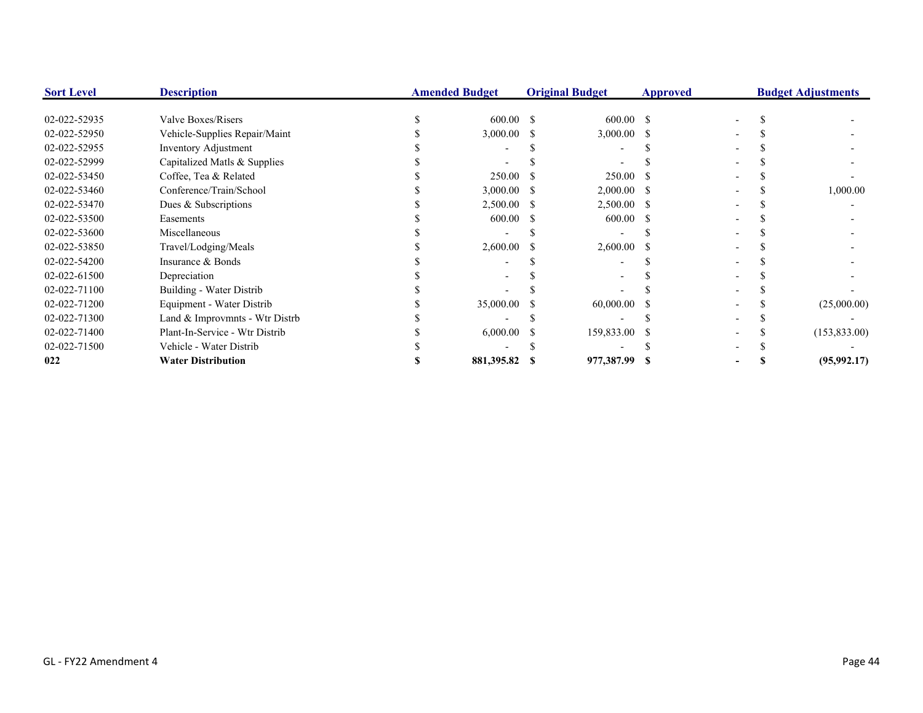| <b>Sort Level</b> | <b>Description</b>             | <b>Amended Budget</b> |     | <b>Original Budget</b> | <b>Approved</b> |  | <b>Budget Adjustments</b> |
|-------------------|--------------------------------|-----------------------|-----|------------------------|-----------------|--|---------------------------|
|                   |                                |                       |     |                        |                 |  |                           |
| 02-022-52935      | Valve Boxes/Risers             | $600.00$ \$           |     | $600.00$ \$            |                 |  |                           |
| 02-022-52950      | Vehicle-Supplies Repair/Maint  | 3,000.00              | - S | $3,000.00$ \$          |                 |  |                           |
| 02-022-52955      | Inventory Adjustment           |                       |     |                        |                 |  |                           |
| 02-022-52999      | Capitalized Matls & Supplies   |                       |     |                        |                 |  |                           |
| 02-022-53450      | Coffee, Tea & Related          | 250.00                |     | 250.00                 |                 |  |                           |
| 02-022-53460      | Conference/Train/School        | 3,000.00              | - 5 | $2,000.00$ \$          |                 |  | 1,000.00                  |
| 02-022-53470      | Dues & Subscriptions           | $2,500.00$ \$         |     | $2,500.00$ \$          |                 |  |                           |
| 02-022-53500      | Easements                      | 600.00                |     | 600.00                 |                 |  |                           |
| 02-022-53600      | Miscellaneous                  |                       |     |                        |                 |  |                           |
| 02-022-53850      | Travel/Lodging/Meals           | 2,600.00              |     | $2,600.00$ \$          |                 |  |                           |
| 02-022-54200      | Insurance & Bonds              |                       |     |                        |                 |  |                           |
| 02-022-61500      | Depreciation                   |                       |     |                        |                 |  |                           |
| 02-022-71100      | Building - Water Distrib       |                       |     |                        |                 |  |                           |
| 02-022-71200      | Equipment - Water Distrib      | 35,000.00             |     | 60,000.00              |                 |  | (25,000.00)               |
| 02-022-71300      | Land & Improvmnts - Wtr Distrb |                       |     |                        |                 |  |                           |
| 02-022-71400      | Plant-In-Service - Wtr Distrib | 6,000.00              |     | 159,833.00 \$          |                 |  | (153, 833.00)             |
| 02-022-71500      | Vehicle - Water Distrib        |                       |     |                        |                 |  |                           |
| 022               | <b>Water Distribution</b>      | 881,395.82            |     | 977,387.99 \$          |                 |  | (95, 992.17)              |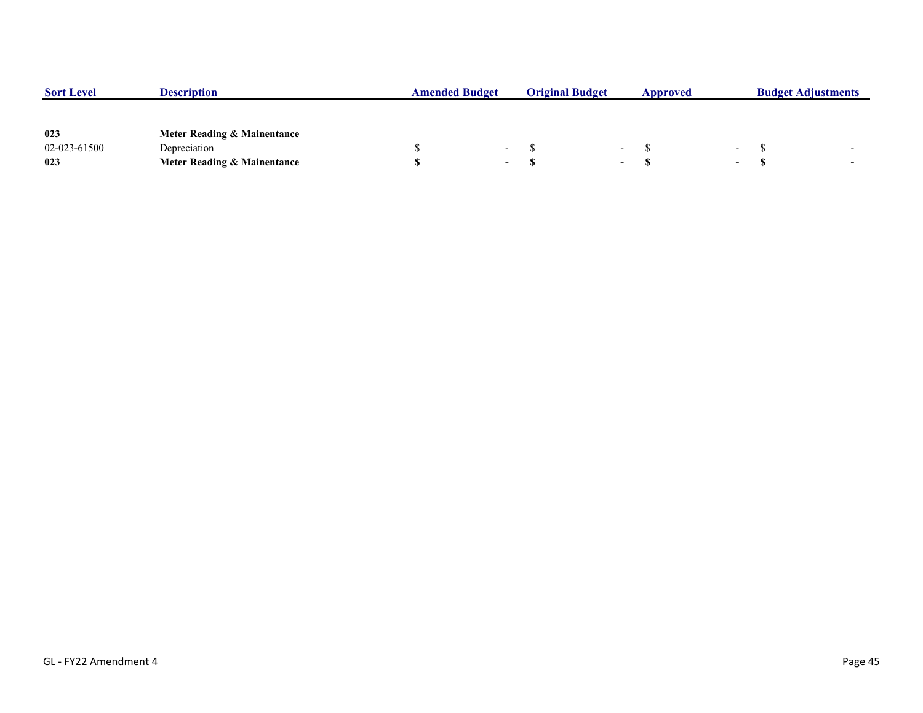| <b>Sort Level</b> | <b>Description</b>          | <b>Amended Budget</b> |                          | <b>Original Budget</b> |                          | Approved |        | <b>Budget Adjustments</b> |  |
|-------------------|-----------------------------|-----------------------|--------------------------|------------------------|--------------------------|----------|--------|---------------------------|--|
|                   |                             |                       |                          |                        |                          |          |        |                           |  |
|                   |                             |                       |                          |                        |                          |          |        |                           |  |
| 023               | Meter Reading & Mainentance |                       |                          |                        |                          |          |        |                           |  |
| 02-023-61500      | Depreciation                |                       | $\overline{\phantom{0}}$ |                        | $\overline{\phantom{0}}$ |          | $\sim$ |                           |  |
| 023               | Meter Reading & Mainentance |                       | $\sim$                   |                        | $\overline{\phantom{0}}$ |          | $\sim$ |                           |  |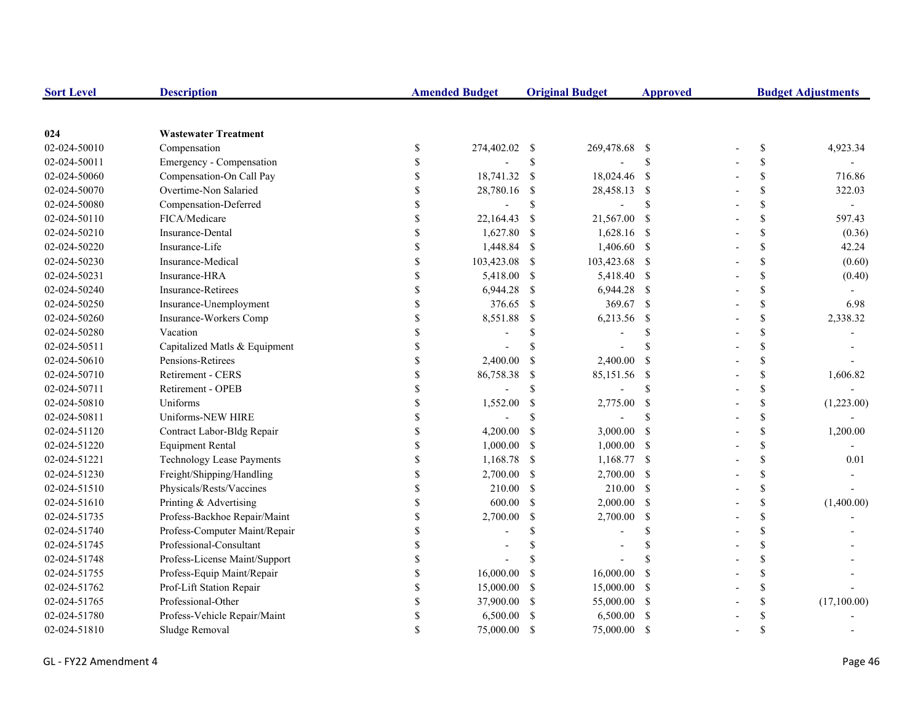| <b>Sort Level</b> | <b>Description</b>               |               | <b>Amended Budget</b> |               | <b>Original Budget</b> | <b>Approved</b>    | <b>Budget Adjustments</b> |               |                |
|-------------------|----------------------------------|---------------|-----------------------|---------------|------------------------|--------------------|---------------------------|---------------|----------------|
|                   |                                  |               |                       |               |                        |                    |                           |               |                |
| 024               | <b>Wastewater Treatment</b>      |               |                       |               |                        |                    |                           |               |                |
| 02-024-50010      | Compensation                     | $\$$          | 274,402.02 \$         |               | 269,478.68 \$          |                    |                           | \$            | 4,923.34       |
| 02-024-50011      | Emergency - Compensation         | \$            |                       | $\mathsf{\$}$ |                        | \$                 |                           | \$            |                |
| 02-024-50060      | Compensation-On Call Pay         | \$            | 18,741.32             | <sup>S</sup>  | 18,024.46 \$           |                    |                           | ${\mathbb S}$ | 716.86         |
| 02-024-50070      | Overtime-Non Salaried            | \$            | 28,780.16             | -\$           | 28,458.13 \$           |                    |                           | \$            | 322.03         |
| 02-024-50080      | Compensation-Deferred            |               |                       | $\mathbb{S}$  |                        | <sup>\$</sup>      |                           | \$            | $\blacksquare$ |
| 02-024-50110      | FICA/Medicare                    | \$            | 22,164.43             | -S            | 21,567.00 \$           |                    |                           | \$            | 597.43         |
| 02-024-50210      | Insurance-Dental                 | \$            | 1,627.80              | -\$           | 1,628.16 \$            |                    |                           | \$            | (0.36)         |
| 02-024-50220      | Insurance-Life                   | \$            | 1,448.84              | -S            | 1,406.60 \$            |                    |                           | \$            | 42.24          |
| 02-024-50230      | Insurance-Medical                | \$            | 103,423.08            | -S            | 103,423.68 \$          |                    |                           | \$            | (0.60)         |
| 02-024-50231      | Insurance-HRA                    | $\mathbb{S}$  | 5,418.00              | - \$          | 5,418.40 \$            |                    |                           | ${\mathbb S}$ | (0.40)         |
| 02-024-50240      | <b>Insurance-Retirees</b>        | \$            | 6,944.28              | -S            | $6,944.28$ \$          |                    |                           | \$            |                |
| 02-024-50250      | Insurance-Unemployment           | \$            | 376.65                | -S            | 369.67 \$              |                    |                           | \$            | 6.98           |
| 02-024-50260      | Insurance-Workers Comp           | \$            | 8,551.88              | <sup>\$</sup> | 6,213.56 \$            |                    |                           | \$            | 2,338.32       |
| 02-024-50280      | Vacation                         | \$            |                       | \$            |                        | \$                 |                           | \$            |                |
| 02-024-50511      | Capitalized Matls & Equipment    |               |                       | \$            |                        | <sup>\$</sup>      |                           | \$            |                |
| 02-024-50610      | Pensions-Retirees                | \$            | 2,400.00              | -S            | 2,400.00               | -S                 |                           | \$            |                |
| 02-024-50710      | Retirement - CERS                | $\mathcal{S}$ | 86,758.38             | -\$           | 85,151.56              | $\mathbf{\hat{s}}$ |                           | \$            | 1,606.82       |
| 02-024-50711      | Retirement - OPEB                | $\mathbf S$   |                       | $\mathbb{S}$  |                        | $\mathbf{\hat{S}}$ |                           | \$            |                |
| 02-024-50810      | Uniforms                         | $\mathbf S$   | 1,552.00              | -\$           | 2,775.00               | $\mathcal{S}$      |                           | \$            | (1,223.00)     |
| 02-024-50811      | Uniforms-NEW HIRE                | \$            |                       | \$.           |                        | \$.                |                           | \$            |                |
| 02-024-51120      | Contract Labor-Bldg Repair       | \$            | 4,200.00              | <sup>\$</sup> | 3,000.00               | - \$               |                           | \$            | 1,200.00       |
| 02-024-51220      | <b>Equipment Rental</b>          | \$            | 1,000.00              | -S            | $1,000.00$ \$          |                    |                           | \$            |                |
| 02-024-51221      | <b>Technology Lease Payments</b> | \$            | 1,168.78              | -S            | 1,168.77 \$            |                    |                           | \$            | 0.01           |
| 02-024-51230      | Freight/Shipping/Handling        | \$            | 2,700.00              | -S            | 2,700.00 \$            |                    |                           | \$            |                |
| 02-024-51510      | Physicals/Rests/Vaccines         | \$            | 210.00                | <sup>S</sup>  | 210.00 \$              |                    |                           | \$            |                |
| 02-024-51610      | Printing & Advertising           | \$            | 600.00                | <sup>\$</sup> | $2,000.00$ \$          |                    |                           | \$            | (1,400.00)     |
| 02-024-51735      | Profess-Backhoe Repair/Maint     | \$            | 2,700.00              | <sup>\$</sup> | 2,700.00               | -S                 |                           | \$            |                |
| 02-024-51740      | Profess-Computer Maint/Repair    |               |                       | \$            |                        | <sup>\$</sup>      |                           | \$            |                |
| 02-024-51745      | Professional-Consultant          |               |                       |               |                        | <sup>\$</sup>      |                           | \$            |                |
| 02-024-51748      | Profess-License Maint/Support    | \$            |                       | \$            |                        |                    |                           | \$            |                |
| 02-024-51755      | Profess-Equip Maint/Repair       | \$            | 16,000.00             | <sup>\$</sup> | 16,000.00              | <sup>\$</sup>      |                           | \$            |                |
| 02-024-51762      | Prof-Lift Station Repair         | \$            | 15,000.00             | <sup>\$</sup> | 15,000.00 \$           |                    |                           | \$            |                |
| 02-024-51765      | Professional-Other               | \$            | 37,900.00             | -S            | 55,000.00 \$           |                    |                           | \$            | (17,100.00)    |
| 02-024-51780      | Profess-Vehicle Repair/Maint     |               | 6,500.00              | -S            | 6,500.00 \$            |                    |                           | \$            |                |
| 02-024-51810      | Sludge Removal                   |               | 75,000.00             | -\$           | 75,000.00              | - \$               |                           | \$            |                |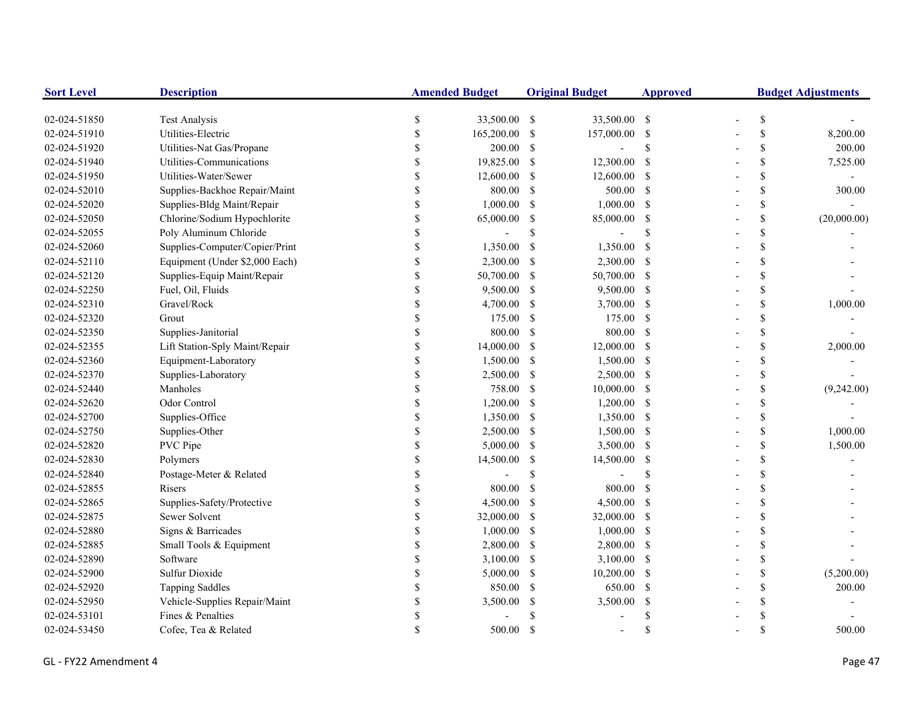| <b>Sort Level</b> | <b>Description</b>             |               | <b>Amended Budget</b> |               | <b>Original Budget</b>   | <b>Approved</b>    | <b>Budget Adjustments</b> |    |             |
|-------------------|--------------------------------|---------------|-----------------------|---------------|--------------------------|--------------------|---------------------------|----|-------------|
| 02-024-51850      | <b>Test Analysis</b>           | \$            | 33,500.00 \$          |               | 33,500.00 \$             |                    |                           | \$ |             |
| 02-024-51910      | Utilities-Electric             | <sup>\$</sup> | 165,200.00            | -S            | 157,000.00 \$            |                    |                           | \$ | 8,200.00    |
| 02-024-51920      | Utilities-Nat Gas/Propane      | <sup>\$</sup> | 200.00                | -\$           | $\overline{\phantom{a}}$ | \$                 |                           | \$ | 200.00      |
| 02-024-51940      | Utilities-Communications       |               | 19,825.00             | <sup>S</sup>  | 12,300.00                | $\mathcal{S}$      |                           | \$ | 7,525.00    |
| 02-024-51950      | Utilities-Water/Sewer          |               | 12,600.00             | -S            | 12,600.00 \$             |                    |                           | \$ |             |
| 02-024-52010      | Supplies-Backhoe Repair/Maint  | $\mathcal{S}$ | 800.00                | -\$           | 500.00 \$                |                    |                           | \$ | 300.00      |
| 02-024-52020      | Supplies-Bldg Maint/Repair     | \$            | 1,000.00              | -S            | 1,000.00                 | - \$               |                           | \$ |             |
| 02-024-52050      | Chlorine/Sodium Hypochlorite   | \$            | 65,000.00             | -S            | 85,000.00                | <sup>\$</sup>      |                           | \$ | (20,000.00) |
| 02-024-52055      | Poly Aluminum Chloride         | $\mathbf S$   |                       | \$            |                          | <sup>\$</sup>      |                           | \$ |             |
| 02-024-52060      | Supplies-Computer/Copier/Print | \$            | 1,350.00              | <sup>\$</sup> | 1,350.00                 | <sup>\$</sup>      |                           | \$ |             |
| 02-024-52110      | Equipment (Under \$2,000 Each) | \$            | 2,300.00              | -S            | 2,300.00                 | -S                 |                           | \$ |             |
| 02-024-52120      | Supplies-Equip Maint/Repair    | \$            | 50,700.00             | -S            | 50,700.00 \$             |                    |                           | \$ |             |
| 02-024-52250      | Fuel, Oil, Fluids              | <sup>\$</sup> | 9,500.00              | -S            | 9,500.00 \$              |                    |                           | \$ |             |
| 02-024-52310      | Gravel/Rock                    | \$            | 4,700.00              | -\$           | $3,700.00$ \$            |                    |                           | \$ | 1,000.00    |
| 02-024-52320      | Grout                          |               | 175.00                | -S            | 175.00                   | -S                 |                           | \$ |             |
| 02-024-52350      | Supplies-Janitorial            |               | 800.00                | -S            | 800.00 \$                |                    |                           | \$ |             |
| 02-024-52355      | Lift Station-Sply Maint/Repair |               | 14,000.00             | <sup>\$</sup> | 12,000.00 \$             |                    |                           | \$ | 2,000.00    |
| 02-024-52360      | Equipment-Laboratory           |               | 1,500.00              | -S            | 1,500.00 \$              |                    |                           | \$ |             |
| 02-024-52370      | Supplies-Laboratory            |               | 2,500.00              | -S            | 2,500.00 \$              |                    |                           | \$ |             |
| 02-024-52440      | Manholes                       | $\mathbf S$   | 758.00                | -S            | 10,000.00 \$             |                    |                           | \$ | (9,242.00)  |
| 02-024-52620      | Odor Control                   | \$            | 1,200.00              | -\$           | $1,200.00$ \$            |                    |                           | \$ |             |
| 02-024-52700      | Supplies-Office                | \$            | 1,350.00              | -S            | 1,350.00 \$              |                    |                           | \$ |             |
| 02-024-52750      | Supplies-Other                 | \$            | 2,500.00              | -S            | 1,500.00 \$              |                    |                           | \$ | 1,000.00    |
| 02-024-52820      | PVC Pipe                       | \$            | 5,000.00              | -S            | 3,500.00 \$              |                    |                           | \$ | 1,500.00    |
| 02-024-52830      | Polymers                       | \$            | 14,500.00             | -S            | 14,500.00                | -S                 |                           | \$ |             |
| 02-024-52840      | Postage-Meter & Related        | <sup>\$</sup> |                       | \$            |                          | <sup>\$</sup>      |                           | \$ |             |
| 02-024-52855      | Risers                         | <sup>\$</sup> | 800.00                | <sup>\$</sup> | 800.00                   | $\mathcal{S}$      |                           | \$ |             |
| 02-024-52865      | Supplies-Safety/Protective     |               | 4,500.00              | <sup>S</sup>  | 4,500.00                 | -S                 |                           | \$ |             |
| 02-024-52875      | Sewer Solvent                  | \$            | 32,000.00             | -S            | 32,000.00                | -\$                |                           | \$ |             |
| 02-024-52880      | Signs & Barricades             | $\mathcal{S}$ | 1,000.00              | <sup>\$</sup> | 1,000.00                 | -S                 |                           | \$ |             |
| 02-024-52885      | Small Tools & Equipment        |               | 2,800.00              | -S            | 2,800.00 \$              |                    |                           | \$ |             |
| 02-024-52890      | Software                       |               | 3,100.00              | -S            | $3,100.00$ \$            |                    |                           | \$ |             |
| 02-024-52900      | <b>Sulfur Dioxide</b>          |               | 5,000.00              | -S            | 10,200.00                | - \$               |                           | \$ | (5,200.00)  |
| 02-024-52920      | <b>Tapping Saddles</b>         | \$            | 850.00                | <sup>\$</sup> | 650.00                   | -S                 |                           | \$ | 200.00      |
| 02-024-52950      | Vehicle-Supplies Repair/Maint  | \$            | 3,500.00              | <sup>\$</sup> | 3,500.00                 | <sup>\$</sup>      |                           | \$ |             |
| 02-024-53101      | Fines & Penalties              | \$            |                       |               |                          | -S                 |                           | \$ |             |
| 02-024-53450      | Cofee, Tea & Related           |               | 500.00                | -\$           |                          | $\mathbf{\hat{S}}$ |                           | \$ | 500.00      |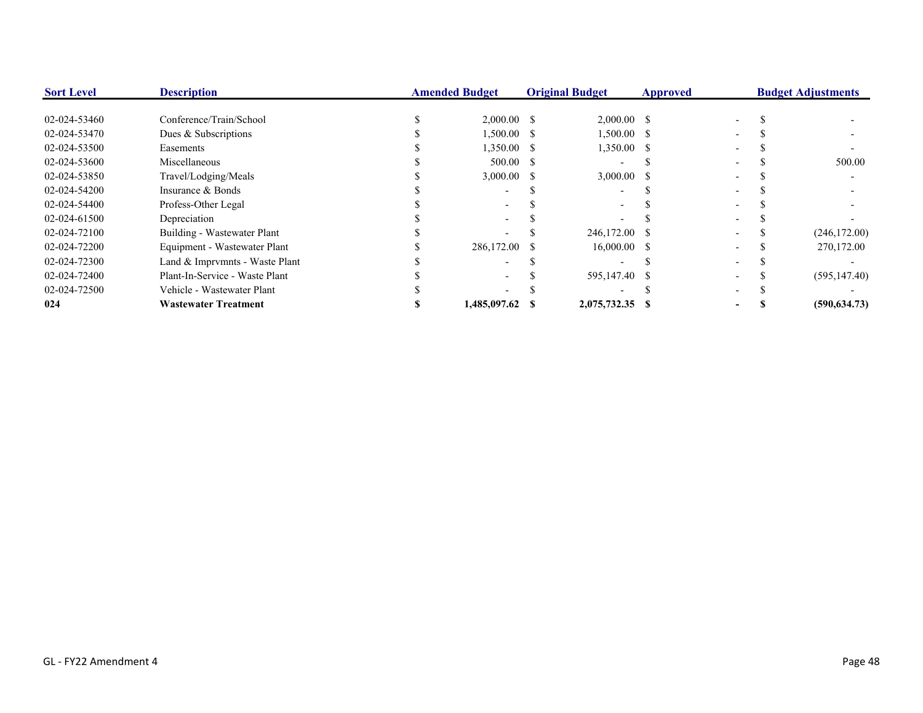| <b>Sort Level</b> | <b>Description</b>             | <b>Amended Budget</b> |               | <b>Original Budget</b> |                 | <b>Approved</b> |  | <b>Budget Adjustments</b> |               |
|-------------------|--------------------------------|-----------------------|---------------|------------------------|-----------------|-----------------|--|---------------------------|---------------|
|                   |                                |                       |               |                        |                 |                 |  |                           |               |
| 02-024-53460      | Conference/Train/School        |                       | $2,000.00$ \$ |                        | $2,000.00$ \$   |                 |  |                           |               |
| 02-024-53470      | Dues & Subscriptions           |                       | $1,500.00$ \$ |                        | $1,500.00$ \$   |                 |  |                           |               |
| 02-024-53500      | Easements                      |                       | $1,350.00$ \$ |                        | 1,350.00 \$     |                 |  |                           |               |
| 02-024-53600      | Miscellaneous                  |                       | 500.00 S      |                        |                 |                 |  |                           | 500.00        |
| 02-024-53850      | Travel/Lodging/Meals           |                       | $3,000.00$ \$ |                        | $3,000.00$ \$   |                 |  |                           |               |
| 02-024-54200      | Insurance & Bonds              |                       |               |                        |                 |                 |  |                           |               |
| 02-024-54400      | Profess-Other Legal            |                       |               |                        |                 |                 |  |                           |               |
| 02-024-61500      | Depreciation                   |                       |               |                        |                 |                 |  |                           |               |
| 02-024-72100      | Building - Wastewater Plant    |                       |               |                        | 246,172.00 \$   |                 |  |                           | (246, 172.00) |
| 02-024-72200      | Equipment - Wastewater Plant   |                       | 286,172.00 \$ |                        | $16,000.00$ \$  |                 |  |                           | 270,172.00    |
| 02-024-72300      | Land & Imprymnts - Waste Plant |                       |               |                        |                 |                 |  |                           |               |
| 02-024-72400      | Plant-In-Service - Waste Plant |                       |               |                        | 595,147.40 \$   |                 |  |                           | (595, 147.40) |
| 02-024-72500      | Vehicle - Wastewater Plant     |                       |               |                        |                 |                 |  |                           |               |
| 024               | <b>Wastewater Treatment</b>    |                       | 1,485,097.62  |                        | 2,075,732.35 \$ |                 |  |                           | (590, 634.73) |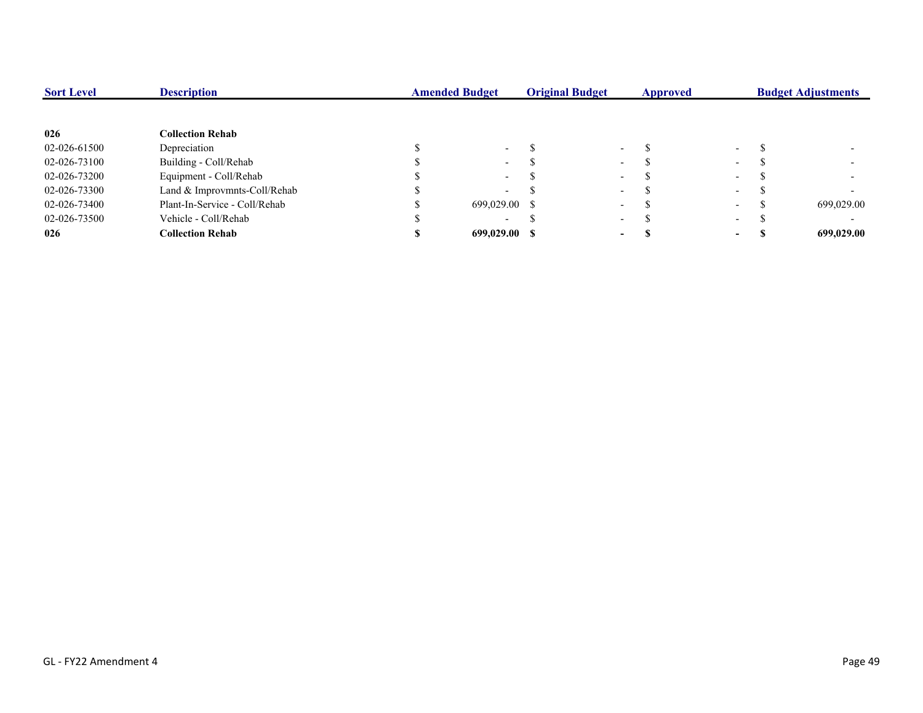| <b>Sort Level</b> | <b>Description</b>            | <b>Amended Budget</b> |                          | <b>Original Budget</b> |                          | Approved |                          |  | <b>Budget Adjustments</b> |  |
|-------------------|-------------------------------|-----------------------|--------------------------|------------------------|--------------------------|----------|--------------------------|--|---------------------------|--|
|                   |                               |                       |                          |                        |                          |          |                          |  |                           |  |
| 026               | <b>Collection Rehab</b>       |                       |                          |                        |                          |          |                          |  |                           |  |
| 02-026-61500      | Depreciation                  |                       | $\sim$                   |                        | $\overline{\phantom{0}}$ |          | $\sim$                   |  |                           |  |
| 02-026-73100      | Building - Coll/Rehab         |                       | $\sim$                   |                        | $\overline{\phantom{0}}$ |          | $\sim$                   |  |                           |  |
| 02-026-73200      | Equipment - Coll/Rehab        |                       | $\sim$                   |                        | $\overline{\phantom{a}}$ |          | $\sim$                   |  |                           |  |
| 02-026-73300      | Land & Improvmnts-Coll/Rehab  |                       | $\overline{\phantom{a}}$ |                        | $\overline{\phantom{0}}$ |          | $\sim$                   |  |                           |  |
| 02-026-73400      | Plant-In-Service - Coll/Rehab |                       | 699,029.00 \$            |                        | $\overline{\phantom{a}}$ |          | $\sim$                   |  | 699,029.00                |  |
| 02-026-73500      | Vehicle - Coll/Rehab          |                       | $\overline{\phantom{0}}$ |                        | $\overline{\phantom{0}}$ |          | $\overline{\phantom{0}}$ |  |                           |  |
| 026               | <b>Collection Rehab</b>       |                       | 699,029.00 \$            |                        | $\blacksquare$           |          | $\sim$                   |  | 699,029.00                |  |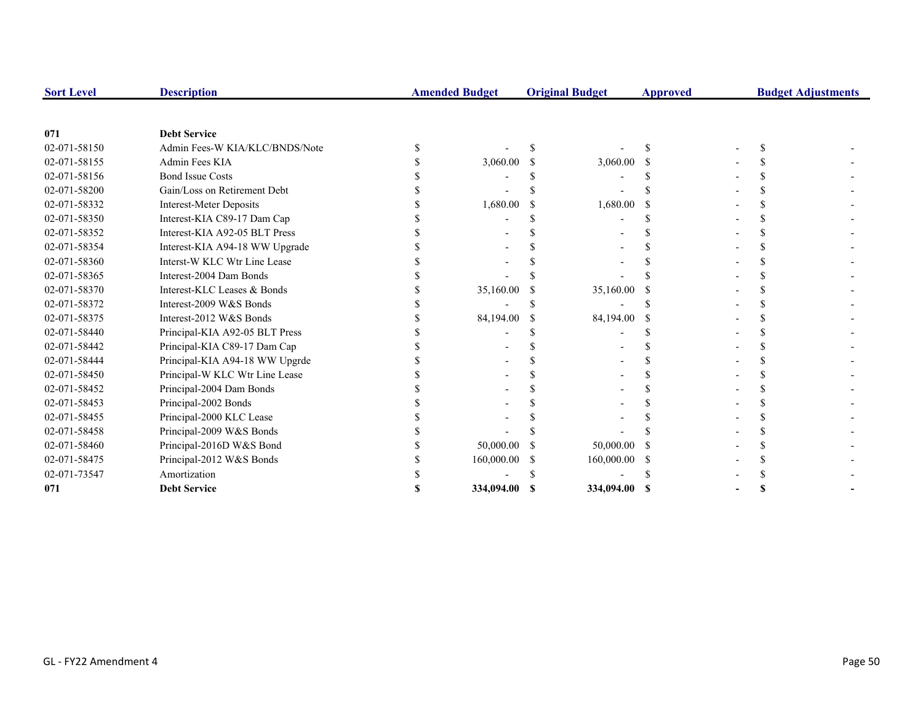| <b>Sort Level</b> | <b>Description</b>             | <b>Amended Budget</b> |    | <b>Original Budget</b> | <b>Approved</b> | <b>Budget Adjustments</b> |  |
|-------------------|--------------------------------|-----------------------|----|------------------------|-----------------|---------------------------|--|
|                   |                                |                       |    |                        |                 |                           |  |
| 071               | <b>Debt Service</b>            |                       |    |                        |                 |                           |  |
| 02-071-58150      | Admin Fees-W KIA/KLC/BNDS/Note |                       |    |                        |                 |                           |  |
| 02-071-58155      | Admin Fees KIA                 | 3,060.00              |    | 3,060.00               |                 |                           |  |
| 02-071-58156      | <b>Bond Issue Costs</b>        |                       |    |                        |                 |                           |  |
| 02-071-58200      | Gain/Loss on Retirement Debt   |                       |    |                        |                 |                           |  |
| 02-071-58332      | <b>Interest-Meter Deposits</b> | 1,680.00              |    | 1,680.00               |                 |                           |  |
| 02-071-58350      | Interest-KIA C89-17 Dam Cap    |                       |    |                        |                 |                           |  |
| 02-071-58352      | Interest-KIA A92-05 BLT Press  |                       |    |                        |                 |                           |  |
| 02-071-58354      | Interest-KIA A94-18 WW Upgrade |                       |    |                        |                 |                           |  |
| 02-071-58360      | Interst-W KLC Wtr Line Lease   |                       |    |                        |                 |                           |  |
| 02-071-58365      | Interest-2004 Dam Bonds        |                       |    |                        |                 |                           |  |
| 02-071-58370      | Interest-KLC Leases & Bonds    | 35,160.00             |    | 35,160.00              |                 |                           |  |
| 02-071-58372      | Interest-2009 W&S Bonds        |                       |    |                        |                 |                           |  |
| 02-071-58375      | Interest-2012 W&S Bonds        | 84,194.00             | -S | 84,194.00              |                 |                           |  |
| 02-071-58440      | Principal-KIA A92-05 BLT Press |                       |    |                        |                 |                           |  |
| 02-071-58442      | Principal-KIA C89-17 Dam Cap   |                       |    |                        |                 |                           |  |
| 02-071-58444      | Principal-KIA A94-18 WW Upgrde |                       |    |                        |                 |                           |  |
| 02-071-58450      | Principal-W KLC Wtr Line Lease |                       |    |                        |                 |                           |  |
| 02-071-58452      | Principal-2004 Dam Bonds       |                       |    |                        |                 |                           |  |
| 02-071-58453      | Principal-2002 Bonds           |                       |    |                        |                 |                           |  |
| 02-071-58455      | Principal-2000 KLC Lease       |                       |    |                        |                 |                           |  |
| 02-071-58458      | Principal-2009 W&S Bonds       |                       |    |                        |                 |                           |  |
| 02-071-58460      | Principal-2016D W&S Bond       | 50,000.00             |    | 50,000.00              |                 |                           |  |
| 02-071-58475      | Principal-2012 W&S Bonds       | 160,000.00            | S  | 160,000.00             |                 |                           |  |
| 02-071-73547      | Amortization                   |                       |    |                        |                 |                           |  |
| 071               | <b>Debt Service</b>            | 334,094.00 \$         |    | 334,094.00             | -S              |                           |  |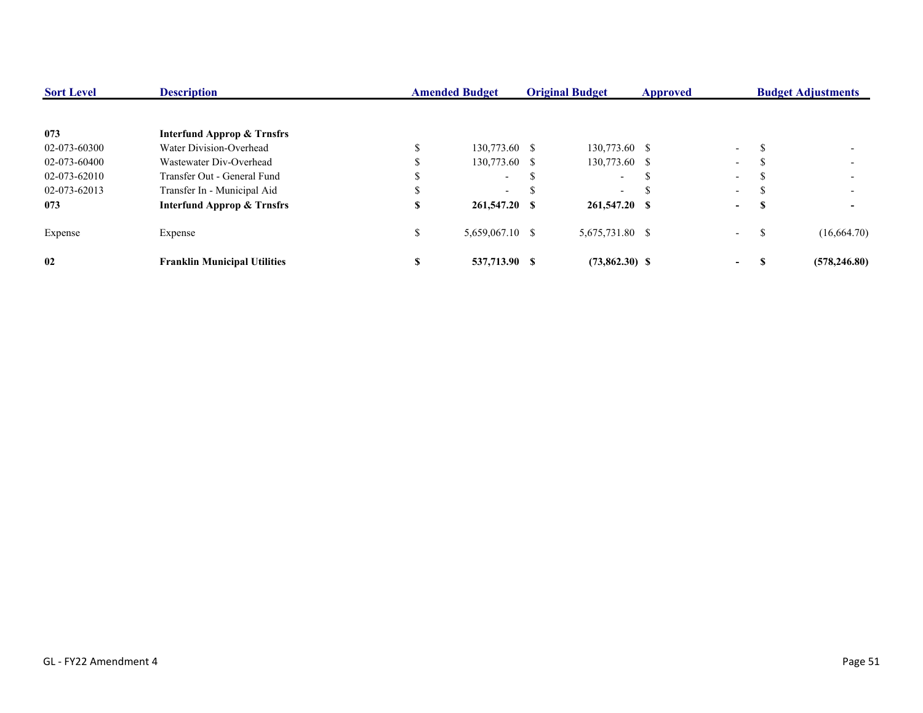| <b>Sort Level</b> | <b>Description</b>                    |     | <b>Amended Budget</b><br><b>Original Budget</b> |  | <b>Approved</b>          |    | <b>Budget Adjustments</b> |    |               |
|-------------------|---------------------------------------|-----|-------------------------------------------------|--|--------------------------|----|---------------------------|----|---------------|
|                   |                                       |     |                                                 |  |                          |    |                           |    |               |
| 073               | <b>Interfund Approp &amp; Trnsfrs</b> |     |                                                 |  |                          |    |                           |    |               |
| 02-073-60300      | Water Division-Overhead               |     | 130,773.60 \$                                   |  | 130,773.60 \$            |    | $\Delta \sim 10^{-11}$    |    |               |
| 02-073-60400      | Wastewater Div-Overhead               | ۰Ŋ. | 130,773.60 \$                                   |  | 130,773.60 \$            |    | $\sim$                    |    |               |
| 02-073-62010      | Transfer Out - General Fund           |     | $\sim$                                          |  | $\sim$                   | -S | $\sim$                    |    |               |
| 02-073-62013      | Transfer In - Municipal Aid           | J.  | $\sim$                                          |  | $\overline{\phantom{0}}$ |    | $\sim$                    |    |               |
| 073               | <b>Interfund Approp &amp; Trnsfrs</b> | S   | 261,547.20 \$                                   |  | 261,547.20 \$            |    | $\sim$                    | Э  |               |
| Expense           | Expense                               | \$  | $5,659,067.10$ \$                               |  | 5,675,731.80 \$          |    | $\sim$ 10 $\pm$           | -S | (16,664.70)   |
| 02                | <b>Franklin Municipal Utilities</b>   | S   | 537,713.90 \$                                   |  | $(73,862.30)$ \$         |    | $\sim$                    |    | (578, 246.80) |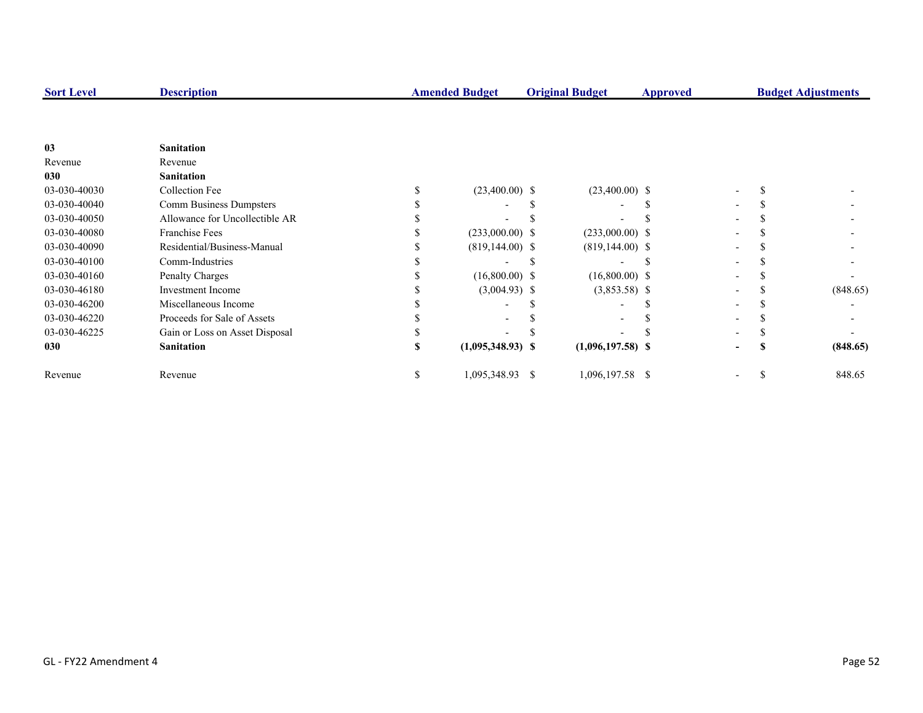| <b>Sort Level</b> | <b>Description</b>             |    | <b>Amended Budget</b> | <b>Original Budget</b> | Approved |                              | <b>Budget Adjustments</b> |
|-------------------|--------------------------------|----|-----------------------|------------------------|----------|------------------------------|---------------------------|
|                   |                                |    |                       |                        |          |                              |                           |
| 0 <sub>3</sub>    | <b>Sanitation</b>              |    |                       |                        |          |                              |                           |
| Revenue           | Revenue                        |    |                       |                        |          |                              |                           |
| 030               | <b>Sanitation</b>              |    |                       |                        |          |                              |                           |
| 03-030-40030      | Collection Fee                 |    | $(23,400.00)$ \$      | $(23,400.00)$ \$       |          |                              |                           |
| 03-030-40040      | Comm Business Dumpsters        |    |                       |                        |          |                              |                           |
| 03-030-40050      | Allowance for Uncollectible AR |    |                       |                        |          |                              |                           |
| 03-030-40080      | <b>Franchise Fees</b>          |    | $(233,000.00)$ \$     | $(233,000.00)$ \$      |          |                              |                           |
| 03-030-40090      | Residential/Business-Manual    |    | $(819, 144.00)$ \$    | $(819, 144.00)$ \$     |          |                              |                           |
| 03-030-40100      | Comm-Industries                |    |                       |                        |          |                              |                           |
| 03-030-40160      | Penalty Charges                |    | $(16,800.00)$ \$      | $(16,800.00)$ \$       |          |                              |                           |
| 03-030-46180      | <b>Investment Income</b>       |    | $(3,004.93)$ \$       | $(3,853.58)$ \$        |          |                              | (848.65)                  |
| 03-030-46200      | Miscellaneous Income           |    |                       |                        |          |                              |                           |
| 03-030-46220      | Proceeds for Sale of Assets    |    |                       |                        |          |                              |                           |
| 03-030-46225      | Gain or Loss on Asset Disposal |    |                       |                        |          |                              |                           |
| 030               | <b>Sanitation</b>              |    | $(1,095,348.93)$ \$   | $(1,096,197.58)$ \$    |          |                              | (848.65)                  |
| Revenue           | Revenue                        | P. | 1,095,348.93 \$       | 1,096,197.58 \$        |          | $\qquad \qquad \blacksquare$ | 848.65                    |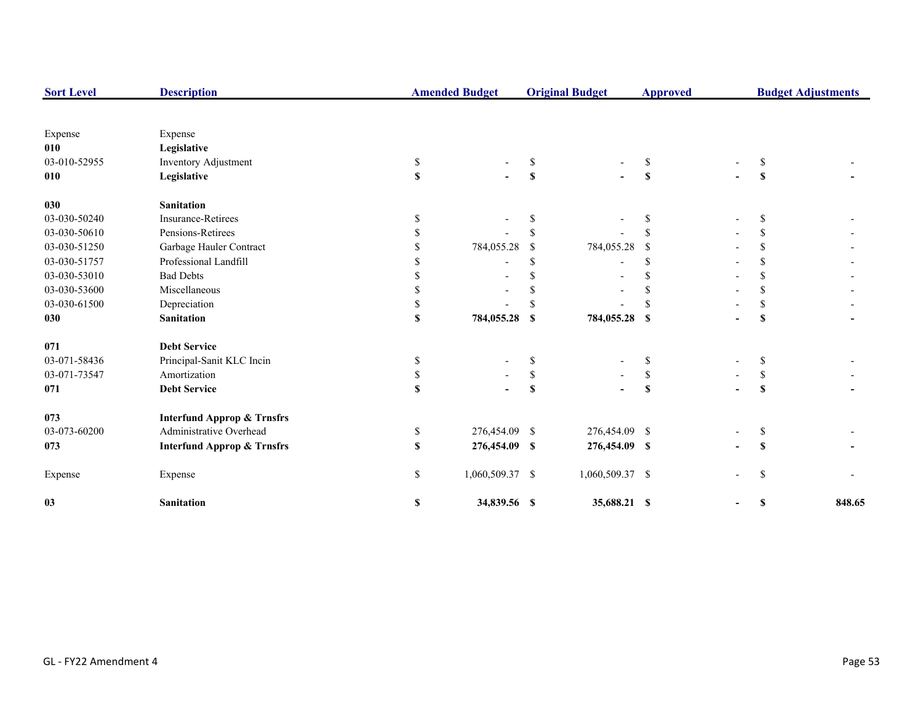| <b>Sort Level</b> | <b>Description</b>                    |              | <b>Amended Budget</b> |              | <b>Original Budget</b> | <b>Approved</b>           |  | <b>Budget Adjustments</b> |        |
|-------------------|---------------------------------------|--------------|-----------------------|--------------|------------------------|---------------------------|--|---------------------------|--------|
|                   |                                       |              |                       |              |                        |                           |  |                           |        |
| Expense           | Expense                               |              |                       |              |                        |                           |  |                           |        |
| 010               | Legislative                           |              |                       |              |                        |                           |  |                           |        |
| 03-010-52955      | Inventory Adjustment                  | \$           |                       | \$.          |                        | \$                        |  | S                         |        |
| 010               | Legislative                           | $\mathbf S$  |                       | \$           |                        | S                         |  | S                         |        |
| 030               | <b>Sanitation</b>                     |              |                       |              |                        |                           |  |                           |        |
| 03-030-50240      | <b>Insurance-Retirees</b>             | \$           |                       |              |                        | \$                        |  | S                         |        |
| 03-030-50610      | Pensions-Retirees                     |              |                       |              |                        | \$                        |  | <sup>\$</sup>             |        |
| 03-030-51250      | Garbage Hauler Contract               |              | 784,055.28            | -S           | 784,055.28             | <sup>\$</sup>             |  | <sup>\$</sup>             |        |
| 03-030-51757      | Professional Landfill                 |              |                       | \$.          |                        | S.                        |  | \$                        |        |
| 03-030-53010      | <b>Bad Debts</b>                      |              |                       |              |                        | \$                        |  | \$                        |        |
| 03-030-53600      | Miscellaneous                         |              |                       |              |                        | \$                        |  | <sup>\$</sup>             |        |
| 03-030-61500      | Depreciation                          |              |                       |              |                        | \$                        |  | \$                        |        |
| 030               | <b>Sanitation</b>                     | S            | 784,055.28 \$         |              | 784,055.28 \$          |                           |  | S                         |        |
| 071               | <b>Debt Service</b>                   |              |                       |              |                        |                           |  |                           |        |
| 03-071-58436      | Principal-Sanit KLC Incin             | \$           |                       | \$           |                        | \$                        |  | \$                        |        |
| 03-071-73547      | Amortization                          | \$           |                       | $\mathbb{S}$ |                        | $\mathbb{S}$              |  | \$                        |        |
| 071               | <b>Debt Service</b>                   | $\mathbf S$  |                       | \$           |                        | $\boldsymbol{\mathsf{s}}$ |  | S                         |        |
| 073               | <b>Interfund Approp &amp; Trnsfrs</b> |              |                       |              |                        |                           |  |                           |        |
| 03-073-60200      | Administrative Overhead               | \$           | 276,454.09 \$         |              | 276,454.09 \$          |                           |  | \$                        |        |
| 073               | <b>Interfund Approp &amp; Trnsfrs</b> | $\mathbf{s}$ | 276,454.09 \$         |              | 276,454.09 \$          |                           |  | S                         |        |
| Expense           | Expense                               | \$           | 1,060,509.37 \$       |              | 1,060,509.37 \$        |                           |  | <sup>\$</sup>             |        |
| 03                | <b>Sanitation</b>                     | \$           | 34,839.56 \$          |              | 35,688.21 \$           |                           |  | S                         | 848.65 |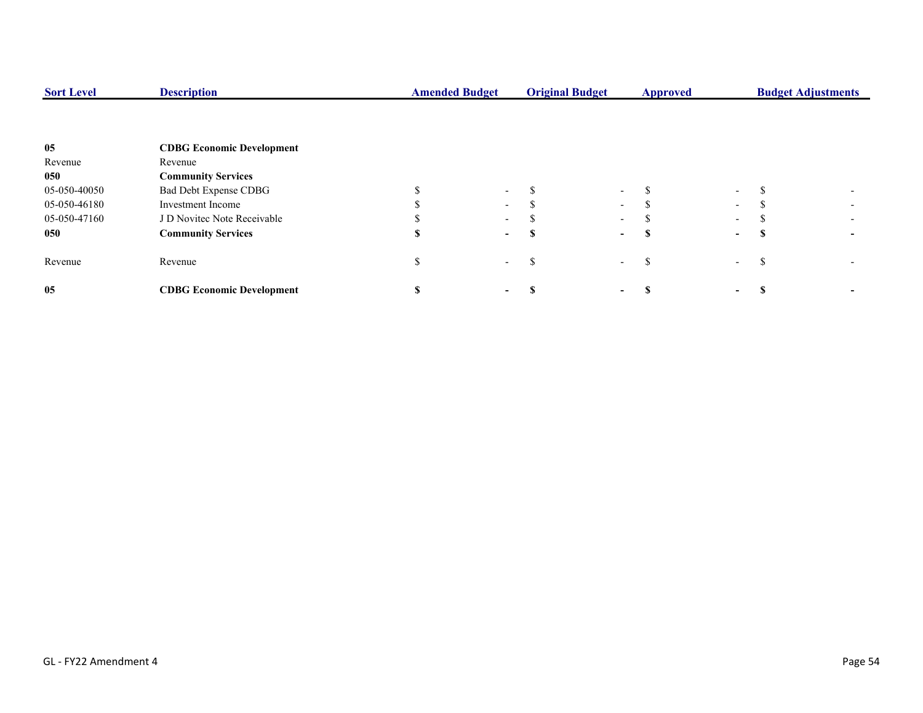| <b>Sort Level</b> | <b>Description</b>               | <b>Amended Budget</b> |        | <b>Original Budget</b> |                          | <b>Approved</b> |                          |   | <b>Budget Adjustments</b> |
|-------------------|----------------------------------|-----------------------|--------|------------------------|--------------------------|-----------------|--------------------------|---|---------------------------|
|                   |                                  |                       |        |                        |                          |                 |                          |   |                           |
| 05                | <b>CDBG Economic Development</b> |                       |        |                        |                          |                 |                          |   |                           |
| Revenue           | Revenue                          |                       |        |                        |                          |                 |                          |   |                           |
| 050               | <b>Community Services</b>        |                       |        |                        |                          |                 |                          |   |                           |
| 05-050-40050      | Bad Debt Expense CDBG            |                       | $\sim$ |                        | $\sim$                   |                 | $\sim$                   |   |                           |
| 05-050-46180      | <b>Investment Income</b>         |                       | $\sim$ |                        | $\sim$                   |                 | $\sim$                   |   |                           |
| 05-050-47160      | J D Novitec Note Receivable      |                       | $\sim$ |                        | $\sim$                   |                 | $\sim$                   |   |                           |
| 050               | <b>Community Services</b>        |                       | $\sim$ |                        | $\sim$                   |                 | $\sim$                   | э |                           |
| Revenue           | Revenue                          |                       | $\sim$ | ъ                      | $\overline{\phantom{a}}$ | £.              | $\overline{\phantom{a}}$ | ъ |                           |
| 05                | <b>CDBG Economic Development</b> |                       |        |                        |                          |                 | $\sim$                   |   |                           |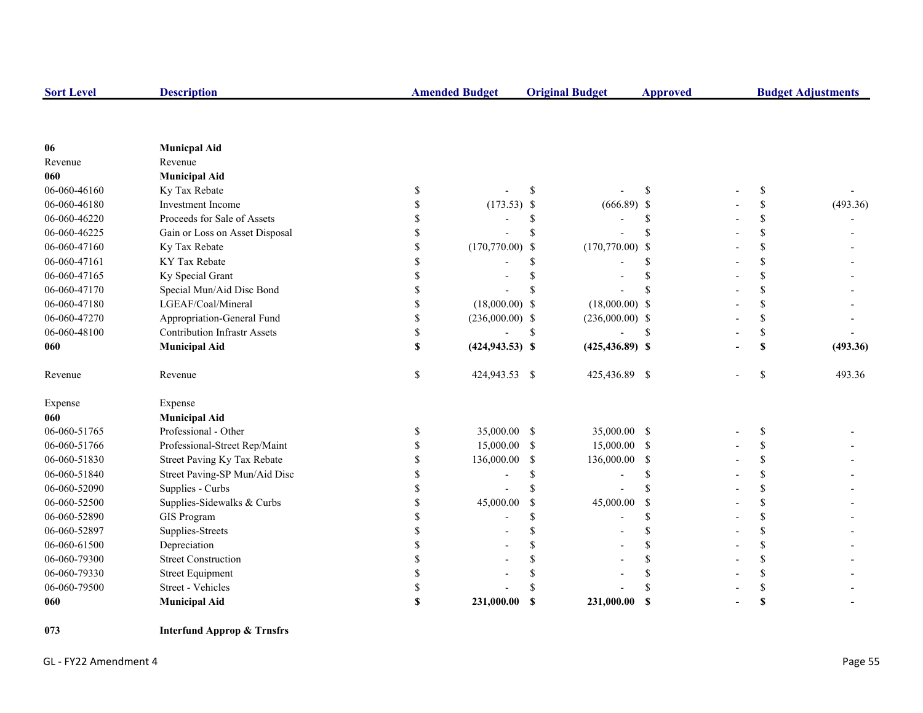| <b>Sort Level</b> | <b>Description</b>                  |              | <b>Amended Budget</b><br><b>Original Budget</b> |               |                          | <b>Approved</b> | <b>Budget Adjustments</b> |    |          |
|-------------------|-------------------------------------|--------------|-------------------------------------------------|---------------|--------------------------|-----------------|---------------------------|----|----------|
|                   |                                     |              |                                                 |               |                          |                 |                           |    |          |
| 06                | <b>Municpal Aid</b>                 |              |                                                 |               |                          |                 |                           |    |          |
| Revenue           | Revenue                             |              |                                                 |               |                          |                 |                           |    |          |
| 060               | <b>Municipal Aid</b>                |              |                                                 |               |                          |                 |                           |    |          |
| 06-060-46160      | Ky Tax Rebate                       | \$           |                                                 | <sup>\$</sup> |                          | <sup>\$</sup>   |                           | \$ |          |
| 06-060-46180      | Investment Income                   | \$           | $(173.53)$ \$                                   |               | $(666.89)$ \$            |                 |                           | \$ | (493.36) |
| 06-060-46220      | Proceeds for Sale of Assets         | \$           |                                                 | \$            | $\overline{a}$           | \$              |                           | \$ |          |
| 06-060-46225      | Gain or Loss on Asset Disposal      | \$           |                                                 | $\mathcal{S}$ |                          | \$              |                           | \$ |          |
| 06-060-47160      | Ky Tax Rebate                       | \$           | $(170,770.00)$ \$                               |               | $(170,770.00)$ \$        |                 |                           | \$ |          |
| 06-060-47161      | KY Tax Rebate                       | \$           |                                                 | \$.           |                          | <sup>\$</sup>   |                           | \$ |          |
| 06-060-47165      | Ky Special Grant                    | \$           |                                                 |               |                          | \$              |                           | \$ |          |
| 06-060-47170      | Special Mun/Aid Disc Bond           | \$           |                                                 |               |                          | S               |                           | \$ |          |
| 06-060-47180      | LGEAF/Coal/Mineral                  | \$           | $(18,000.00)$ \$                                |               | $(18,000.00)$ \$         |                 |                           | \$ |          |
| 06-060-47270      | Appropriation-General Fund          | \$           | $(236,000.00)$ \$                               |               | $(236,000.00)$ \$        |                 |                           | \$ |          |
| 06-060-48100      | <b>Contribution Infrastr Assets</b> | \$           |                                                 | <sup>\$</sup> |                          | <sup>\$</sup>   |                           | \$ |          |
| 060               | <b>Municipal Aid</b>                | \$           | $(424, 943.53)$ \$                              |               | $(425, 436.89)$ \$       |                 |                           | \$ | (493.36) |
| Revenue           | Revenue                             | $\mathbb{S}$ | 424,943.53 \$                                   |               | 425,436.89 \$            |                 |                           | \$ | 493.36   |
| Expense           | Expense                             |              |                                                 |               |                          |                 |                           |    |          |
| 060               | <b>Municipal Aid</b>                |              |                                                 |               |                          |                 |                           |    |          |
| 06-060-51765      | Professional - Other                | \$           | 35,000.00 \$                                    |               | 35,000.00 \$             |                 |                           | \$ |          |
| 06-060-51766      | Professional-Street Rep/Maint       | \$           | 15,000.00                                       | -S            | 15,000.00 \$             |                 |                           | \$ |          |
| 06-060-51830      | Street Paving Ky Tax Rebate         | \$           | 136,000.00                                      | <sup>\$</sup> | 136,000.00 \$            |                 |                           | \$ |          |
| 06-060-51840      | Street Paving-SP Mun/Aid Disc       | \$           |                                                 | <sup>\$</sup> | $\overline{\phantom{a}}$ | <sup>\$</sup>   |                           | \$ |          |
| 06-060-52090      | Supplies - Curbs                    | \$           |                                                 | \$.           |                          | \$              |                           | \$ |          |
| 06-060-52500      | Supplies-Sidewalks & Curbs          | \$           | 45,000.00                                       | \$            | 45,000.00                | \$              |                           | \$ |          |
| 06-060-52890      | <b>GIS Program</b>                  | \$           |                                                 | \$.           | $\overline{a}$           | <sup>\$</sup>   |                           | \$ |          |
| 06-060-52897      | Supplies-Streets                    | \$           |                                                 | \$            |                          | \$              |                           | \$ |          |
| 06-060-61500      | Depreciation                        | \$           |                                                 | \$            |                          | \$              |                           | \$ |          |
| 06-060-79300      | <b>Street Construction</b>          | \$           |                                                 | \$.           |                          | \$              |                           | \$ |          |
| 06-060-79330      | <b>Street Equipment</b>             | \$           |                                                 |               |                          | \$              |                           | \$ |          |
| 06-060-79500      | Street - Vehicles                   | \$           |                                                 |               |                          | $\mathbf S$     |                           | \$ |          |
| 060               | <b>Municipal Aid</b>                | \$           | 231,000.00                                      | <b>S</b>      | 231,000.00               | - \$            |                           | \$ |          |

**073 Interfund Approp & Trnsfrs**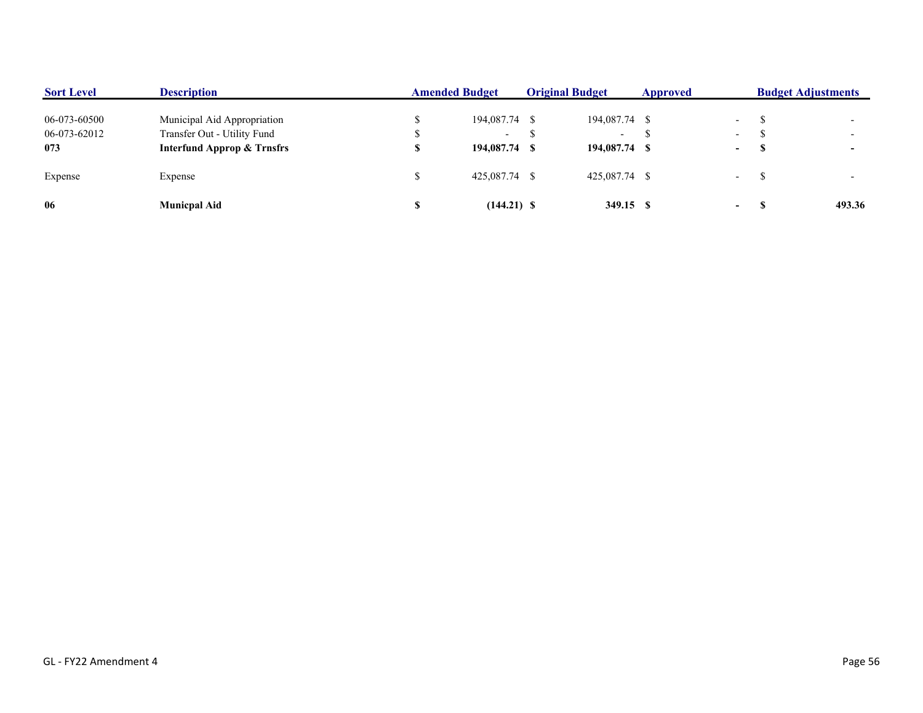| <b>Sort Level</b> | <b>Description</b>                    | <b>Amended Budget</b> |  | <b>Original Budget</b>   | Approved |                          | <b>Budget Adjustments</b> |        |
|-------------------|---------------------------------------|-----------------------|--|--------------------------|----------|--------------------------|---------------------------|--------|
| 06-073-60500      | Municipal Aid Appropriation           | 194,087.74 \$         |  | 194,087.74 \$            |          | $\overline{\phantom{a}}$ |                           |        |
| 06-073-62012      | Transfer Out - Utility Fund           | $\sim$                |  | $\overline{\phantom{a}}$ |          | $\overline{\phantom{0}}$ |                           |        |
| 073               | <b>Interfund Approp &amp; Trnsfrs</b> | 194,087.74 \$         |  | 194,087.74 \$            |          | $\sim$                   | - 30                      |        |
| Expense           | Expense                               | 425,087.74 \$         |  | 425,087.74 \$            |          | $\overline{\phantom{a}}$ |                           |        |
| 06                | <b>Municpal Aid</b>                   | $(144.21)$ \$         |  | 349.15 \$                |          | $\sim$                   |                           | 493.36 |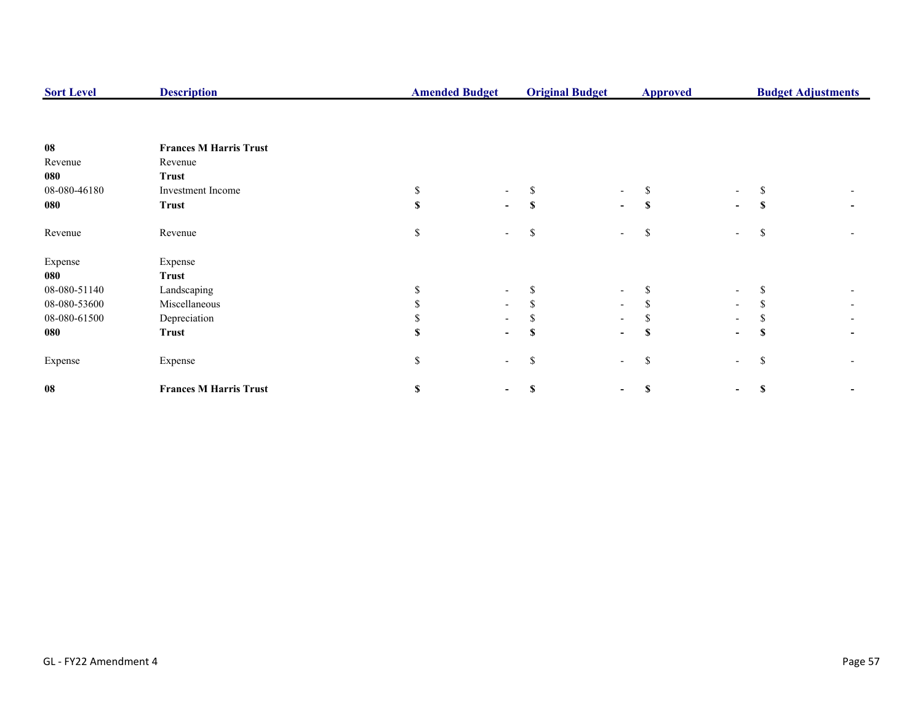| <b>Sort Level</b> | <b>Description</b>            | <b>Amended Budget</b> |                          | <b>Original Budget</b> |                          | <b>Budget Adjustments</b><br><b>Approved</b> |                          |               |  |
|-------------------|-------------------------------|-----------------------|--------------------------|------------------------|--------------------------|----------------------------------------------|--------------------------|---------------|--|
|                   |                               |                       |                          |                        |                          |                                              |                          |               |  |
| ${\bf 08}$        | <b>Frances M Harris Trust</b> |                       |                          |                        |                          |                                              |                          |               |  |
| Revenue           | Revenue                       |                       |                          |                        |                          |                                              |                          |               |  |
| 080               | <b>Trust</b>                  |                       |                          |                        |                          |                                              |                          |               |  |
| 08-080-46180      | Investment Income             | S.                    |                          |                        |                          |                                              | $\overline{\phantom{a}}$ |               |  |
| 080               | <b>Trust</b>                  | $\mathbf{s}$          | -                        | S                      | $\sim$                   | \$                                           | $\blacksquare$           | -S            |  |
| Revenue           | Revenue                       | \$                    | $\overline{\phantom{0}}$ | \$                     | $\overline{\phantom{a}}$ | <sup>\$</sup>                                | $\overline{a}$           | -S            |  |
| Expense           | Expense                       |                       |                          |                        |                          |                                              |                          |               |  |
| 080               | <b>Trust</b>                  |                       |                          |                        |                          |                                              |                          |               |  |
| 08-080-51140      | Landscaping                   |                       | $\overline{\phantom{a}}$ |                        | $\overline{\phantom{a}}$ |                                              | $\overline{\phantom{a}}$ |               |  |
| 08-080-53600      | Miscellaneous                 |                       | $\overline{\phantom{0}}$ |                        | $\sim$                   |                                              | $\overline{\phantom{a}}$ |               |  |
| 08-080-61500      | Depreciation                  |                       |                          |                        | $\overline{\phantom{a}}$ |                                              |                          |               |  |
| 080               | <b>Trust</b>                  | \$.                   | $\overline{\phantom{0}}$ | S                      | $\blacksquare$           | S                                            | $\overline{\phantom{a}}$ | -S            |  |
| Expense           | Expense                       | \$                    | $\overline{\phantom{a}}$ | \$                     | $\overline{\phantom{a}}$ | \$                                           | $\overline{\phantom{a}}$ | <sup>\$</sup> |  |
| 08                | <b>Frances M Harris Trust</b> | \$                    |                          | \$                     |                          | S                                            | $\blacksquare$           | <b>S</b>      |  |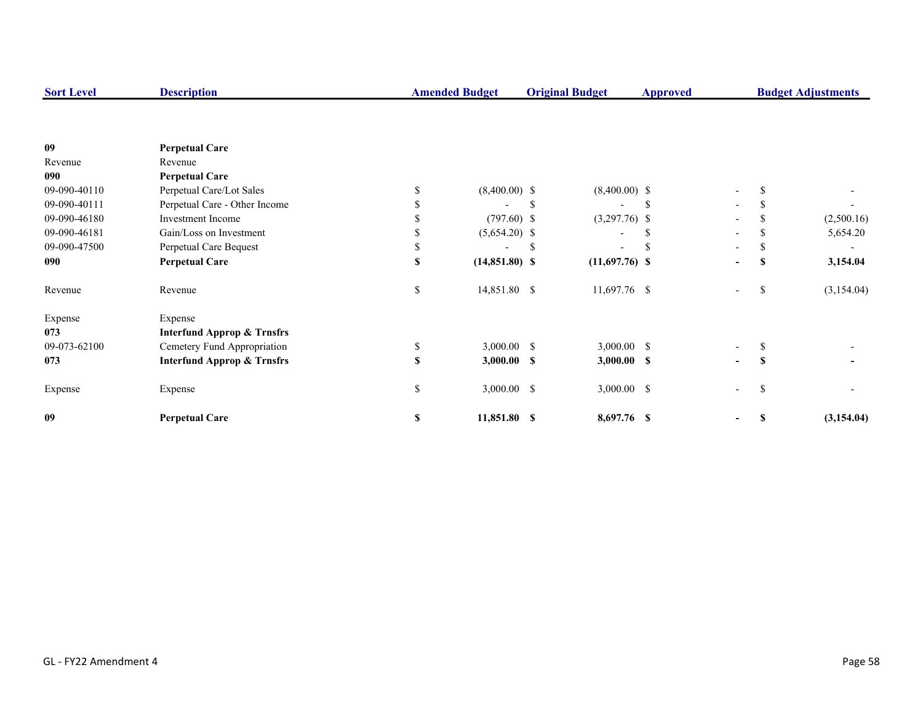| <b>Sort Level</b> | <b>Description</b>                    |     | <b>Amended Budget</b> |    | <b>Original Budget</b> | <b>Approved</b> |                          |               | <b>Budget Adjustments</b> |
|-------------------|---------------------------------------|-----|-----------------------|----|------------------------|-----------------|--------------------------|---------------|---------------------------|
|                   |                                       |     |                       |    |                        |                 |                          |               |                           |
| 09                | <b>Perpetual Care</b>                 |     |                       |    |                        |                 |                          |               |                           |
| Revenue           | Revenue                               |     |                       |    |                        |                 |                          |               |                           |
| 090               | <b>Perpetual Care</b>                 |     |                       |    |                        |                 |                          |               |                           |
| 09-090-40110      | Perpetual Care/Lot Sales              | \$  | $(8,400.00)$ \$       |    | $(8,400.00)$ \$        |                 | $\overline{\phantom{a}}$ |               |                           |
| 09-090-40111      | Perpetual Care - Other Income         |     |                       | -S |                        | S               | $\overline{\phantom{a}}$ |               |                           |
| 09-090-46180      | <b>Investment Income</b>              |     | $(797.60)$ \$         |    | $(3,297.76)$ \$        |                 |                          |               | (2,500.16)                |
| 09-090-46181      | Gain/Loss on Investment               |     | $(5,654.20)$ \$       |    |                        | S               | $\overline{\phantom{a}}$ |               | 5,654.20                  |
| 09-090-47500      | Perpetual Care Bequest                |     |                       | S. |                        |                 |                          |               |                           |
| 090               | <b>Perpetual Care</b>                 | \$. | $(14,851.80)$ \$      |    | $(11,697.76)$ \$       |                 | $\blacksquare$           | S             | 3,154.04                  |
| Revenue           | Revenue                               | \$  | 14,851.80 \$          |    | 11,697.76 \$           |                 | $\overline{\phantom{a}}$ | <sup>\$</sup> | (3,154.04)                |
| Expense           | Expense                               |     |                       |    |                        |                 |                          |               |                           |
| 073               | <b>Interfund Approp &amp; Trnsfrs</b> |     |                       |    |                        |                 |                          |               |                           |
| 09-073-62100      | Cemetery Fund Appropriation           | \$  | $3,000.00$ \$         |    | $3,000.00$ \$          |                 |                          |               |                           |
| 073               | <b>Interfund Approp &amp; Trnsfrs</b> | \$  | $3,000.00$ \$         |    | $3,000.00$ \$          |                 | Ξ.                       | <b>S</b>      |                           |
| Expense           | Expense                               | \$  | 3,000.00 \$           |    | $3,000.00$ \$          |                 | $\overline{\phantom{a}}$ | <sup>\$</sup> |                           |
| 09                | <b>Perpetual Care</b>                 | \$  | 11,851.80 \$          |    | 8,697.76 \$            |                 |                          |               | (3,154.04)                |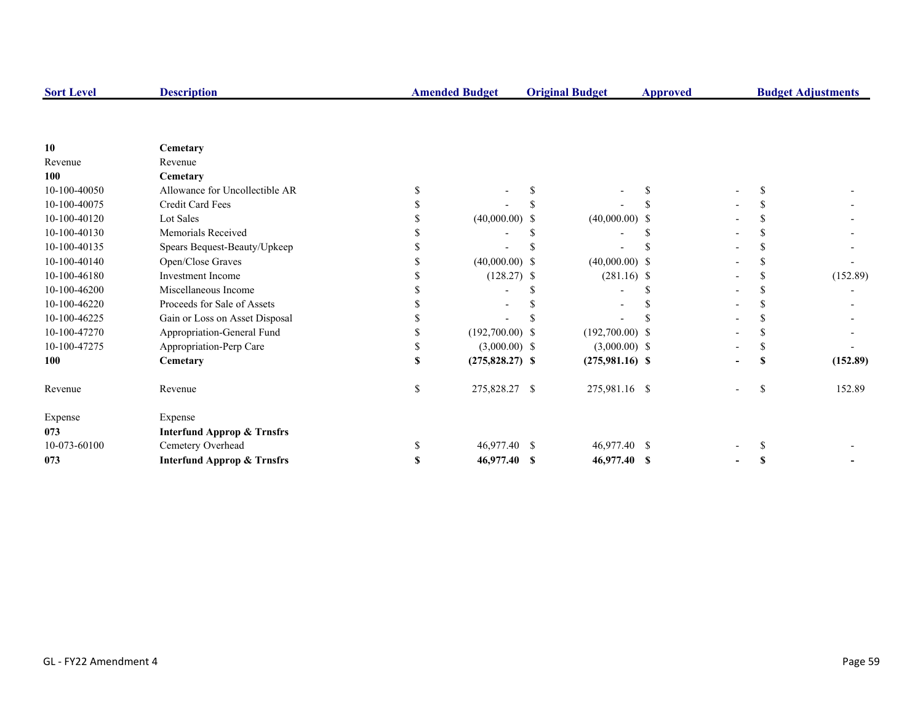| <b>Sort Level</b> | <b>Description</b>                    |    | <b>Amended Budget</b><br><b>Original Budget</b> |  | <b>Approved</b>   |  | <b>Budget Adjustments</b> |    |          |
|-------------------|---------------------------------------|----|-------------------------------------------------|--|-------------------|--|---------------------------|----|----------|
|                   |                                       |    |                                                 |  |                   |  |                           |    |          |
| 10                | Cemetary                              |    |                                                 |  |                   |  |                           |    |          |
| Revenue           | Revenue                               |    |                                                 |  |                   |  |                           |    |          |
| 100               | Cemetary                              |    |                                                 |  |                   |  |                           |    |          |
| 10-100-40050      | Allowance for Uncollectible AR        |    |                                                 |  |                   |  |                           |    |          |
| 10-100-40075      | Credit Card Fees                      |    |                                                 |  |                   |  |                           |    |          |
| 10-100-40120      | Lot Sales                             |    | $(40,000.00)$ \$                                |  | $(40,000.00)$ \$  |  |                           |    |          |
| 10-100-40130      | Memorials Received                    |    |                                                 |  |                   |  |                           |    |          |
| 10-100-40135      | Spears Bequest-Beauty/Upkeep          |    |                                                 |  |                   |  |                           |    |          |
| 10-100-40140      | Open/Close Graves                     |    | $(40,000.00)$ \$                                |  | $(40,000.00)$ \$  |  |                           |    |          |
| 10-100-46180      | <b>Investment Income</b>              |    | $(128.27)$ \$                                   |  | $(281.16)$ \$     |  |                           |    | (152.89) |
| 10-100-46200      | Miscellaneous Income                  |    |                                                 |  |                   |  |                           |    |          |
| 10-100-46220      | Proceeds for Sale of Assets           |    |                                                 |  |                   |  |                           |    |          |
| 10-100-46225      | Gain or Loss on Asset Disposal        |    |                                                 |  |                   |  |                           |    |          |
| 10-100-47270      | Appropriation-General Fund            |    | $(192,700.00)$ \$                               |  | $(192,700.00)$ \$ |  |                           |    |          |
| 10-100-47275      | Appropriation-Perp Care               |    | $(3,000.00)$ \$                                 |  | $(3,000.00)$ \$   |  |                           |    |          |
| 100               | Cemetary                              | \$ | $(275,828.27)$ \$                               |  | $(275,981.16)$ \$ |  |                           |    | (152.89) |
| Revenue           | Revenue                               | \$ | 275,828.27 \$                                   |  | 275,981.16 \$     |  |                           | \$ | 152.89   |
| Expense           | Expense                               |    |                                                 |  |                   |  |                           |    |          |
| 073               | <b>Interfund Approp &amp; Trnsfrs</b> |    |                                                 |  |                   |  |                           |    |          |
| 10-073-60100      | Cemetery Overhead                     | S. | 46,977.40 \$                                    |  | 46,977.40 \$      |  |                           |    |          |
| 073               | <b>Interfund Approp &amp; Trnsfrs</b> | \$ | 46,977.40 \$                                    |  | 46,977.40 \$      |  |                           |    |          |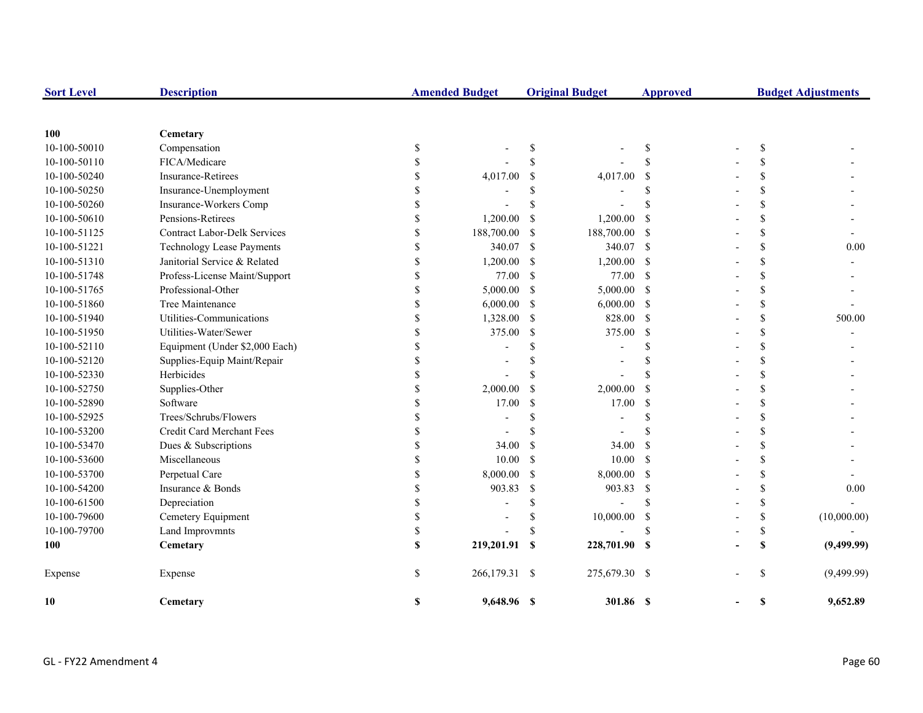| <b>Sort Level</b> | <b>Description</b>                  |             | <b>Amended Budget</b> |                           | <b>Original Budget</b> | <b>Approved</b> | <b>Budget Adjustments</b> |                    |             |
|-------------------|-------------------------------------|-------------|-----------------------|---------------------------|------------------------|-----------------|---------------------------|--------------------|-------------|
|                   |                                     |             |                       |                           |                        |                 |                           |                    |             |
| 100               | Cemetary                            |             |                       |                           |                        |                 |                           |                    |             |
| 10-100-50010      | Compensation                        | \$          |                       | \$                        |                        | \$              |                           | \$                 |             |
| 10-100-50110      | FICA/Medicare                       | \$          |                       | <sup>\$</sup>             |                        | \$              |                           | <sup>\$</sup>      |             |
| 10-100-50240      | <b>Insurance-Retirees</b>           | S           | 4,017.00              | \$                        | 4,017.00               | -S              |                           | $\mathbf{\hat{S}}$ |             |
| 10-100-50250      | Insurance-Unemployment              | \$          |                       | <sup>\$</sup>             |                        | \$              |                           | \$                 |             |
| 10-100-50260      | Insurance-Workers Comp              | S           |                       | $\mathcal{S}$             |                        | $\mathbf S$     |                           | $\mathbf{\hat{S}}$ |             |
| 10-100-50610      | Pensions-Retirees                   | \$          | 1,200.00              | \$                        | 1,200.00               | -S              |                           | \$                 |             |
| 10-100-51125      | <b>Contract Labor-Delk Services</b> | \$          | 188,700.00            | <sup>\$</sup>             | 188,700.00             | - S             |                           | \$                 |             |
| 10-100-51221      | <b>Technology Lease Payments</b>    | \$          | 340.07                | $\mathcal{S}$             | 340.07 \$              |                 |                           | \$                 | $0.00\,$    |
| 10-100-51310      | Janitorial Service & Related        | \$          | 1,200.00              | \$                        | 1,200.00               | - \$            |                           |                    |             |
| 10-100-51748      | Profess-License Maint/Support       | $\mathbf S$ | 77.00                 | $\mathcal{S}$             | 77.00                  | $\mathbf{s}$    |                           | $\mathbf{\hat{S}}$ |             |
| 10-100-51765      | Professional-Other                  | \$          | 5,000.00              | \$                        | 5,000.00               | <b>S</b>        |                           |                    |             |
| 10-100-51860      | Tree Maintenance                    | \$          | 6,000.00              | \$                        | 6,000.00               | <b>S</b>        |                           | $\mathbf{\hat{S}}$ |             |
| 10-100-51940      | Utilities-Communications            | \$          | 1,328.00              | <sup>\$</sup>             | 828.00                 | - \$            |                           | \$                 | 500.00      |
| 10-100-51950      | Utilities-Water/Sewer               | \$          | 375.00                | \$                        | 375.00                 | -S              |                           | \$                 |             |
| 10-100-52110      | Equipment (Under \$2,000 Each)      |             |                       | \$                        |                        | \$              |                           | \$                 |             |
| 10-100-52120      | Supplies-Equip Maint/Repair         |             |                       | \$                        | $\blacksquare$         | \$              |                           |                    |             |
| 10-100-52330      | Herbicides                          |             |                       | \$                        |                        | $\mathbf S$     |                           |                    |             |
| 10-100-52750      | Supplies-Other                      | \$          | 2,000.00              | \$                        | 2,000.00               | -S              |                           |                    |             |
| 10-100-52890      | Software                            |             | 17.00                 | \$                        | 17.00                  | $\mathcal{S}$   |                           |                    |             |
| 10-100-52925      | Trees/Schrubs/Flowers               |             |                       | \$                        |                        | \$              |                           |                    |             |
| 10-100-53200      | Credit Card Merchant Fees           |             |                       | \$                        |                        | \$              |                           |                    |             |
| 10-100-53470      | Dues & Subscriptions                |             | 34.00                 | $\mathcal{S}$             | 34.00                  | <sup>\$</sup>   |                           |                    |             |
| 10-100-53600      | Miscellaneous                       |             | 10.00                 | <sup>\$</sup>             | 10.00                  | - \$            |                           |                    |             |
| 10-100-53700      | Perpetual Care                      |             | 8,000.00              | \$                        | 8,000.00               | $\mathbf{s}$    |                           |                    |             |
| 10-100-54200      | Insurance & Bonds                   |             | 903.83                | \$                        | 903.83                 | -S              |                           |                    | 0.00        |
| 10-100-61500      | Depreciation                        |             |                       | \$                        |                        | \$              |                           | \$                 |             |
| 10-100-79600      | Cemetery Equipment                  |             |                       | \$                        | 10,000.00              | \$              |                           | \$                 | (10,000.00) |
| 10-100-79700      | Land Improvmnts                     |             |                       | \$                        |                        | \$              |                           | \$                 |             |
| 100               | Cemetary                            | S           | 219,201.91            | $\boldsymbol{\mathsf{s}}$ | 228,701.90 \$          |                 |                           | \$                 | (9,499.99)  |
| Expense           | Expense                             | $\mathbf S$ | 266,179.31 \$         |                           | 275,679.30 \$          |                 |                           | <sup>\$</sup>      | (9,499.99)  |
| 10                | Cemetary                            | S           | 9,648.96 \$           |                           | 301.86 \$              |                 |                           | \$                 | 9,652.89    |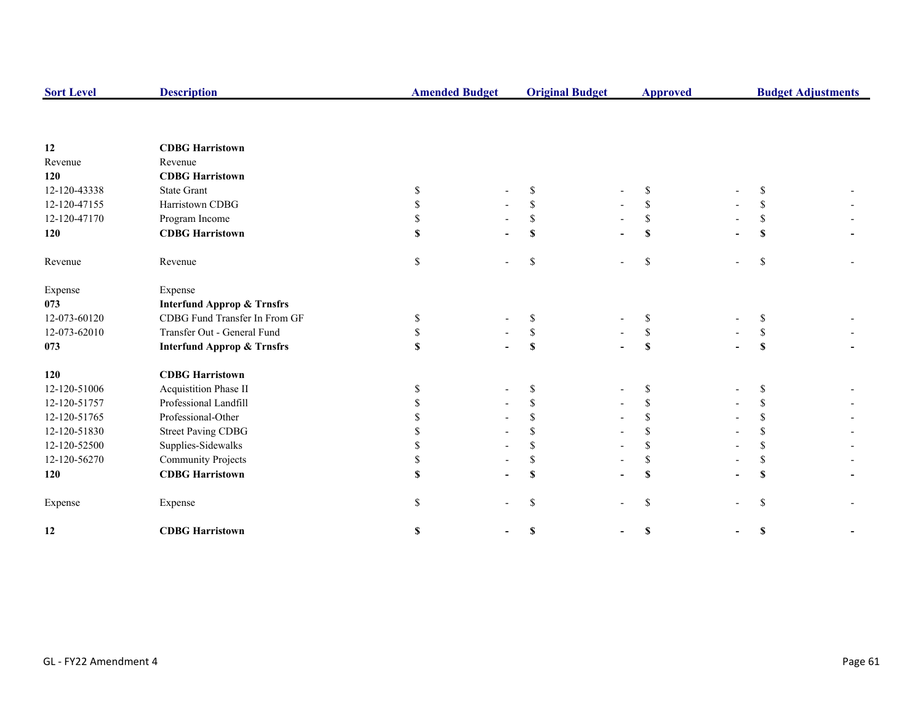| <b>Sort Level</b> | <b>Description</b>                    |    | <b>Amended Budget</b> |              | <b>Original Budget</b> | <b>Approved</b> |  | <b>Budget Adjustments</b> |  |
|-------------------|---------------------------------------|----|-----------------------|--------------|------------------------|-----------------|--|---------------------------|--|
|                   |                                       |    |                       |              |                        |                 |  |                           |  |
| 12                | <b>CDBG Harristown</b>                |    |                       |              |                        |                 |  |                           |  |
| Revenue           | Revenue                               |    |                       |              |                        |                 |  |                           |  |
| 120               | <b>CDBG Harristown</b>                |    |                       |              |                        |                 |  |                           |  |
| 12-120-43338      | <b>State Grant</b>                    | S  |                       | S            |                        | \$              |  | <sup>\$</sup>             |  |
| 12-120-47155      | Harristown CDBG                       | \$ |                       | \$           |                        | \$              |  | <sup>\$</sup>             |  |
| 12-120-47170      | Program Income                        | \$ |                       | \$           |                        | S.              |  | S                         |  |
| 120               | <b>CDBG Harristown</b>                | \$ |                       | S            |                        | $\mathbf S$     |  | \$                        |  |
| Revenue           | Revenue                               | \$ |                       | \$           |                        | $\mathbb{S}$    |  | \$                        |  |
| Expense           | Expense                               |    |                       |              |                        |                 |  |                           |  |
| 073               | <b>Interfund Approp &amp; Trnsfrs</b> |    |                       |              |                        |                 |  |                           |  |
| 12-073-60120      | CDBG Fund Transfer In From GF         | S  |                       | \$           |                        | S               |  | S                         |  |
| 12-073-62010      | Transfer Out - General Fund           | S  |                       | $\mathbb{S}$ |                        | S               |  | \$                        |  |
| 073               | <b>Interfund Approp &amp; Trnsfrs</b> | \$ |                       | S            |                        | S               |  | S                         |  |
| 120               | <b>CDBG</b> Harristown                |    |                       |              |                        |                 |  |                           |  |
| 12-120-51006      | Acquistition Phase II                 | S  |                       | \$           |                        | <sup>\$</sup>   |  | S                         |  |
| 12-120-51757      | Professional Landfill                 |    |                       | \$           |                        |                 |  | S                         |  |
| 12-120-51765      | Professional-Other                    |    |                       | \$.          |                        | <sup>\$</sup>   |  | \$                        |  |
| 12-120-51830      | <b>Street Paving CDBG</b>             |    |                       |              |                        | <sup>\$</sup>   |  | <sup>\$</sup>             |  |
| 12-120-52500      | Supplies-Sidewalks                    |    |                       | \$           |                        | \$              |  | \$                        |  |
| 12-120-56270      | <b>Community Projects</b>             | \$ |                       | \$           |                        | \$              |  | \$                        |  |
| 120               | <b>CDBG</b> Harristown                |    |                       | S            |                        | S               |  | $\mathbf S$               |  |
| Expense           | Expense                               | S. |                       | \$           |                        | $\mathbf S$     |  | \$                        |  |
| 12                | <b>CDBG Harristown</b>                | \$ |                       | \$           |                        | \$              |  | \$                        |  |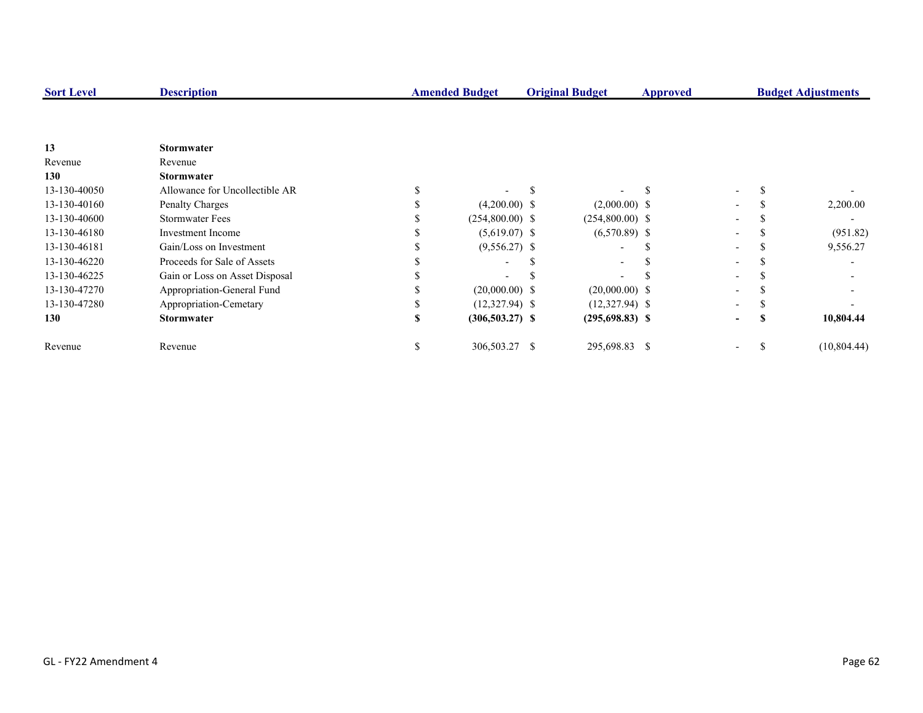| <b>Sort Level</b> | <b>Description</b>             |    | <b>Amended Budget</b> |  | <b>Original Budget</b>   | Approved |                          | <b>Budget Adjustments</b> |             |
|-------------------|--------------------------------|----|-----------------------|--|--------------------------|----------|--------------------------|---------------------------|-------------|
|                   |                                |    |                       |  |                          |          |                          |                           |             |
| 13                | <b>Stormwater</b>              |    |                       |  |                          |          |                          |                           |             |
| Revenue           | Revenue                        |    |                       |  |                          |          |                          |                           |             |
| 130               | <b>Stormwater</b>              |    |                       |  |                          |          |                          |                           |             |
| 13-130-40050      | Allowance for Uncollectible AR |    |                       |  |                          |          | $\overline{\phantom{0}}$ |                           |             |
| 13-130-40160      | Penalty Charges                |    | $(4,200.00)$ \$       |  | $(2,000.00)$ \$          |          |                          |                           | 2,200.00    |
| 13-130-40600      | <b>Stormwater Fees</b>         |    | $(254,800.00)$ \$     |  | $(254,800.00)$ \$        |          |                          |                           |             |
| 13-130-46180      | Investment Income              |    | $(5,619.07)$ \$       |  | $(6,570.89)$ \$          |          |                          |                           | (951.82)    |
| 13-130-46181      | Gain/Loss on Investment        |    | $(9,556.27)$ \$       |  | $\overline{\phantom{0}}$ |          |                          |                           | 9,556.27    |
| 13-130-46220      | Proceeds for Sale of Assets    |    |                       |  |                          |          |                          |                           |             |
| 13-130-46225      | Gain or Loss on Asset Disposal |    |                       |  |                          |          |                          |                           |             |
| 13-130-47270      | Appropriation-General Fund     |    | $(20,000.00)$ \$      |  | $(20,000.00)$ \$         |          |                          |                           |             |
| 13-130-47280      | Appropriation-Cemetary         |    | $(12,327.94)$ \$      |  | $(12,327.94)$ \$         |          |                          |                           |             |
| 130               | <b>Stormwater</b>              |    | $(306, 503.27)$ \$    |  | $(295,698.83)$ \$        |          | $\overline{\phantom{a}}$ |                           | 10,804.44   |
| Revenue           | Revenue                        | ъ. | 306,503.27 \$         |  | 295,698.83 \$            |          | $\overline{\phantom{a}}$ |                           | (10,804.44) |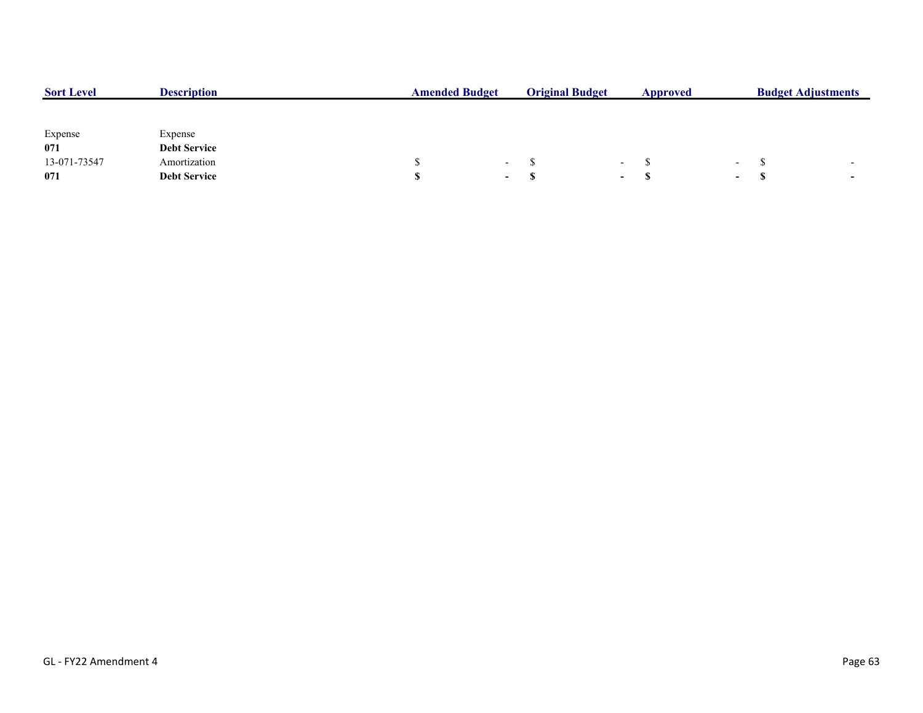| <b>Sort Level</b> | <b>Description</b>  | <b>Amended Budget</b> |            | <b>Original Budget</b> |        | Approved |                          | <b>Budget Adjustments</b> |                          |  |
|-------------------|---------------------|-----------------------|------------|------------------------|--------|----------|--------------------------|---------------------------|--------------------------|--|
|                   |                     |                       |            |                        |        |          |                          |                           |                          |  |
|                   |                     |                       |            |                        |        |          |                          |                           |                          |  |
| Expense           | Expense             |                       |            |                        |        |          |                          |                           |                          |  |
| 071               | <b>Debt Service</b> |                       |            |                        |        |          |                          |                           |                          |  |
| 13-071-73547      | Amortization        |                       | $\sim$ $-$ |                        | $\sim$ |          | $\overline{\phantom{0}}$ |                           | $\overline{\phantom{0}}$ |  |
| 071               | <b>Debt Service</b> |                       | $\sim$     |                        | $\sim$ | - 17     | $\overline{\phantom{a}}$ |                           | $\overline{\phantom{a}}$ |  |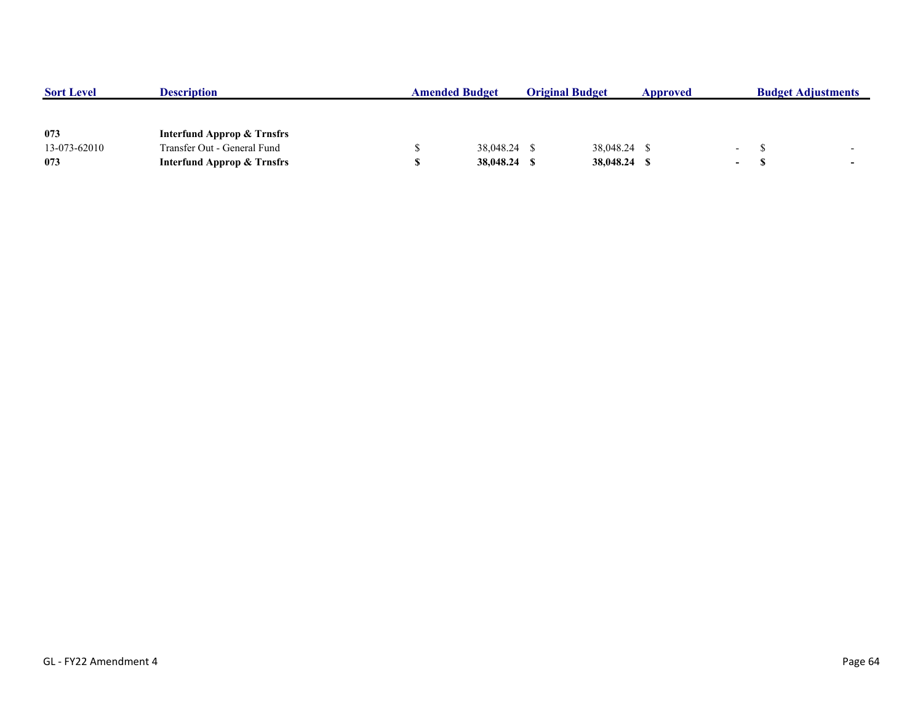| <b>Sort Level</b> | <b>Description</b>                    | <b>Amended Budget</b> |              | <b>Original Budget</b> |              | Approved |                  | <b>Budget Adjustments</b> |                          |
|-------------------|---------------------------------------|-----------------------|--------------|------------------------|--------------|----------|------------------|---------------------------|--------------------------|
|                   |                                       |                       |              |                        |              |          |                  |                           |                          |
|                   |                                       |                       |              |                        |              |          |                  |                           |                          |
| 073               | <b>Interfund Approp &amp; Trnsfrs</b> |                       |              |                        |              |          |                  |                           |                          |
| 13-073-62010      | Transfer Out - General Fund           |                       | 38,048.24 \$ |                        | 38,048.24 \$ |          | <b>Service</b>   |                           |                          |
| 073               | <b>Interfund Approp &amp; Trnsfrs</b> |                       | 38,048.24    |                        | 38,048.24 \$ |          | $\sim$ 100 $\mu$ |                           | $\overline{\phantom{0}}$ |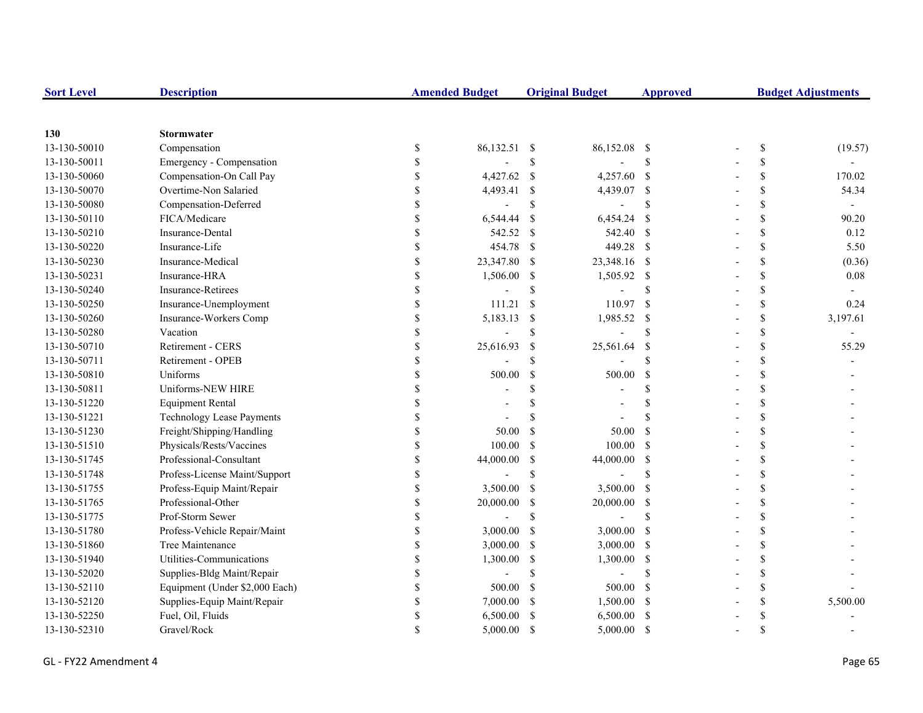| <b>Sort Level</b> | <b>Description</b>               |               | <b>Amended Budget</b>    |               | <b>Original Budget</b> | <b>Approved</b>           | <b>Budget Adjustments</b> |                          |  |
|-------------------|----------------------------------|---------------|--------------------------|---------------|------------------------|---------------------------|---------------------------|--------------------------|--|
|                   |                                  |               |                          |               |                        |                           |                           |                          |  |
| 130               | <b>Stormwater</b>                |               |                          |               |                        |                           |                           |                          |  |
| 13-130-50010      | Compensation                     | \$            | 86,132.51 \$             |               | 86,152.08              | - \$                      | \$                        | (19.57)                  |  |
| 13-130-50011      | Emergency - Compensation         | <sup>\$</sup> |                          | $\mathcal{S}$ |                        | \$                        | \$                        |                          |  |
| 13-130-50060      | Compensation-On Call Pay         | <sup>\$</sup> | 4,427.62                 | $\mathcal{S}$ | 4,257.60 \$            |                           | \$                        | 170.02                   |  |
| 13-130-50070      | Overtime-Non Salaried            |               | 4,493.41                 | $\$$          | 4,439.07 \$            |                           | \$                        | 54.34                    |  |
| 13-130-50080      | Compensation-Deferred            |               | $\overline{\phantom{a}}$ | <sup>\$</sup> |                        | $\boldsymbol{\mathsf{S}}$ | \$                        | $\overline{\phantom{a}}$ |  |
| 13-130-50110      | FICA/Medicare                    | \$            | 6,544.44                 | \$            | 6,454.24               | - \$                      | \$                        | 90.20                    |  |
| 13-130-50210      | Insurance-Dental                 | \$            | 542.52                   | <sup>\$</sup> | 542.40 \$              |                           | \$                        | 0.12                     |  |
| 13-130-50220      | Insurance-Life                   | \$            | 454.78                   | <sup>\$</sup> | 449.28 \$              |                           | \$                        | 5.50                     |  |
| 13-130-50230      | Insurance-Medical                | \$            | 23,347.80                | <sup>\$</sup> | 23,348.16 \$           |                           | \$                        | (0.36)                   |  |
| 13-130-50231      | Insurance-HRA                    | \$            | 1,506.00                 | \$            | 1,505.92 \$            |                           | \$                        | 0.08                     |  |
| 13-130-50240      | Insurance-Retirees               | <sup>\$</sup> |                          | \$            |                        | <sup>\$</sup>             | \$                        |                          |  |
| 13-130-50250      | Insurance-Unemployment           | <sup>\$</sup> | 111.21                   | $\mathbb{S}$  | 110.97                 | - \$                      | \$                        | 0.24                     |  |
| 13-130-50260      | Insurance-Workers Comp           | \$            | 5,183.13                 | $\$$          | 1,985.52               | - \$                      | \$                        | 3,197.61                 |  |
| 13-130-50280      | Vacation                         |               |                          | $\mathcal{S}$ |                        | \$                        | \$                        |                          |  |
| 13-130-50710      | Retirement - CERS                | \$            | 25,616.93                | $\mathcal{S}$ | 25,561.64              | -S                        | \$                        | 55.29                    |  |
| 13-130-50711      | Retirement - OPEB                |               |                          | $\mathbf S$   |                        | \$                        | \$                        |                          |  |
| 13-130-50810      | Uniforms                         |               | 500.00                   | \$            | 500.00                 | -S                        | \$                        |                          |  |
| 13-130-50811      | Uniforms-NEW HIRE                | $\mathcal{S}$ |                          | \$            |                        | \$                        | \$                        |                          |  |
| 13-130-51220      | <b>Equipment Rental</b>          |               |                          | \$            |                        | \$                        | \$                        |                          |  |
| 13-130-51221      | <b>Technology Lease Payments</b> | \$            |                          | <sup>\$</sup> |                        | \$.                       | \$                        |                          |  |
| 13-130-51230      | Freight/Shipping/Handling        | \$            | 50.00                    | <sup>\$</sup> | 50.00                  | -\$                       | \$                        |                          |  |
| 13-130-51510      | Physicals/Rests/Vaccines         | <sup>\$</sup> | 100.00                   | $\mathcal{S}$ | 100.00                 | - \$                      | \$                        |                          |  |
| 13-130-51745      | Professional-Consultant          | \$            | 44,000.00                | $\mathcal{S}$ | 44,000.00              | $\mathbf{s}$              | \$                        |                          |  |
| 13-130-51748      | Profess-License Maint/Support    | <sup>\$</sup> |                          | $\mathcal{S}$ |                        | \$                        | \$                        |                          |  |
| 13-130-51755      | Profess-Equip Maint/Repair       | <sup>\$</sup> | 3,500.00                 | $\mathcal{S}$ | 3,500.00               | $\mathbf s$               | \$                        |                          |  |
| 13-130-51765      | Professional-Other               | <sup>\$</sup> | 20,000.00                | \$            | 20,000.00              | $\mathbf{\hat{s}}$        | \$                        |                          |  |
| 13-130-51775      | Prof-Storm Sewer                 | <sup>\$</sup> | L,                       | <sup>\$</sup> |                        | <sup>\$</sup>             | \$                        |                          |  |
| 13-130-51780      | Profess-Vehicle Repair/Maint     |               | 3,000.00                 | <sup>\$</sup> | $3,000.00$ \$          |                           | \$                        |                          |  |
| 13-130-51860      | Tree Maintenance                 | \$            | 3,000.00                 | <sup>\$</sup> | $3,000.00$ \$          |                           | \$                        |                          |  |
| 13-130-51940      | Utilities-Communications         | \$            | 1,300.00                 | \$            | 1,300.00               | - \$                      | \$                        |                          |  |
| 13-130-52020      | Supplies-Bldg Maint/Repair       | \$            |                          | <sup>\$</sup> |                        | $\mathcal{S}$             | \$                        |                          |  |
| 13-130-52110      | Equipment (Under \$2,000 Each)   | \$            | 500.00                   | <sup>\$</sup> | 500.00                 | - \$                      | \$                        |                          |  |
| 13-130-52120      | Supplies-Equip Maint/Repair      | <sup>\$</sup> | 7,000.00                 | \$            | 1,500.00 \$            |                           | \$                        | 5,500.00                 |  |
| 13-130-52250      | Fuel, Oil, Fluids                |               | 6,500.00                 | <sup>\$</sup> | 6,500.00               | - \$                      | \$                        |                          |  |
| 13-130-52310      | Gravel/Rock                      | <sup>\$</sup> | 5,000.00                 | <sup>\$</sup> | 5,000.00               | - \$                      | \$                        |                          |  |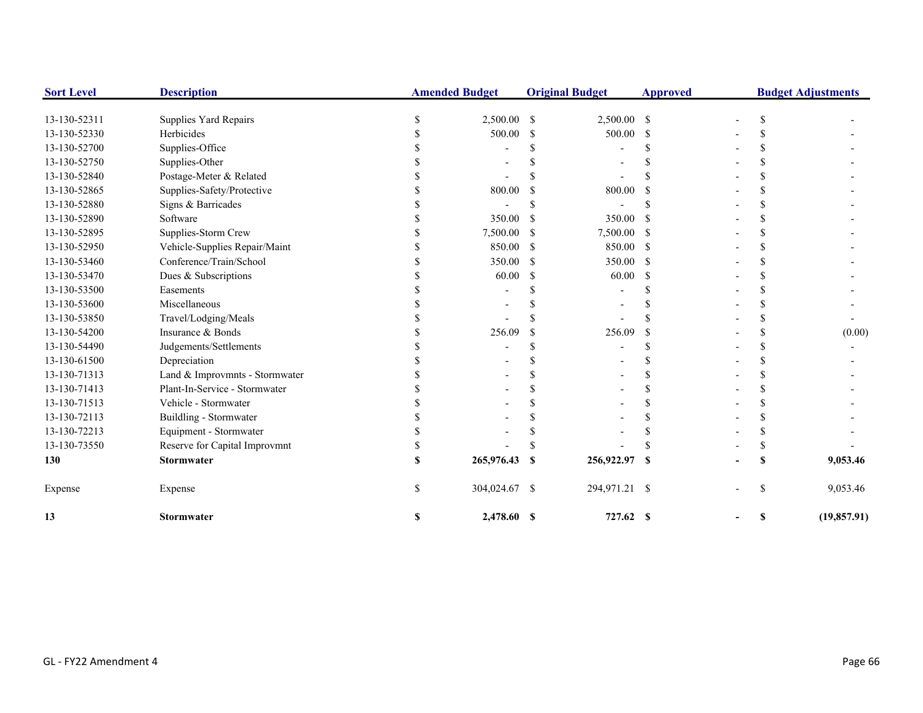| <b>Sort Level</b> | <b>Description</b>             |   | <b>Amended Budget</b> |               | <b>Original Budget</b> | <b>Approved</b> | <b>Budget Adjustments</b> |     |              |
|-------------------|--------------------------------|---|-----------------------|---------------|------------------------|-----------------|---------------------------|-----|--------------|
| 13-130-52311      | Supplies Yard Repairs          |   | 2,500.00              | <sup>\$</sup> | 2,500.00 \$            |                 |                           | \$. |              |
| 13-130-52330      | Herbicides                     |   | 500.00                | \$            | 500.00                 | -S              |                           |     |              |
| 13-130-52700      | Supplies-Office                |   |                       |               |                        |                 |                           |     |              |
| 13-130-52750      | Supplies-Other                 |   |                       |               |                        |                 |                           |     |              |
| 13-130-52840      | Postage-Meter & Related        |   |                       |               |                        |                 |                           |     |              |
| 13-130-52865      | Supplies-Safety/Protective     |   | 800.00                |               | 800.00                 |                 |                           |     |              |
| 13-130-52880      | Signs & Barricades             |   |                       |               |                        |                 |                           |     |              |
| 13-130-52890      | Software                       |   | 350.00                |               | 350.00                 | <sup>\$</sup>   |                           |     |              |
| 13-130-52895      | Supplies-Storm Crew            |   | 7,500.00              |               | 7,500.00               | - \$            |                           |     |              |
| 13-130-52950      | Vehicle-Supplies Repair/Maint  |   | 850.00                | <sup>\$</sup> | 850.00                 | -S              |                           |     |              |
| 13-130-53460      | Conference/Train/School        |   | 350.00                | <sup>\$</sup> | 350.00                 | <sup>\$</sup>   |                           |     |              |
| 13-130-53470      | Dues & Subscriptions           |   | 60.00                 | S.            | 60.00                  | <sup>\$</sup>   |                           |     |              |
| 13-130-53500      | Easements                      |   |                       |               |                        |                 |                           |     |              |
| 13-130-53600      | Miscellaneous                  |   |                       |               |                        |                 |                           |     |              |
| 13-130-53850      | Travel/Lodging/Meals           |   |                       |               |                        |                 |                           |     |              |
| 13-130-54200      | Insurance & Bonds              |   | 256.09                |               | 256.09                 | <sup>\$</sup>   |                           |     | (0.00)       |
| 13-130-54490      | Judgements/Settlements         |   |                       |               |                        |                 |                           |     |              |
| 13-130-61500      | Depreciation                   |   |                       |               |                        |                 |                           |     |              |
| 13-130-71313      | Land & Improvmnts - Stormwater |   |                       |               |                        |                 |                           |     |              |
| 13-130-71413      | Plant-In-Service - Stormwater  |   |                       |               |                        |                 |                           |     |              |
| 13-130-71513      | Vehicle - Stormwater           |   |                       |               |                        |                 |                           |     |              |
| 13-130-72113      | Buildling - Stormwater         |   |                       |               |                        |                 |                           |     |              |
| 13-130-72213      | Equipment - Stormwater         |   |                       |               |                        |                 |                           |     |              |
| 13-130-73550      | Reserve for Capital Improvmnt  |   |                       |               |                        |                 |                           |     |              |
| 130               | <b>Stormwater</b>              |   | 265,976.43            | -S            | 256,922.97             | S               |                           |     | 9,053.46     |
| Expense           | Expense                        |   | 304,024.67 \$         |               | 294,971.21 \$          |                 |                           | \$  | 9,053.46     |
| 13                | <b>Stormwater</b>              | S | 2,478.60 \$           |               | 727.62 \$              |                 |                           | S   | (19, 857.91) |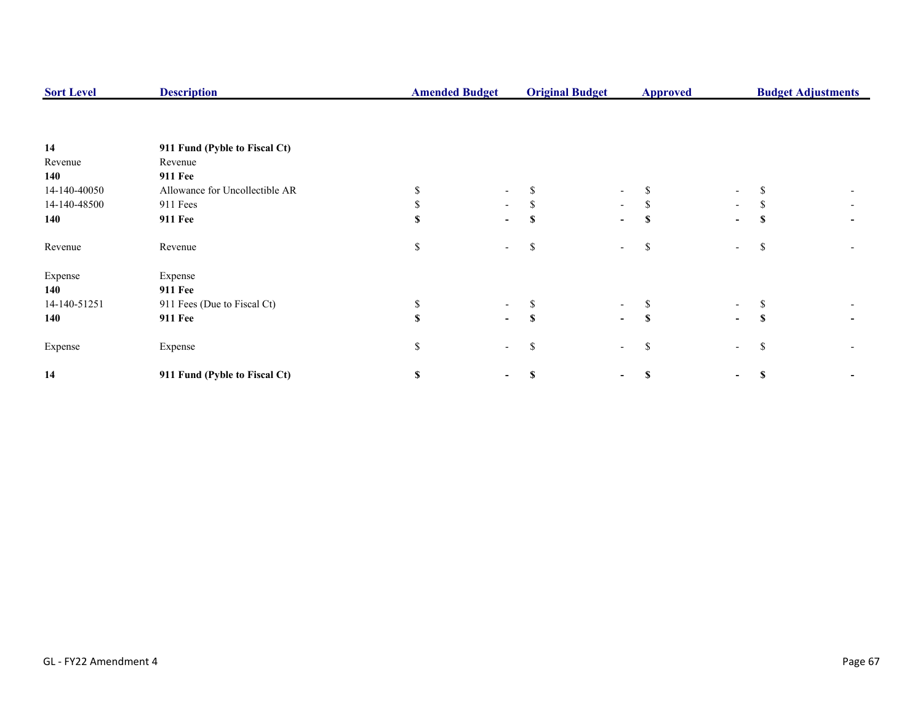| <b>Sort Level</b> | <b>Description</b>             |    | <b>Amended Budget</b>    |          | <b>Original Budget</b>   | <b>Approved</b> |                          | <b>Budget Adjustments</b> |  |  |
|-------------------|--------------------------------|----|--------------------------|----------|--------------------------|-----------------|--------------------------|---------------------------|--|--|
|                   |                                |    |                          |          |                          |                 |                          |                           |  |  |
| 14                | 911 Fund (Pyble to Fiscal Ct)  |    |                          |          |                          |                 |                          |                           |  |  |
| Revenue           | Revenue                        |    |                          |          |                          |                 |                          |                           |  |  |
| 140               | <b>911 Fee</b>                 |    |                          |          |                          |                 |                          |                           |  |  |
| 14-140-40050      | Allowance for Uncollectible AR |    |                          |          | ۰                        | \$              | $\overline{\phantom{a}}$ |                           |  |  |
| 14-140-48500      | 911 Fees                       |    | $\sim$                   | Ж,       | $\sim$                   | S.              | $\overline{\phantom{a}}$ | ъ                         |  |  |
| 140               | <b>911 Fee</b>                 |    | $\overline{\phantom{0}}$ |          | $\overline{\phantom{0}}$ | \$              | $\blacksquare$           |                           |  |  |
| Revenue           | Revenue                        | \$ |                          | ъ        | $\overline{\phantom{a}}$ | \$              | $\overline{\phantom{a}}$ | S                         |  |  |
| Expense           | Expense                        |    |                          |          |                          |                 |                          |                           |  |  |
| 140               | <b>911 Fee</b>                 |    |                          |          |                          |                 |                          |                           |  |  |
| 14-140-51251      | 911 Fees (Due to Fiscal Ct)    |    |                          |          | $\overline{\phantom{0}}$ | S               | $\sim$                   |                           |  |  |
| 140               | <b>911 Fee</b>                 |    | $\sim$                   | <b>S</b> | $\blacksquare$           | S               | $\overline{\phantom{0}}$ | S                         |  |  |
| Expense           | Expense                        | \$ |                          | S        | $\sim$                   | \$              | $\overline{\phantom{a}}$ | S                         |  |  |
| 14                | 911 Fund (Pyble to Fiscal Ct)  | S  |                          |          | -                        | \$              | ۰.                       |                           |  |  |